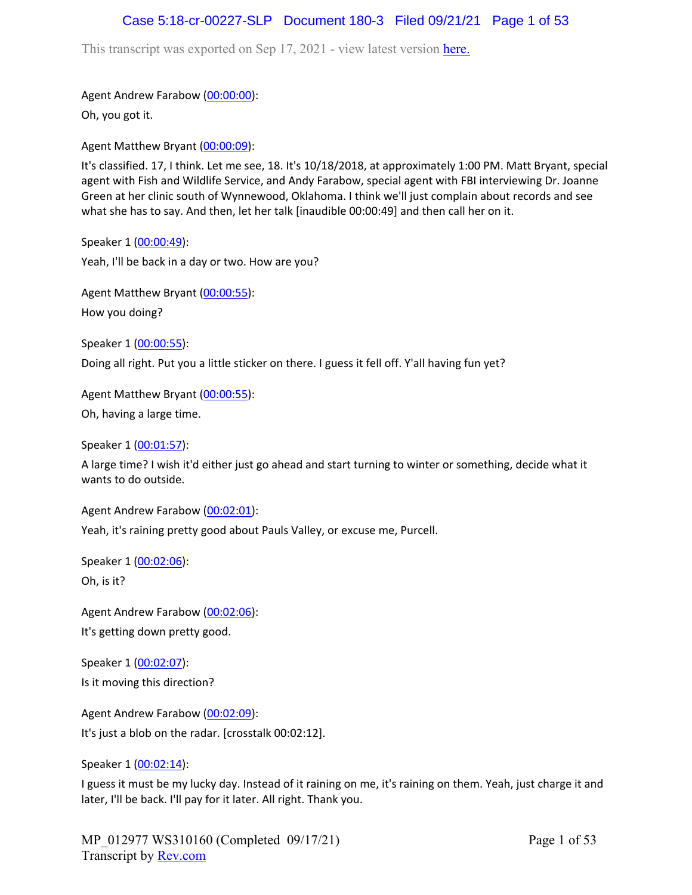### Case 5:18-cr-00227-SLP Document 180-3 Filed 09/21/21 Page 1 of 53

This transcript was exported on Sep 17, 2021 - view latest version [here.](https://www.rev.com/transcript-editor/Edit?token=I33MB_RoV1FwOoHBZ0vXCiw9XFf7Kdljsv8wmKDhXSlbDZV1-muO_uXdeLk3bhrqvxSEUBmRHZUHjbZyoStIj4NIjiQ&loadFrom=DocumentHeaderDeepLink)

Agent Andrew Farabow [\(00:00:00\)](https://www.rev.com/transcript-editor/Edit?token=VQTitYAQcipf-BqeT8AJKZuPj1aYCJh43EbWFKHQSJB7nivGBpJSmUwOsdNlQbFcxQb98Oz0fVAxXfKGbanyfFknI3M&loadFrom=DocumentDeeplink&ts=0):

Oh, you got it.

Agent Matthew Bryant ([00:00:09](https://www.rev.com/transcript-editor/Edit?token=roWtoeJmo816JkfuTvjWosvPMzQueQtOyd4zQBYVtyujDvq_k_Es9LWSQrGp8XNyGczF6Dxb2jlrUKX2U7czmCgfj8U&loadFrom=DocumentDeeplink&ts=9.67)):

It's classified. 17, I think. Let me see, 18. It's 10/18/2018, at approximately 1:00 PM. Matt Bryant, special agent with Fish and Wildlife Service, and Andy Farabow, special agent with FBI interviewing Dr. Joanne Green at her clinic south of Wynnewood, Oklahoma. I think we'll just complain about records and see what she has to say. And then, let her talk [inaudible 00:00:49] and then call her on it.

Speaker 1 ([00:00:49](https://www.rev.com/transcript-editor/Edit?token=meVW7jekovC2JUbbVwyl16gs6wrK9JDQWrLpOXpfHjTjzV04ls5yvVXMhoqQVDKmx8yMFZMlBZ1ICRfdboyR7laXEtw&loadFrom=DocumentDeeplink&ts=49.01)): Yeah, I'll be back in a day or two. How are you?

Agent Matthew Bryant ([00:00:55](https://www.rev.com/transcript-editor/Edit?token=fXK1JRE5wrmkruaQKO_lE6yN4tMMvATrxXQUxYgDHSephJQdOdkxcM3ppuQ0P_dHjq2sNbJPe7-w9s09FX00-41VbNk&loadFrom=DocumentDeeplink&ts=55.54)): How you doing?

Speaker 1 ([00:00:55](https://www.rev.com/transcript-editor/Edit?token=Doxo_bCAZkkIunrMDUXsCw2pFpKC1pPcCIoGXW8p-Ge_k9DuD3dMKXRI_hEm6JyJdeNtH73tvgpPgHwYQLPdlHaeW00&loadFrom=DocumentDeeplink&ts=55.54)):

Doing all right. Put you a little sticker on there. I guess it fell off. Y'all having fun yet?

Agent Matthew Bryant ([00:00:55](https://www.rev.com/transcript-editor/Edit?token=j-ImdY_TZVPHI4eNk_36Z2gNWt3pqrMvV1TLy45RVsRGG5H3ncVrwIbfjQ2lm3MISNGDyd4qPcNOgVKl2imyKsLwW_4&loadFrom=DocumentDeeplink&ts=55.54)): Oh, having a large time.

Speaker 1 ([00:01:57](https://www.rev.com/transcript-editor/Edit?token=TahIK_dAX90tCDAzRCp6pBPCG5iBYHKbXkQWukF_f515lXWEha0ggamvM6s_JNuLx9Cu_apa0-6buASCmism6-TVlJk&loadFrom=DocumentDeeplink&ts=117.53)):

A large time? I wish it'd either just go ahead and start turning to winter or something, decide what it wants to do outside.

Agent Andrew Farabow [\(00:02:01\)](https://www.rev.com/transcript-editor/Edit?token=AstMKJ-QPJL1hVZmQNPDhOa2Ug0iWQ1vQVHJ7c0ePEmOzdaE3CkwTStHoGLYrH3rJD1i1hmdVkxD0vZFeSND6i9k-eU&loadFrom=DocumentDeeplink&ts=121.44):

Yeah, it's raining pretty good about Pauls Valley, or excuse me, Purcell.

Speaker 1 ([00:02:06](https://www.rev.com/transcript-editor/Edit?token=mOAucMbBsY0q6bc7lAoeHqUUKywqrLQ1BDMqeE6xxgRnlEiv9AwCQBuya-m5CFg4aW1oxIxHlxMKkeppHjCEq6JOgH0&loadFrom=DocumentDeeplink&ts=126.03)):

Oh, is it?

Agent Andrew Farabow [\(00:02:06\)](https://www.rev.com/transcript-editor/Edit?token=imkgmcJOta10XJKG7_OUfIVATroQvNHKAFq_mwuE-sHAxFuHhduEqr7QO3snv9wB2oJ0BDKkrJuvjK9-yvQyeb_Y2k0&loadFrom=DocumentDeeplink&ts=126.54): It's getting down pretty good.

Speaker 1 ([00:02:07](https://www.rev.com/transcript-editor/Edit?token=efChOw3GlAfMwbt3sM3s5hm10-P98cbqmzouPNrlqB92UGxCqpFOg1YuKI7FPh625r1vXVbnwAgYQAEBZCSWD_T1OTg&loadFrom=DocumentDeeplink&ts=127.36)): Is it moving this direction?

Agent Andrew Farabow [\(00:02:09\)](https://www.rev.com/transcript-editor/Edit?token=0ogM92yFhuuIs737xHfq4mN_ly2bfeJ6btEJHgSqBg0Gv_s1LSmirPr6vE8Q8X9PAknvv9ZwvVcvWGSu20ioX3udZaQ&loadFrom=DocumentDeeplink&ts=129.57): It's just a blob on the radar. [crosstalk 00:02:12].

Speaker 1 ([00:02:14](https://www.rev.com/transcript-editor/Edit?token=VzPCBdqe6s8eQNXGtw0P28uaCCEdN6t4tTE1kl8glwBMBeT2aF4gi1WIniYsHy6zkPb7eOzUVOXXvACkHB-zqqFn3q4&loadFrom=DocumentDeeplink&ts=134.94)):

I guess it must be my lucky day. Instead of it raining on me, it's raining on them. Yeah, just charge it and later, I'll be back. I'll pay for it later. All right. Thank you.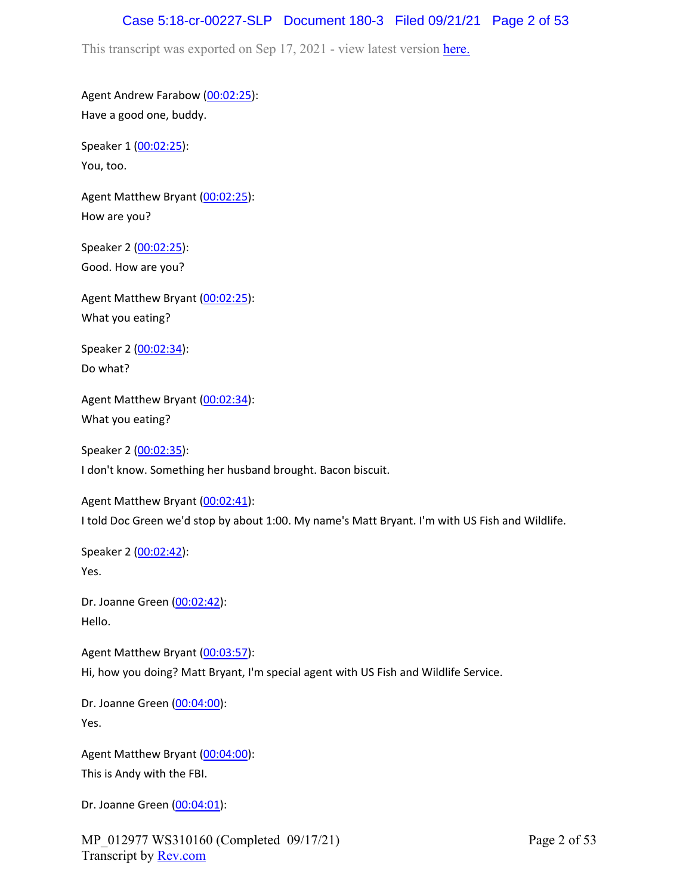### Case 5:18-cr-00227-SLP Document 180-3 Filed 09/21/21 Page 2 of 53

This transcript was exported on Sep 17, 2021 - view latest version [here.](https://www.rev.com/transcript-editor/Edit?token=I33MB_RoV1FwOoHBZ0vXCiw9XFf7Kdljsv8wmKDhXSlbDZV1-muO_uXdeLk3bhrqvxSEUBmRHZUHjbZyoStIj4NIjiQ&loadFrom=DocumentHeaderDeepLink)

Agent Andrew Farabow [\(00:02:25\)](https://www.rev.com/transcript-editor/Edit?token=tvF0UACPCAxknwdfpfsR1gNRrozZQ0BoaDGz_J8XWDtfTc52KhTSjzWmUYrS7CE_pGHK7XH7kZIe5NzsfqFUphEr5xU&loadFrom=DocumentDeeplink&ts=145.37): Have a good one, buddy.

Speaker 1 ([00:02:25](https://www.rev.com/transcript-editor/Edit?token=-98-35tGm0b6glZJ-_0CseMdSQWBKom9ktnujafHjJ5zP0YzzOHuHswUbYL_UTQ-olajMGE4eLWX-GaqI_u9JIkHK38&loadFrom=DocumentDeeplink&ts=145.37)): You, too.

Agent Matthew Bryant ([00:02:25](https://www.rev.com/transcript-editor/Edit?token=mo51KXM9jinI715975k4Gb554uaMpKF_LscIha45Q6BTQcgtw_oORt0E3yFG0hh1dvJXkIf12I6J1tlHxwuvV6tUZ1o&loadFrom=DocumentDeeplink&ts=145.37)): How are you?

Speaker 2 ([00:02:25](https://www.rev.com/transcript-editor/Edit?token=onybIH_pF3F89sHBa-_dqGVn1eAeG-Vzgy9rRaTBtC3L7PRl7FwNiK2-vIv7LoOiXL4Ge6FwDEx51UG2cxo6CxW-13M&loadFrom=DocumentDeeplink&ts=145.37)): Good. How are you?

Agent Matthew Bryant ([00:02:25](https://www.rev.com/transcript-editor/Edit?token=pga_W-spzZOW9BzsOH-3GVjb-bZYSw_DpzieQ18IfuqOYE3l2g6KzvYPmf0ahNer4TVBhUU4TlcWtV2z3z5fUjLe2iw&loadFrom=DocumentDeeplink&ts=145.41)): What you eating?

Speaker 2 ([00:02:34](https://www.rev.com/transcript-editor/Edit?token=Z6hZGCEfDhOlKXYqyZgTkHYqYhymA5U7lObtvUT54VQEICC8Ejw0JUAM8mULgfqHiI2xCXDQGVHawOaST30SnsYKrb8&loadFrom=DocumentDeeplink&ts=154.95)): Do what?

Agent Matthew Bryant ([00:02:34](https://www.rev.com/transcript-editor/Edit?token=Cbhf5ds1cpqZIxgM31T05n8oIb9GsYNdFiVVOOaHquiND6rCb67ahqEAJNOjoY7E4Y5bGuZUoYYBqedvdmbALQwv4_w&loadFrom=DocumentDeeplink&ts=154.97)): What you eating?

Speaker 2 ([00:02:35](https://www.rev.com/transcript-editor/Edit?token=MjCEKcGCBfgSRqd4GcQFVVoeMzBMmPvcC5WuyxAxruZaTYmpmhTH5_1Q47WyYrnAiXbNRhOUrVBXt9mAC9u5nXRxViM&loadFrom=DocumentDeeplink&ts=155.25)): I don't know. Something her husband brought. Bacon biscuit.

Agent Matthew Bryant ([00:02:41](https://www.rev.com/transcript-editor/Edit?token=lwnZ7Nw3ZPILYgBLUgYE-4YXpVfw7RANwdMqnDjvMfqlWAp1FR8EWi3MUccCC2rac8tZvINkS_0PQZtU7agGKzfpNk0&loadFrom=DocumentDeeplink&ts=161.5)): I told Doc Green we'd stop by about 1:00. My name's Matt Bryant. I'm with US Fish and Wildlife.

Speaker 2 ([00:02:42](https://www.rev.com/transcript-editor/Edit?token=jRmjsMurCWA2wS4Kr5f-upxBLUzuN9WkBmqawwzdYC3pHqiRds6plgRRvgUtGOJkyx8Tjm4qdZ__3BvjmV6sa-XAsjg&loadFrom=DocumentDeeplink&ts=162.73)): Yes.

Dr. Joanne Green [\(00:02:42\)](https://www.rev.com/transcript-editor/Edit?token=76VxHFC7ozpmp_x7tDWgvupqnsgVRfMuj_hJk7XHxu2DUxBZkAwauwsvU6GCAfUe1OphV0aXNbNtVFU1q__lG4hxLmQ&loadFrom=DocumentDeeplink&ts=162.73): Hello.

Agent Matthew Bryant ([00:03:57](https://www.rev.com/transcript-editor/Edit?token=SfYEe5MX-CQriOrODO2ETLMzW-rCDm3k_yAgfxxeDFXiNBT0PNRI3ONTsKHJ5ur6nCEUHTS7t22K131XxvsOJpKi20U&loadFrom=DocumentDeeplink&ts=237.82)): Hi, how you doing? Matt Bryant, I'm special agent with US Fish and Wildlife Service.

Dr. Joanne Green [\(00:04:00\)](https://www.rev.com/transcript-editor/Edit?token=2Tzpakqrey1ihGEifZtZH9Mb9zpZF6IaTepfIr0L2uOBdYWIvJ1FpnVuBTZeYFxchxIR4fQAKHAxyk1IBVswrvccyds&loadFrom=DocumentDeeplink&ts=240.51): Yes.

Agent Matthew Bryant ([00:04:00](https://www.rev.com/transcript-editor/Edit?token=qrZ-6PEklgxdIHDs8CNQJ-CkrP8i02xnTVRBSzQRtBLcxIdD84VvigXT7OXNEIWlQ67pZVzdcQb8BSYhy_ghPbERlms&loadFrom=DocumentDeeplink&ts=240.85)): This is Andy with the FBI.

Dr. Joanne Green [\(00:04:01\)](https://www.rev.com/transcript-editor/Edit?token=oDdjzKQwqwjRDOFLu_ck6QUUmoQq7idzVVuV46L6JtdydlMFW61V_VcxCf3kQWJhZfbbhNA46MyrO8mKWxNTcNXTTPs&loadFrom=DocumentDeeplink&ts=241.9):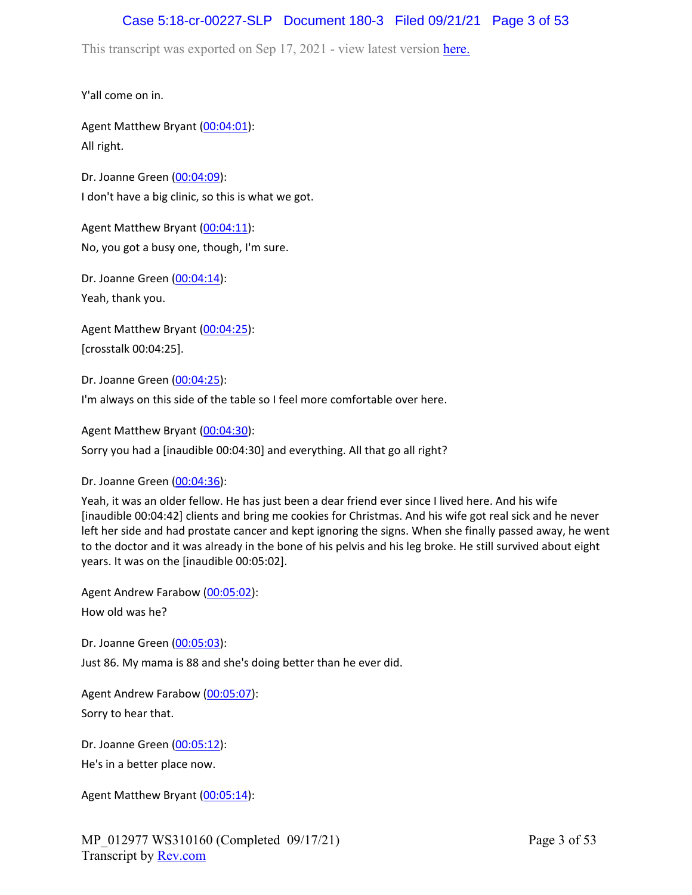### Case 5:18-cr-00227-SLP Document 180-3 Filed 09/21/21 Page 3 of 53

This transcript was exported on Sep 17, 2021 - view latest version [here.](https://www.rev.com/transcript-editor/Edit?token=I33MB_RoV1FwOoHBZ0vXCiw9XFf7Kdljsv8wmKDhXSlbDZV1-muO_uXdeLk3bhrqvxSEUBmRHZUHjbZyoStIj4NIjiQ&loadFrom=DocumentHeaderDeepLink)

Y'all come on in.

Agent Matthew Bryant ([00:04:01](https://www.rev.com/transcript-editor/Edit?token=4sMAFrM_vMX4NtFqoVp8x2NKxph0c2gHWw9j9BAcEa-PVDHKfn4-PYFVsr_zafcJ4a8X3xyQurJpZ2w2y1w3jg4leig&loadFrom=DocumentDeeplink&ts=241.9)): All right.

Dr. Joanne Green [\(00:04:09\)](https://www.rev.com/transcript-editor/Edit?token=ZzhPLQ7eFW3V-10D-M2GoS_gvrKOsL-UxQ8z6fNz9Tg0KzIBvLshJNjqAk7zuzXepvx97QEgojgSlg6G961rHSEW5lE&loadFrom=DocumentDeeplink&ts=249.55): I don't have a big clinic, so this is what we got.

Agent Matthew Bryant ([00:04:11](https://www.rev.com/transcript-editor/Edit?token=enuukJwYKYK3vJRdUgDxOQHPRqeRA32_4lGuBX4_P-zlTilgv-rN5aGkPmVmzykh9AJalD9jfRLEoA3Rz5-NtHXntyw&loadFrom=DocumentDeeplink&ts=251.21)): No, you got a busy one, though, I'm sure.

Dr. Joanne Green [\(00:04:14\)](https://www.rev.com/transcript-editor/Edit?token=EaFP2iCZ_ynII1Z0VzYd9DOFspZlo2ry351agasu8UtFvrhRlW3AAakpSFTBwslBP5TPjOp8oLnJykox6fESwQ_E0PA&loadFrom=DocumentDeeplink&ts=254.18): Yeah, thank you.

Agent Matthew Bryant ([00:04:25](https://www.rev.com/transcript-editor/Edit?token=RGVw7TkmyxhsyjNCtaeIFMHG0AyZGY4F7URS4evGiIU2G3y7ml4wpji0rm6U2wAMSq94gd980uInZKBeYxSfB9EdqmU&loadFrom=DocumentDeeplink&ts=265)): [crosstalk 00:04:25].

Dr. Joanne Green [\(00:04:25\)](https://www.rev.com/transcript-editor/Edit?token=JXosE3S309YGBsDlo_4dHSTKX4BIk771tLTTkFbcJh4WxCfW5-3m6SatpxRDEqBNUlPd8bfPOD5_bQ38VSbiL2DOCOo&loadFrom=DocumentDeeplink&ts=265.52):

I'm always on this side of the table so I feel more comfortable over here.

Agent Matthew Bryant ([00:04:30](https://www.rev.com/transcript-editor/Edit?token=oibpB6gwv9RzkwiYQd8D6Qtbyft1Co1Wdjdw2ZlzPUJkzDnPZlc9Wvph2ElARUr15fFo7MKDKD5ngSjY5GZtnZI99dE&loadFrom=DocumentDeeplink&ts=270)):

Sorry you had a [inaudible 00:04:30] and everything. All that go all right?

Dr. Joanne Green [\(00:04:36\)](https://www.rev.com/transcript-editor/Edit?token=mmzjBDm87SVJz7Vrl2S3LoWj8yCbvYeVaeuvlrIlL5FXvZ031QEobUQuDwQlplXUZ4CxaEcZM4kSVwxznId5CoCOLu0&loadFrom=DocumentDeeplink&ts=276.81):

Yeah, it was an older fellow. He has just been a dear friend ever since I lived here. And his wife [inaudible 00:04:42] clients and bring me cookies for Christmas. And his wife got real sick and he never left her side and had prostate cancer and kept ignoring the signs. When she finally passed away, he went to the doctor and it was already in the bone of his pelvis and his leg broke. He still survived about eight years. It was on the [inaudible 00:05:02].

Agent Andrew Farabow [\(00:05:02\)](https://www.rev.com/transcript-editor/Edit?token=MQ8IAMlzeVaEKJWux6AUzJftTQixLXqQCDRYpVwz8QiBjfj_zEupnQKWC7ZrNNUIlJSy0QQliSv_qm_aawqXHZe5-9o&loadFrom=DocumentDeeplink&ts=302.45): How old was he?

Dr. Joanne Green [\(00:05:03\)](https://www.rev.com/transcript-editor/Edit?token=En2rE0Lq2CHdz6GRhYaD49IB1ZamseB-Ey3sb38n6OG9dS5Y4DFPRfTn_bILwp74HDMC0qH8C0ff7bJUZtqWe17ZPaQ&loadFrom=DocumentDeeplink&ts=303.93): Just 86. My mama is 88 and she's doing better than he ever did.

Agent Andrew Farabow [\(00:05:07\)](https://www.rev.com/transcript-editor/Edit?token=XfptXKpzxQx7OL3FA9sOaREUzDFjZlCMWco68rW7-kn0i9WxfAPjnLcC2ek3cMxRAhK_TYTHv8ct9uTJQPiFMPKRMcA&loadFrom=DocumentDeeplink&ts=307.39): Sorry to hear that.

Dr. Joanne Green [\(00:05:12\)](https://www.rev.com/transcript-editor/Edit?token=8cIFy9CyfffTkYST0GZqLVVYf5r9rGpS02ILENjL83ICq0fgFRZsIJQwQy_jW3ada-BvEn8n4ydutkJDYSogf0nxyGU&loadFrom=DocumentDeeplink&ts=312.08): He's in a better place now.

Agent Matthew Bryant ([00:05:14](https://www.rev.com/transcript-editor/Edit?token=Lh-EDeE1ipxVOGXsI8JZKR7NGVYBzbsJOoaSyyWshSQC06I1OGHmyJxTCvuLY-rg6zbBOpXTWk83vYd66PWXAIbWmU4&loadFrom=DocumentDeeplink&ts=314.49)):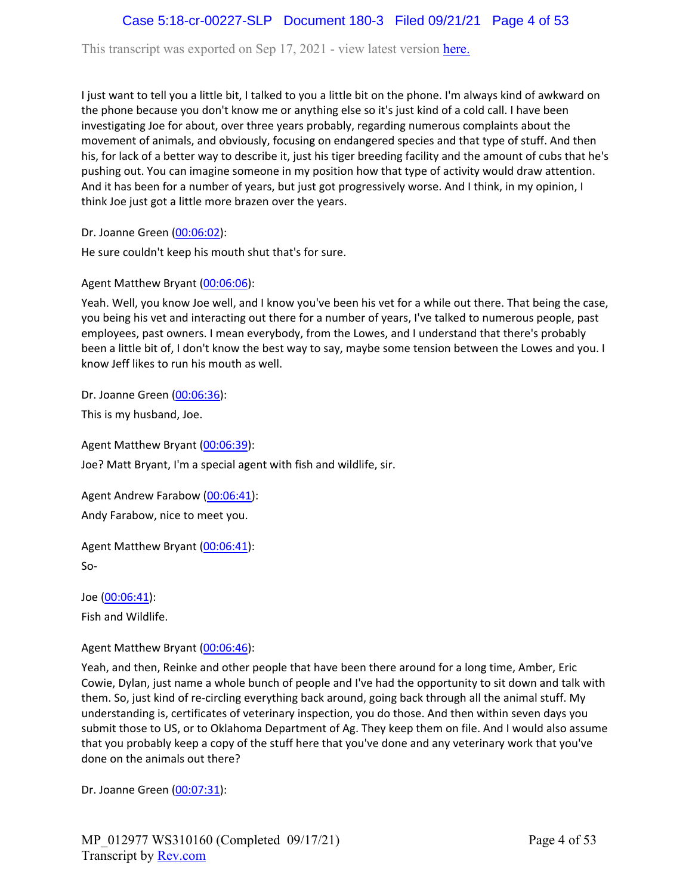## Case 5:18-cr-00227-SLP Document 180-3 Filed 09/21/21 Page 4 of 53

This transcript was exported on Sep 17, 2021 - view latest version [here.](https://www.rev.com/transcript-editor/Edit?token=I33MB_RoV1FwOoHBZ0vXCiw9XFf7Kdljsv8wmKDhXSlbDZV1-muO_uXdeLk3bhrqvxSEUBmRHZUHjbZyoStIj4NIjiQ&loadFrom=DocumentHeaderDeepLink)

I just want to tell you a little bit, I talked to you a little bit on the phone. I'm always kind of awkward on the phone because you don't know me or anything else so it's just kind of a cold call. I have been investigating Joe for about, over three years probably, regarding numerous complaints about the movement of animals, and obviously, focusing on endangered species and that type of stuff. And then his, for lack of a better way to describe it, just his tiger breeding facility and the amount of cubs that he's pushing out. You can imagine someone in my position how that type of activity would draw attention. And it has been for a number of years, but just got progressively worse. And I think, in my opinion, I think Joe just got a little more brazen over the years.

Dr. Joanne Green [\(00:06:02\)](https://www.rev.com/transcript-editor/Edit?token=QCE_zeOJaxLx8YHErozXODcMu_yxAE46ZwpNHcF6rf1L2DtGyTbyMqRepJTq56WmcIiFv4e7HYIuQYbKRxEBH5kdaa4&loadFrom=DocumentDeeplink&ts=362.83):

He sure couldn't keep his mouth shut that's for sure.

Agent Matthew Bryant ([00:06:06](https://www.rev.com/transcript-editor/Edit?token=4pG0500C6EoHTBgc2Pxc_JYG957PgV8nfphexvuhE-8fGjST2_eO73OzsxmkqM3N8p91K8IfUgwssKCwwTFdsMJhd4A&loadFrom=DocumentDeeplink&ts=366.44)):

Yeah. Well, you know Joe well, and I know you've been his vet for a while out there. That being the case, you being his vet and interacting out there for a number of years, I've talked to numerous people, past employees, past owners. I mean everybody, from the Lowes, and I understand that there's probably been a little bit of, I don't know the best way to say, maybe some tension between the Lowes and you. I know Jeff likes to run his mouth as well.

Dr. Joanne Green [\(00:06:36\)](https://www.rev.com/transcript-editor/Edit?token=YXTGwLD2P41S3noK4G7rlZC6NEUiolSmtu90_h7eLasXglGJ1TSJ7d3W_u1pWjmBW6l_byZbv-yRY8URWfGTgKA72iA&loadFrom=DocumentDeeplink&ts=396.6):

This is my husband, Joe.

Agent Matthew Bryant ([00:06:39](https://www.rev.com/transcript-editor/Edit?token=_9efxDkWD57Hzv_VLcdzs66ktKrCWie1nLTYNnTa6YjpMYIqIGY2TDOt3ZVLpSnorudRiJbm_GxT7HWxMCkBY0hBelw&loadFrom=DocumentDeeplink&ts=399.12)):

Joe? Matt Bryant, I'm a special agent with fish and wildlife, sir.

Agent Andrew Farabow [\(00:06:41\)](https://www.rev.com/transcript-editor/Edit?token=fY2XzNTEU5Hyylv9AriDaC29Hh-xOlq7ZmIHfb1ya8YSwdxCHehcG04olZPKfbtTryEJWL1s2NmfUXQs69K44S01w3U&loadFrom=DocumentDeeplink&ts=401.19): Andy Farabow, nice to meet you.

Agent Matthew Bryant ([00:06:41](https://www.rev.com/transcript-editor/Edit?token=9ctI8i3BOVjC1iuxK59uses9FfnbWnYW2glIjrOJq6W4y-yE3IElvZw9YLAugb5XsXI3VNoXFADq6O24RdHjri3AZCI&loadFrom=DocumentDeeplink&ts=401.19)): So-

Joe ([00:06:41\)](https://www.rev.com/transcript-editor/Edit?token=JUx9OyyKHSAvvjxWfPSFDBQ3kiCkZek9eATxJ05mnRtAM7SMeaNOqEH1Qoq_SA0ZC-0aX9pmCsikyiZG07Cyke8s2tk&loadFrom=DocumentDeeplink&ts=401.19): Fish and Wildlife.

Agent Matthew Bryant ([00:06:46](https://www.rev.com/transcript-editor/Edit?token=5yjO8P0OA_knc_nVcs0I-vw3FV7geNeq7800WSUPVkehFOQSBdJQN9iG_rAi8Qt4RT7u8b5t3obI9YsptFJEwhMOXhI&loadFrom=DocumentDeeplink&ts=406.37)):

Yeah, and then, Reinke and other people that have been there around for a long time, Amber, Eric Cowie, Dylan, just name a whole bunch of people and I've had the opportunity to sit down and talk with them. So, just kind of re-circling everything back around, going back through all the animal stuff. My understanding is, certificates of veterinary inspection, you do those. And then within seven days you submit those to US, or to Oklahoma Department of Ag. They keep them on file. And I would also assume that you probably keep a copy of the stuff here that you've done and any veterinary work that you've done on the animals out there?

Dr. Joanne Green [\(00:07:31\)](https://www.rev.com/transcript-editor/Edit?token=kE2DL_-mmwinhzkU4ap3kDjLgqHX7tZGwxLTgjkBk8go1tgOlrcACNEJk2wN2sDonlHazXppgPUU1Jh_kCVBXca_0ww&loadFrom=DocumentDeeplink&ts=451.22):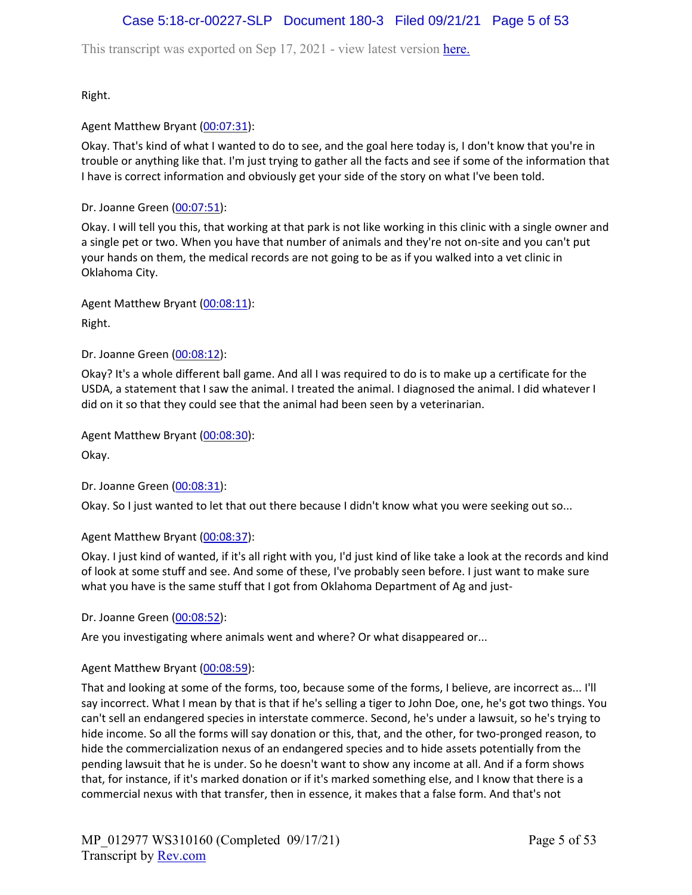## Case 5:18-cr-00227-SLP Document 180-3 Filed 09/21/21 Page 5 of 53

This transcript was exported on Sep 17, 2021 - view latest version [here.](https://www.rev.com/transcript-editor/Edit?token=I33MB_RoV1FwOoHBZ0vXCiw9XFf7Kdljsv8wmKDhXSlbDZV1-muO_uXdeLk3bhrqvxSEUBmRHZUHjbZyoStIj4NIjiQ&loadFrom=DocumentHeaderDeepLink)

Right.

Agent Matthew Bryant ([00:07:31](https://www.rev.com/transcript-editor/Edit?token=QKNEzEmczP9BjqthEC4_SOY8YuEbN2WfrPY8IHVNmIJcS1jHdUAVEOosugH9A2jrO8okcpdANMHnV3db1GUPUIzO_bw&loadFrom=DocumentDeeplink&ts=451.68)):

Okay. That's kind of what I wanted to do to see, and the goal here today is, I don't know that you're in trouble or anything like that. I'm just trying to gather all the facts and see if some of the information that I have is correct information and obviously get your side of the story on what I've been told.

Dr. Joanne Green [\(00:07:51\)](https://www.rev.com/transcript-editor/Edit?token=8MD3R9G3s5-4IqUZstpywHlmTmnwa31kHfa5g2Wy_AjAtYVzU8_Fb13YhRQZacgsjCt5GL12v8MzoGfil_3muPK4Ywg&loadFrom=DocumentDeeplink&ts=471.01):

Okay. I will tell you this, that working at that park is not like working in this clinic with a single owner and a single pet or two. When you have that number of animals and they're not on-site and you can't put your hands on them, the medical records are not going to be as if you walked into a vet clinic in Oklahoma City.

Agent Matthew Bryant ([00:08:11](https://www.rev.com/transcript-editor/Edit?token=MT5nrimvLQVzjgOXX0ZNrorCieBqZq7NfL6mH5OpEMlS8aJqnT21QaoFOlgXRyRFf2NcCE3nY15ap-g1nzAqSce_IRk&loadFrom=DocumentDeeplink&ts=491.55)):

Right.

Dr. Joanne Green [\(00:08:12\)](https://www.rev.com/transcript-editor/Edit?token=HRjcajWoThY3KW0M6lN6AqTw2fugK2b0cCZrWOV6pJmmxYoudtRcZVwLCKW7ii0735BfO2izN3y7BTTSiHW8iQ17waQ&loadFrom=DocumentDeeplink&ts=492.13):

Okay? It's a whole different ball game. And all I was required to do is to make up a certificate for the USDA, a statement that I saw the animal. I treated the animal. I diagnosed the animal. I did whatever I did on it so that they could see that the animal had been seen by a veterinarian.

Agent Matthew Bryant ([00:08:30](https://www.rev.com/transcript-editor/Edit?token=uybaSlrJejOuy-N0O8oF2w3RjJmcj09WuQUw6FppKhgYpKMnYDOpD-P7ebLocIT4Ja6J-LYmY_MXiVuMtv9o090wOp8&loadFrom=DocumentDeeplink&ts=510.78)):

Okay.

Dr. Joanne Green [\(00:08:31\)](https://www.rev.com/transcript-editor/Edit?token=P1YvTFSXgzWPatTiBTR0CmDNq7C4T6TM7s9hHbU4tjecLtKifQWAX3P5C0hqKTYzQW8RJ5gkhKWUga7rTXCLp7buUI0&loadFrom=DocumentDeeplink&ts=511.4):

Okay. So I just wanted to let that out there because I didn't know what you were seeking out so...

#### Agent Matthew Bryant ([00:08:37](https://www.rev.com/transcript-editor/Edit?token=S1B1Z5lxelm-sONvuIYAOrJMr_dEC3XKdOQEXiiU_0H3rSjzU3ChFhqcmz_E1HpqjdGoVIIDO42iSg7H7lJBVjelq6w&loadFrom=DocumentDeeplink&ts=517.97)):

Okay. I just kind of wanted, if it's all right with you, I'd just kind of like take a look at the records and kind of look at some stuff and see. And some of these, I've probably seen before. I just want to make sure what you have is the same stuff that I got from Oklahoma Department of Ag and just-

Dr. Joanne Green [\(00:08:52\)](https://www.rev.com/transcript-editor/Edit?token=lVe-Bbjk5a7dC8SY_vXuinKz6gMT9vyHPzEHNMRTGOquoDdNmYcLJ5Rm1TC5spN9_VOEIYgqbineCKEjisQ3E87rGug&loadFrom=DocumentDeeplink&ts=532.67):

Are you investigating where animals went and where? Or what disappeared or...

#### Agent Matthew Bryant ([00:08:59](https://www.rev.com/transcript-editor/Edit?token=5O9lt9exx0YpJyJXU-QSnJsK264ytGVx5LrLA2Leopil78yeKsNPCkOKjL69EeYNmOAjTe8AXEDp1Nnyt3_vMmbFfu4&loadFrom=DocumentDeeplink&ts=539.41)):

That and looking at some of the forms, too, because some of the forms, I believe, are incorrect as... I'll say incorrect. What I mean by that is that if he's selling a tiger to John Doe, one, he's got two things. You can't sell an endangered species in interstate commerce. Second, he's under a lawsuit, so he's trying to hide income. So all the forms will say donation or this, that, and the other, for two-pronged reason, to hide the commercialization nexus of an endangered species and to hide assets potentially from the pending lawsuit that he is under. So he doesn't want to show any income at all. And if a form shows that, for instance, if it's marked donation or if it's marked something else, and I know that there is a commercial nexus with that transfer, then in essence, it makes that a false form. And that's not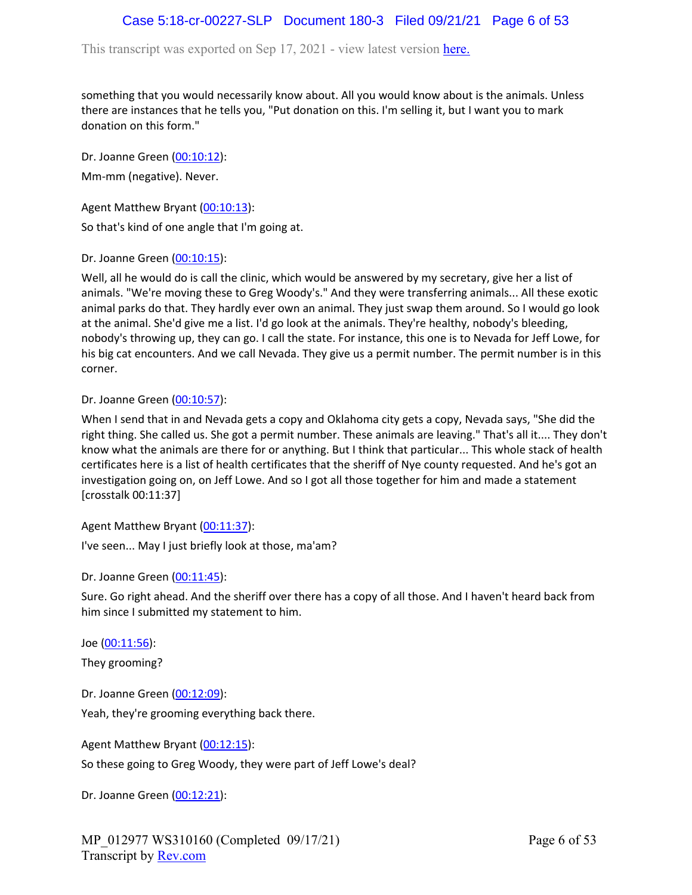This transcript was exported on Sep 17, 2021 - view latest version [here.](https://www.rev.com/transcript-editor/Edit?token=I33MB_RoV1FwOoHBZ0vXCiw9XFf7Kdljsv8wmKDhXSlbDZV1-muO_uXdeLk3bhrqvxSEUBmRHZUHjbZyoStIj4NIjiQ&loadFrom=DocumentHeaderDeepLink)

something that you would necessarily know about. All you would know about is the animals. Unless there are instances that he tells you, "Put donation on this. I'm selling it, but I want you to mark donation on this form."

Dr. Joanne Green [\(00:10:12\)](https://www.rev.com/transcript-editor/Edit?token=I6mNdRvJdw7Tw3rnCDuNWNAR8EgkJntwmTzJU8BS7ar20I-GbyeiE_Gq-5nHd3q0Vrvcd16UkQ972gXRcC2Iw9qZcME&loadFrom=DocumentDeeplink&ts=612.79): Mm-mm (negative). Never.

Agent Matthew Bryant ([00:10:13](https://www.rev.com/transcript-editor/Edit?token=AfZA7QscaGdvNJq47ZGTXVE2IyZL55A6C_mOItsGrrpJLmsUJ1d1RDGgmdiE2gjsCwnBd5SAi0Hgjf9Ji5pgOUUTXmM&loadFrom=DocumentDeeplink&ts=613.24)):

So that's kind of one angle that I'm going at.

Dr. Joanne Green [\(00:10:15\)](https://www.rev.com/transcript-editor/Edit?token=81JXa5SHOUZqRERi8DEaGhPCNN0lJJ96H2mZz10rBfQejclH7sqz5cACE4NyamgnKzux8byVhLKLRjGjxAujx7NA3MY&loadFrom=DocumentDeeplink&ts=615.96):

Well, all he would do is call the clinic, which would be answered by my secretary, give her a list of animals. "We're moving these to Greg Woody's." And they were transferring animals... All these exotic animal parks do that. They hardly ever own an animal. They just swap them around. So I would go look at the animal. She'd give me a list. I'd go look at the animals. They're healthy, nobody's bleeding, nobody's throwing up, they can go. I call the state. For instance, this one is to Nevada for Jeff Lowe, for his big cat encounters. And we call Nevada. They give us a permit number. The permit number is in this corner.

Dr. Joanne Green [\(00:10:57\)](https://www.rev.com/transcript-editor/Edit?token=qGIZb1IyaPkXsIJ63HqbjgiT7juKDz220Tz-c8BJ9u2m280ILc418-4nYBfKJVLXjdb4qBXTQScPLtoPnFGetH2HSQI&loadFrom=DocumentDeeplink&ts=657.8):

When I send that in and Nevada gets a copy and Oklahoma city gets a copy, Nevada says, "She did the right thing. She called us. She got a permit number. These animals are leaving." That's all it.... They don't know what the animals are there for or anything. But I think that particular... This whole stack of health certificates here is a list of health certificates that the sheriff of Nye county requested. And he's got an investigation going on, on Jeff Lowe. And so I got all those together for him and made a statement [crosstalk 00:11:37]

Agent Matthew Bryant ([00:11:37](https://www.rev.com/transcript-editor/Edit?token=3CqLk8oIeCNU12Q0VYpAowcHMjMFwcm3bqFR_QkwPnAoBzbEyyEnJgflq7cDpki1hfbv1wTRIMi3jDTh19SLCRH7ND8&loadFrom=DocumentDeeplink&ts=697.12)):

I've seen... May I just briefly look at those, ma'am?

Dr. Joanne Green [\(00:11:45\)](https://www.rev.com/transcript-editor/Edit?token=1NSCEQStuLHdaAadyWib1LBu7nZqFcegCD4h9xWd4trG0VFDIPvJEKoRlhWvv24enFoKmyfGSHvXk0JQ7P_sogT2mVo&loadFrom=DocumentDeeplink&ts=705.92):

Sure. Go right ahead. And the sheriff over there has a copy of all those. And I haven't heard back from him since I submitted my statement to him.

Joe ([00:11:56\)](https://www.rev.com/transcript-editor/Edit?token=-P7r7EkFJHEYC1fDrEp1pIkwqM6qFinB_WPjoSviPyu-mN3AQRXJssjIpxNtZwDbAxiXOybi1vLtmNPBYAnbCP8dvvQ&loadFrom=DocumentDeeplink&ts=716.97): They grooming?

Dr. Joanne Green [\(00:12:09\)](https://www.rev.com/transcript-editor/Edit?token=8SmtNrOygRY6pOZgLzx65FrJPp-8VD84v8rTKpHNIY_iV8ZD4GGxMSisXjvRRSuBY1zFceQpuktwNe50iMJ91MpSr18&loadFrom=DocumentDeeplink&ts=729.97): Yeah, they're grooming everything back there.

Agent Matthew Bryant ([00:12:15](https://www.rev.com/transcript-editor/Edit?token=CzTi65NVFInrv2JsAzz192t8ArE-F52WTRzC93GCTnY-0hztNyEoBk191abwrGqn-vcBf6F7sh304dCV68THQ6awgXo&loadFrom=DocumentDeeplink&ts=735.84)): So these going to Greg Woody, they were part of Jeff Lowe's deal?

Dr. Joanne Green [\(00:12:21\)](https://www.rev.com/transcript-editor/Edit?token=POEW-nDig1Sx6zsbPiUS2AdjDCdcjIV0JSDsAa4mP19BbSdOdpsqIe60khl7cHM9alJhtBTk2P7FaDqBfqjdYz--D4U&loadFrom=DocumentDeeplink&ts=741.94):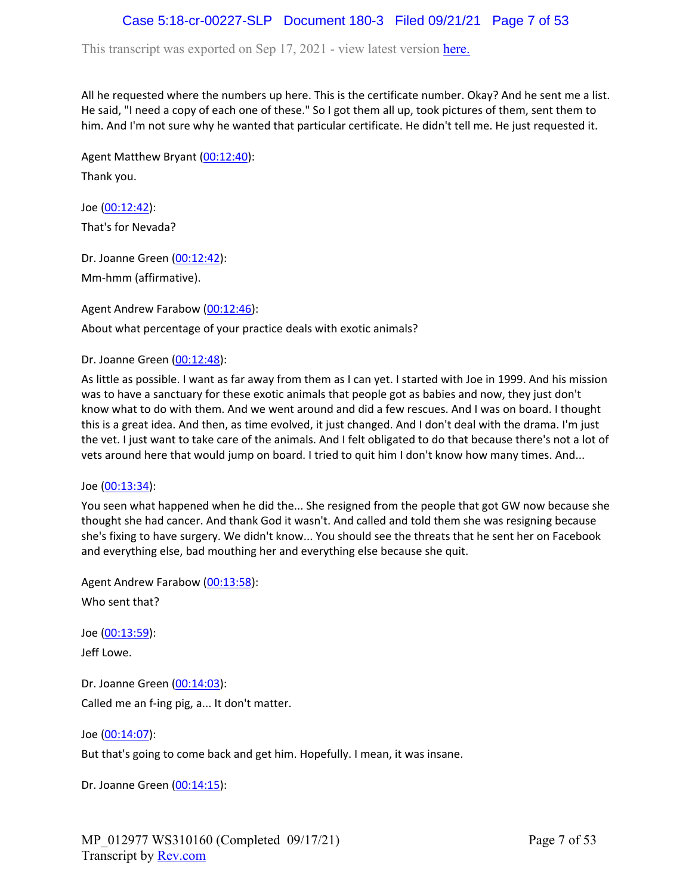# Case 5:18-cr-00227-SLP Document 180-3 Filed 09/21/21 Page 7 of 53

This transcript was exported on Sep 17, 2021 - view latest version [here.](https://www.rev.com/transcript-editor/Edit?token=I33MB_RoV1FwOoHBZ0vXCiw9XFf7Kdljsv8wmKDhXSlbDZV1-muO_uXdeLk3bhrqvxSEUBmRHZUHjbZyoStIj4NIjiQ&loadFrom=DocumentHeaderDeepLink)

All he requested where the numbers up here. This is the certificate number. Okay? And he sent me a list. He said, "I need a copy of each one of these." So I got them all up, took pictures of them, sent them to him. And I'm not sure why he wanted that particular certificate. He didn't tell me. He just requested it.

Agent Matthew Bryant ([00:12:40](https://www.rev.com/transcript-editor/Edit?token=jPb5j6gORF_f1TOPvmE2DFAjUCX0V3udMCeUFPE58PAs1HFa96iJ1vKxousgna2lttGMhyiipKJtZUHG7-q31qXFcFM&loadFrom=DocumentDeeplink&ts=760.7)): Thank you.

Joe ([00:12:42\)](https://www.rev.com/transcript-editor/Edit?token=ilDzOqK7yTUEAvHQ_-ComlYix2ZZ8mYXPyDinRA1vKrSQZr0D5woEw5_ljGeYizbei_z0X4rFa50eS5JgHgg-YU9YKA&loadFrom=DocumentDeeplink&ts=762.84): That's for Nevada?

Dr. Joanne Green [\(00:12:42\)](https://www.rev.com/transcript-editor/Edit?token=YOhYRuf4DgE3zpzOAEwq6pxQtyRvMLp1pV-pDfPl-qAfdVTYrJGVwa6lOj1W749wBiGhxi0caibklFu3HOr7ZHZsCWI&loadFrom=DocumentDeeplink&ts=762.99): Mm-hmm (affirmative).

Agent Andrew Farabow [\(00:12:46\)](https://www.rev.com/transcript-editor/Edit?token=kgnMBDovOy3BbH15LvsYzcyMvkL6L2mz9zsBO78r64POPj-fEv8Ej5__UF9Hl38JB_Pp8uVpgV191ba7bFQQopg1Ehc&loadFrom=DocumentDeeplink&ts=766.59): About what percentage of your practice deals with exotic animals?

Dr. Joanne Green [\(00:12:48\)](https://www.rev.com/transcript-editor/Edit?token=HkGC1uXE7jvRRHZ8WbeFBbx3mQ3_oBX54fkJDRU2aOshEyklIzU6xgM0DkRMFjpi75A_hPgfmW_qmI885fk1Y8vfnGo&loadFrom=DocumentDeeplink&ts=768.46):

As little as possible. I want as far away from them as I can yet. I started with Joe in 1999. And his mission was to have a sanctuary for these exotic animals that people got as babies and now, they just don't know what to do with them. And we went around and did a few rescues. And I was on board. I thought this is a great idea. And then, as time evolved, it just changed. And I don't deal with the drama. I'm just the vet. I just want to take care of the animals. And I felt obligated to do that because there's not a lot of vets around here that would jump on board. I tried to quit him I don't know how many times. And...

Joe ([00:13:34\)](https://www.rev.com/transcript-editor/Edit?token=zUA3hMe-_cM5T2DeorWNqsM5aIq15VxoJcQbM0Pd6uhtn2Zo8UE5HgIcxQOtCTLV8WJjCk1_4-amqoJCQB7nvRbbLY0&loadFrom=DocumentDeeplink&ts=814.74):

You seen what happened when he did the... She resigned from the people that got GW now because she thought she had cancer. And thank God it wasn't. And called and told them she was resigning because she's fixing to have surgery. We didn't know... You should see the threats that he sent her on Facebook and everything else, bad mouthing her and everything else because she quit.

Agent Andrew Farabow [\(00:13:58\)](https://www.rev.com/transcript-editor/Edit?token=oJIZMZoo7LJ8axJMhflbVfV7qEqBN7xDpjldCL7yHbn_ej8B8NcODC1zzT65T76x-wrTYIa_rcnrtKI6nJPgoW2gp0A&loadFrom=DocumentDeeplink&ts=838.59): Who sent that?

Joe ([00:13:59\)](https://www.rev.com/transcript-editor/Edit?token=XOX0KM8CyrFV88YAY1Q_z2fdG26DcY5S1tCrcyAVp9czJNbycVUupE3DHUzZnXTlZSoRia6ctDBaKwrKJOU9ITf_eh8&loadFrom=DocumentDeeplink&ts=839.42):

Jeff Lowe.

Dr. Joanne Green [\(00:14:03\)](https://www.rev.com/transcript-editor/Edit?token=vqRZcip3rPBStD31_MfwTQMuEPw4pUoUje-xUls0UbZvbaU4rV8VkxcM_9sVyeNX5wkaRDx4max7ij4mGwMt7vy3gzo&loadFrom=DocumentDeeplink&ts=843.4): Called me an f-ing pig, a... It don't matter.

Joe ([00:14:07\)](https://www.rev.com/transcript-editor/Edit?token=oC89931_EjPJRqme6Pkxn4WiJGiKZc9lzAuJsZYflfCKo3w-6DdNh3_ldQMA9C-Puj6xYwmioR92aUI3AGu0H33-roU&loadFrom=DocumentDeeplink&ts=847.21): But that's going to come back and get him. Hopefully. I mean, it was insane.

Dr. Joanne Green [\(00:14:15\)](https://www.rev.com/transcript-editor/Edit?token=pyYW-TK15spgzhmHTunF6_VjcXsyT5sx-CLGKBd-2zzfAfQEZ2zxrBzjIk37ZcuOZoFk5JVygF1mB2hIoZTwwdDfxXg&loadFrom=DocumentDeeplink&ts=855.23):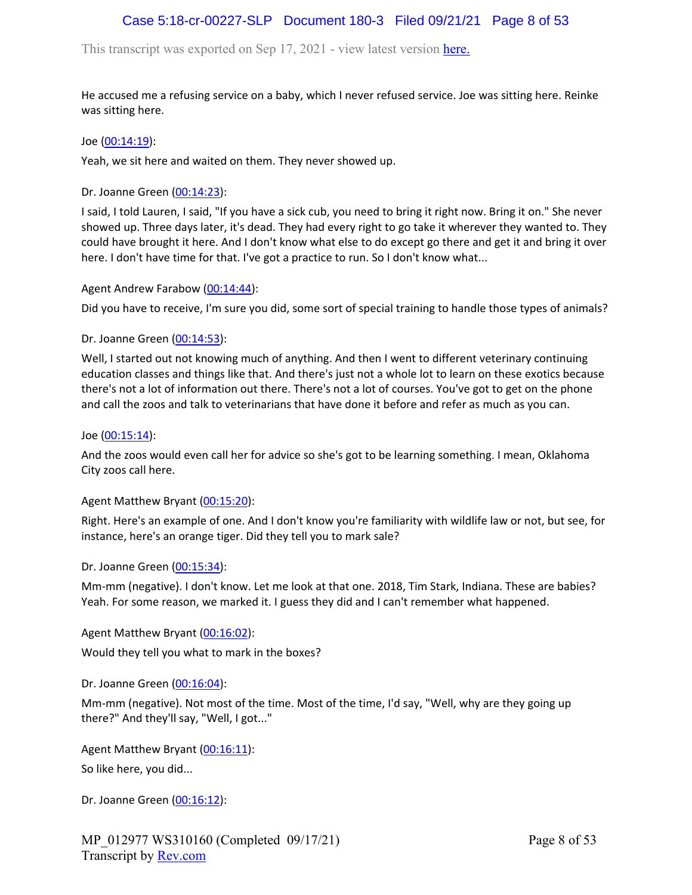## Case 5:18-cr-00227-SLP Document 180-3 Filed 09/21/21 Page 8 of 53

This transcript was exported on Sep 17, 2021 - view latest version [here.](https://www.rev.com/transcript-editor/Edit?token=I33MB_RoV1FwOoHBZ0vXCiw9XFf7Kdljsv8wmKDhXSlbDZV1-muO_uXdeLk3bhrqvxSEUBmRHZUHjbZyoStIj4NIjiQ&loadFrom=DocumentHeaderDeepLink)

He accused me a refusing service on a baby, which I never refused service. Joe was sitting here. Reinke was sitting here.

Joe ([00:14:19\)](https://www.rev.com/transcript-editor/Edit?token=rzyzLOS0SZMpNjhmghidSWiBWLTE3N-ZYDAwTBhFaz6GRQ7Gpkm-QS37DQE6tiFyjOoGdsxRpBnSB3Y8iD9ktdmCt3Q&loadFrom=DocumentDeeplink&ts=859.95):

Yeah, we sit here and waited on them. They never showed up.

Dr. Joanne Green [\(00:14:23\)](https://www.rev.com/transcript-editor/Edit?token=FYSUQ8e-BXloIleoPkIG2msAx5ikDgyYiBVyn0482cRdg9wNfUL3mqGgBmSfEkI0mLuRnLyBKBmwUEtG0GBJL9t1hVk&loadFrom=DocumentDeeplink&ts=863.03):

I said, I told Lauren, I said, "If you have a sick cub, you need to bring it right now. Bring it on." She never showed up. Three days later, it's dead. They had every right to go take it wherever they wanted to. They could have brought it here. And I don't know what else to do except go there and get it and bring it over here. I don't have time for that. I've got a practice to run. So I don't know what...

#### Agent Andrew Farabow [\(00:14:44\)](https://www.rev.com/transcript-editor/Edit?token=aPziF6XcrA790hRHEJ5UKgRbOl2tqV1duS7j9ftnzfCXINpRSREFfpYvheDpYzFo7eFmvDl11BXfY0FK1RqdAwV38W8&loadFrom=DocumentDeeplink&ts=884.33):

Did you have to receive, I'm sure you did, some sort of special training to handle those types of animals?

Dr. Joanne Green [\(00:14:53\)](https://www.rev.com/transcript-editor/Edit?token=8f0uoNolhROY-_XrsnvMS5NNPTud0vyKt8WJFSzjJr2W64jxBsq3G7Vxx9arYuCK-9K6EAH_ThUQV4dkZusglIXxhc8&loadFrom=DocumentDeeplink&ts=893.41):

Well, I started out not knowing much of anything. And then I went to different veterinary continuing education classes and things like that. And there's just not a whole lot to learn on these exotics because there's not a lot of information out there. There's not a lot of courses. You've got to get on the phone and call the zoos and talk to veterinarians that have done it before and refer as much as you can.

Joe ([00:15:14\)](https://www.rev.com/transcript-editor/Edit?token=Lyi5nuE9NCGPYO0DTjyQ_mu92Yld1xT6q568EOUiAB_HgHmsLvQF9namUeUUO5voiWvM5EX2LPENsnEoPbsDuLDjSqQ&loadFrom=DocumentDeeplink&ts=914.37):

And the zoos would even call her for advice so she's got to be learning something. I mean, Oklahoma City zoos call here.

#### Agent Matthew Bryant ([00:15:20](https://www.rev.com/transcript-editor/Edit?token=9oCIvnGLzB8OtkHvvnW8CanHJhdnaxeu5xf2b-L9rQbOBhGTR8A9wr9ne34LH2NeKLvq2-olt2aq9JZoWVNtOcetlYg&loadFrom=DocumentDeeplink&ts=920.15)):

Right. Here's an example of one. And I don't know you're familiarity with wildlife law or not, but see, for instance, here's an orange tiger. Did they tell you to mark sale?

#### Dr. Joanne Green [\(00:15:34\)](https://www.rev.com/transcript-editor/Edit?token=0YitXGP7gHc0RzLEEsnNnrvVDRL2hnqn0Ntm5IRlWM1D6x6riMSNgDAZtF5YCM9mYNv7pnk1qXkbg9BlQ1lFUXFjWMQ&loadFrom=DocumentDeeplink&ts=934.26):

Mm-mm (negative). I don't know. Let me look at that one. 2018, Tim Stark, Indiana. These are babies? Yeah. For some reason, we marked it. I guess they did and I can't remember what happened.

#### Agent Matthew Bryant ([00:16:02](https://www.rev.com/transcript-editor/Edit?token=HrJy2NY3ZSWYuR7R3ZuVx7NvIaM7zIcO-hIy2tw2f-5Wbxr86V6-n83zTElun8gN9uEeRGhZiHCZ2yZcqwtPRjpm1vw&loadFrom=DocumentDeeplink&ts=962.21)):

Would they tell you what to mark in the boxes?

#### Dr. Joanne Green [\(00:16:04\)](https://www.rev.com/transcript-editor/Edit?token=4QyUn_rPswWCoLPr2NgH1CZ2jjYhzeXJDBNCSEvpyodKOvRDMzzWGClRlPdvtyZzIqhZ3SSro4VTSNJjLvyYNz8pORU&loadFrom=DocumentDeeplink&ts=964.53):

Mm-mm (negative). Not most of the time. Most of the time, I'd say, "Well, why are they going up there?" And they'll say, "Well, I got..."

Agent Matthew Bryant ([00:16:11](https://www.rev.com/transcript-editor/Edit?token=-7MoD1Zf0568bGqzZTsCWZ9_Iqf30lX0IuuwVsTMP6j3pHvPhUySs_yXQesVJLkdlZurvizf9O3kjsxdCTRW4Ca-mSM&loadFrom=DocumentDeeplink&ts=971.27)):

So like here, you did...

Dr. Joanne Green [\(00:16:12\)](https://www.rev.com/transcript-editor/Edit?token=e21cexC0rcc9nhQlDkjXrTJlY17tnH03h9DoIBH1EYJnpNz2bJw9-V2NY2jDsQVwIIdopEP1s20H5CuHdWoDEjD2lmQ&loadFrom=DocumentDeeplink&ts=972.63):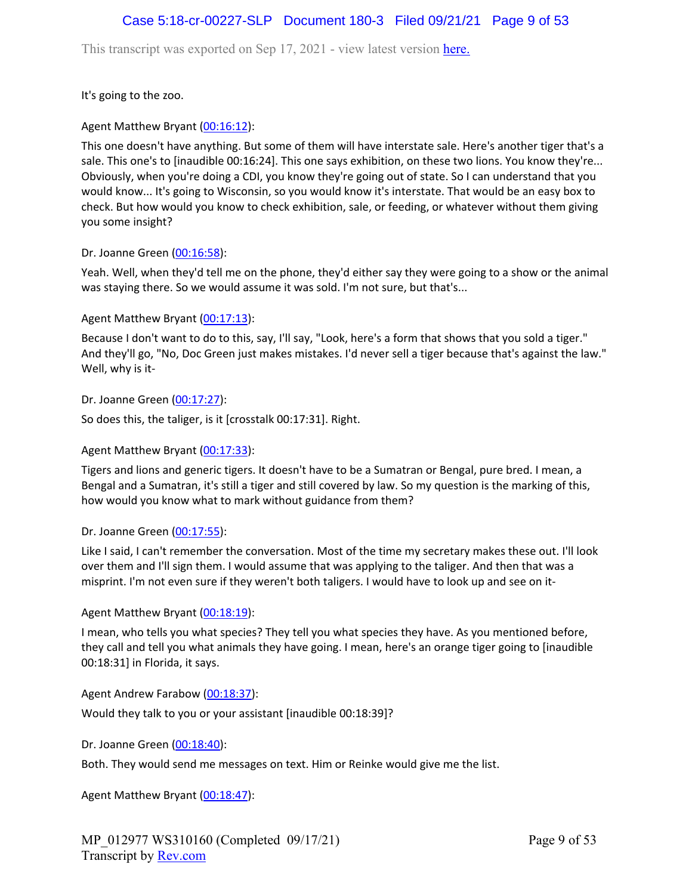### Case 5:18-cr-00227-SLP Document 180-3 Filed 09/21/21 Page 9 of 53

This transcript was exported on Sep 17, 2021 - view latest version [here.](https://www.rev.com/transcript-editor/Edit?token=I33MB_RoV1FwOoHBZ0vXCiw9XFf7Kdljsv8wmKDhXSlbDZV1-muO_uXdeLk3bhrqvxSEUBmRHZUHjbZyoStIj4NIjiQ&loadFrom=DocumentHeaderDeepLink)

It's going to the zoo.

### Agent Matthew Bryant ([00:16:12](https://www.rev.com/transcript-editor/Edit?token=m0nGwsfsc3NULKVWGlkVDEYi0HelymM54SJX4n11KDLXxldZi_vW1aQ9RFijdX6lIkatH7l1xC-lXeP_i0im6Lg24Dk&loadFrom=DocumentDeeplink&ts=972.76)):

This one doesn't have anything. But some of them will have interstate sale. Here's another tiger that's a sale. This one's to [inaudible 00:16:24]. This one says exhibition, on these two lions. You know they're... Obviously, when you're doing a CDI, you know they're going out of state. So I can understand that you would know... It's going to Wisconsin, so you would know it's interstate. That would be an easy box to check. But how would you know to check exhibition, sale, or feeding, or whatever without them giving you some insight?

#### Dr. Joanne Green [\(00:16:58\)](https://www.rev.com/transcript-editor/Edit?token=2o9a-g9GA2m94ekpuDB70ntsvGKTU9z34uRFWtzpTbvmioyhFA4IYVB0EbqQN-yR-77sCFFYWSK_oDxpfC61Dih1_ns&loadFrom=DocumentDeeplink&ts=1018.68):

Yeah. Well, when they'd tell me on the phone, they'd either say they were going to a show or the animal was staying there. So we would assume it was sold. I'm not sure, but that's...

### Agent Matthew Bryant ([00:17:13](https://www.rev.com/transcript-editor/Edit?token=HiyP4Pa4lRbsik3SvLAu-C4L2L_4182IYrNQ-ez1T7yJQw_4QqHEgCdv2PkO93WFBs6DiqSs4AwY87F-O-2odc-_Efg&loadFrom=DocumentDeeplink&ts=1033.44)):

Because I don't want to do to this, say, I'll say, "Look, here's a form that shows that you sold a tiger." And they'll go, "No, Doc Green just makes mistakes. I'd never sell a tiger because that's against the law." Well, why is it-

Dr. Joanne Green [\(00:17:27\)](https://www.rev.com/transcript-editor/Edit?token=EVMqaS8pwgNbpVecYSEpo2OMpJzuLSe5cpYYHaY8muKlAgdCm4ZVhgHH3N2SNjP_q5DzT8laWdW1Ly9Ql_VGOxJHh10&loadFrom=DocumentDeeplink&ts=1047.1):

So does this, the taliger, is it [crosstalk 00:17:31]. Right.

#### Agent Matthew Bryant ([00:17:33](https://www.rev.com/transcript-editor/Edit?token=2VQyZoM34SKBrq8lifAkuA0zbRsTzSrNOqo0iNRDl2T1dWxYVEeznE5OaYWbpS_lulaFCbKj9BgZd4351UoiqF4XIp0&loadFrom=DocumentDeeplink&ts=1053.1)):

Tigers and lions and generic tigers. It doesn't have to be a Sumatran or Bengal, pure bred. I mean, a Bengal and a Sumatran, it's still a tiger and still covered by law. So my question is the marking of this, how would you know what to mark without guidance from them?

#### Dr. Joanne Green [\(00:17:55\)](https://www.rev.com/transcript-editor/Edit?token=nnh8JtRKG9sqylUC0KJxRg45yBjurpcWkjcgU0eI9n-VzpfsecypimZqPQfIPNDZGLLcU0mtS0zjfPIm89_n0_QjB1E&loadFrom=DocumentDeeplink&ts=1075.41):

Like I said, I can't remember the conversation. Most of the time my secretary makes these out. I'll look over them and I'll sign them. I would assume that was applying to the taliger. And then that was a misprint. I'm not even sure if they weren't both taligers. I would have to look up and see on it-

#### Agent Matthew Bryant ([00:18:19](https://www.rev.com/transcript-editor/Edit?token=HVgoGuGlTYeF33Pi2o5f5OJQluajDbYjb8MF-TvSSij6V3ynf6xZiXdx3VJ3iMPWiZafQYnxXzTMEeMViHjV_8HMkW0&loadFrom=DocumentDeeplink&ts=1099.69)):

I mean, who tells you what species? They tell you what species they have. As you mentioned before, they call and tell you what animals they have going. I mean, here's an orange tiger going to [inaudible 00:18:31] in Florida, it says.

Agent Andrew Farabow [\(00:18:37\)](https://www.rev.com/transcript-editor/Edit?token=kNDYRmcotl1XwOmQVBSfhnSTdQQYOgz8e8D26xQT9PGbsgsNc5gWtTGsYBPvKPBuHGzZZFes786wpW0S_mQU-5UCjoo&loadFrom=DocumentDeeplink&ts=1117.29): Would they talk to you or your assistant [inaudible 00:18:39]?

Dr. Joanne Green [\(00:18:40\)](https://www.rev.com/transcript-editor/Edit?token=IunEeeHZ-hfoKhBwAzaZr6YWMus4vGxG9lAU8z7N_yiHKF4858EOdNF7traO3-LdDhkOrMZaIT25zQB9xg7EyRBo2I0&loadFrom=DocumentDeeplink&ts=1120.63):

Both. They would send me messages on text. Him or Reinke would give me the list.

Agent Matthew Bryant ([00:18:47](https://www.rev.com/transcript-editor/Edit?token=0EamYKM2V6RBuDQ5ZCXVA3hySoKnK5Lg1HAlWYx96VX0PpEOQeBfFA5wqg_tF6yCURAIQSSxaJmSivkOJQCFvjHUk5U&loadFrom=DocumentDeeplink&ts=1127.87)):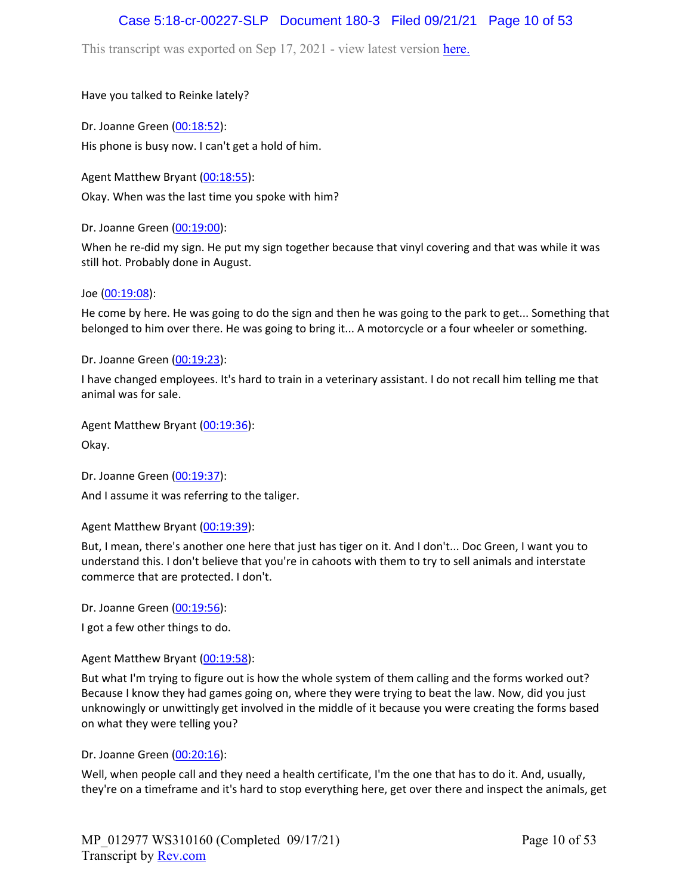## Case 5:18-cr-00227-SLP Document 180-3 Filed 09/21/21 Page 10 of 53

This transcript was exported on Sep 17, 2021 - view latest version [here.](https://www.rev.com/transcript-editor/Edit?token=I33MB_RoV1FwOoHBZ0vXCiw9XFf7Kdljsv8wmKDhXSlbDZV1-muO_uXdeLk3bhrqvxSEUBmRHZUHjbZyoStIj4NIjiQ&loadFrom=DocumentHeaderDeepLink)

Have you talked to Reinke lately?

Dr. Joanne Green [\(00:18:52\)](https://www.rev.com/transcript-editor/Edit?token=xComvMQJfWzlQF-AN7y4MSyrOCFW-nqprOCRrVxgDp8954XkVdGOtN2jX4tGJuhTvx1ZW2laC7nsGT6zkAvEeCZ05So&loadFrom=DocumentDeeplink&ts=1132.34): His phone is busy now. I can't get a hold of him.

Agent Matthew Bryant ([00:18:55](https://www.rev.com/transcript-editor/Edit?token=cTUITHRPBRg9BxMLFwzK-08AR5Z3saBnuVlbDzTENKKjMHI_qgzf3jzvBOU4EADLK1C_3SHB5KK2ankKvd0UtDK4cmY&loadFrom=DocumentDeeplink&ts=1135.95)): Okay. When was the last time you spoke with him?

Dr. Joanne Green [\(00:19:00\)](https://www.rev.com/transcript-editor/Edit?token=cMfwvLb8yIBKDmcp401h49j8Dk90nV3aMGaiPUSWZmi4tIGhkzqtaVQnz-uxMvP8RQC6bJU_iNYfMy8wZes_9R5MZ4k&loadFrom=DocumentDeeplink&ts=1140.07):

When he re-did my sign. He put my sign together because that vinyl covering and that was while it was still hot. Probably done in August.

Joe ([00:19:08\)](https://www.rev.com/transcript-editor/Edit?token=NqCWd6550s1ra57ZFomy5Mr6ol36vuIOmnLchn4djRVN9WB1yAlysX_z4vQbTvWqRBVJv688gCpEZHwWfNHwH0viU2Q&loadFrom=DocumentDeeplink&ts=1148.61):

He come by here. He was going to do the sign and then he was going to the park to get... Something that belonged to him over there. He was going to bring it... A motorcycle or a four wheeler or something.

Dr. Joanne Green [\(00:19:23\)](https://www.rev.com/transcript-editor/Edit?token=qc4SphxIAKgPF-tbIZNhW0WuBDkdjZ2TPKoY_fFa0mc2zk9j5hDvIYPLpv63a5YT-WdUD449O01ft131CqzRs-CUqP8&loadFrom=DocumentDeeplink&ts=1163.91):

I have changed employees. It's hard to train in a veterinary assistant. I do not recall him telling me that animal was for sale.

Agent Matthew Bryant ([00:19:36](https://www.rev.com/transcript-editor/Edit?token=lbJa3QRotbUUfM8qXL5sqpCiHAHXHTlre1OX5b5U9QdOg5SuD5v4XcIx0T7xQCEmViIfIqMmhmUYaUK1dv_4aV_G7BA&loadFrom=DocumentDeeplink&ts=1176.01)):

Okay.

Dr. Joanne Green [\(00:19:37\)](https://www.rev.com/transcript-editor/Edit?token=NVTQZEFY8GiStBfXiazavwaGMcXtTKvGFw39ELEc4il2mV71ldA1ooTBP_s2MqBQdpJrdka1XarUhDPgymLmjZcHDD4&loadFrom=DocumentDeeplink&ts=1177.78):

And I assume it was referring to the taliger.

Agent Matthew Bryant ([00:19:39](https://www.rev.com/transcript-editor/Edit?token=oCNrvLL2UjZD4digz6iXgJ6lcaPxiB5ci4h_yAfVZ2PVBi8qsYnXNrNza1e8D-7IFyi-qual5nIXjlxgz2PKzfcb__M&loadFrom=DocumentDeeplink&ts=1179.76)):

But, I mean, there's another one here that just has tiger on it. And I don't... Doc Green, I want you to understand this. I don't believe that you're in cahoots with them to try to sell animals and interstate commerce that are protected. I don't.

Dr. Joanne Green [\(00:19:56\)](https://www.rev.com/transcript-editor/Edit?token=ZFrgdM-bOqRnZem30HgQSATSp4Q1zBOYvWMmlQpAsH9IS6_b1ZsW5d3rgsvBlQW1U_REMEY1wjrL7JfJalefVJO-v_g&loadFrom=DocumentDeeplink&ts=1196.7):

I got a few other things to do.

Agent Matthew Bryant ([00:19:58](https://www.rev.com/transcript-editor/Edit?token=4hXqWFsR55B3gn8UOvLSRXqaVrpwRXTyUrLaSPKz7XSxrBl6bJ8gbyfl5Jz8kv4GJ1zJdrxLOh_LakbSIJvSOQ_J-BU&loadFrom=DocumentDeeplink&ts=1198.61)):

But what I'm trying to figure out is how the whole system of them calling and the forms worked out? Because I know they had games going on, where they were trying to beat the law. Now, did you just unknowingly or unwittingly get involved in the middle of it because you were creating the forms based on what they were telling you?

Dr. Joanne Green [\(00:20:16\)](https://www.rev.com/transcript-editor/Edit?token=DFl9eDeE0M5GHoKAwIIzhl6sTG706k7IT7or_9NmCxgb1qbYZgLAwr5WbFKukGkbxPTWC0q8_jBCF5egVm2pKA_L4g0&loadFrom=DocumentDeeplink&ts=1216.83):

Well, when people call and they need a health certificate, I'm the one that has to do it. And, usually, they're on a timeframe and it's hard to stop everything here, get over there and inspect the animals, get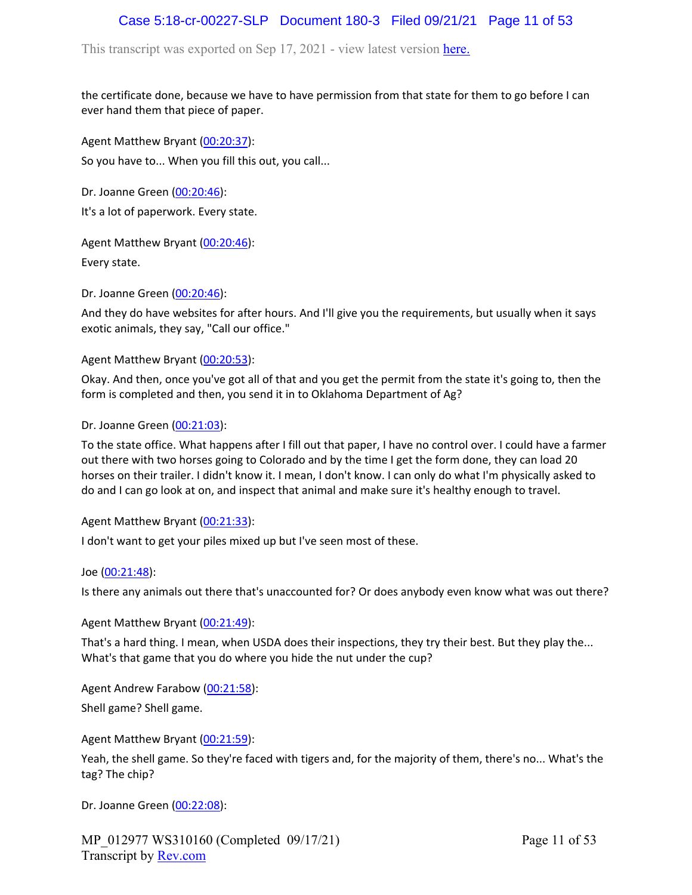# Case 5:18-cr-00227-SLP Document 180-3 Filed 09/21/21 Page 11 of 53

This transcript was exported on Sep 17, 2021 - view latest version [here.](https://www.rev.com/transcript-editor/Edit?token=I33MB_RoV1FwOoHBZ0vXCiw9XFf7Kdljsv8wmKDhXSlbDZV1-muO_uXdeLk3bhrqvxSEUBmRHZUHjbZyoStIj4NIjiQ&loadFrom=DocumentHeaderDeepLink)

the certificate done, because we have to have permission from that state for them to go before I can ever hand them that piece of paper.

Agent Matthew Bryant ([00:20:37](https://www.rev.com/transcript-editor/Edit?token=DzeYFtLhJaKbirCMRilNIkK_P9ZsknUfOkERn4jE9oXqfvNLqgnBy3bOUbD7bhdMY7l6xHenfAbKUUM6KXnkFzy9gO4&loadFrom=DocumentDeeplink&ts=1237.76)): So you have to... When you fill this out, you call...

Dr. Joanne Green [\(00:20:46\)](https://www.rev.com/transcript-editor/Edit?token=ioIwodb3J6e9iUC3SL6c3ciAQtU8ubGGf98rsBxFRJMFSK9H1x20Ratep9RiDNeI0LYT-2yhDJvQWt8masz3MjVweEY&loadFrom=DocumentDeeplink&ts=1246.08): It's a lot of paperwork. Every state.

Agent Matthew Bryant ([00:20:46](https://www.rev.com/transcript-editor/Edit?token=4oh7c_ZjuYmewU4S2r4lJAh8gQI5_vp-33vl3qAdYnIHy4efSUOWXQi1oq2yAvf1sIkWS2Ft_lUbUXMAX5BN-rjdtVU&loadFrom=DocumentDeeplink&ts=1246.3)):

Every state.

Dr. Joanne Green [\(00:20:46\)](https://www.rev.com/transcript-editor/Edit?token=gCGVu_sYt5HViMhzbNc0mMPPkSN-EGrcZsK1CB2utpLvxiU0vGddXRVJSIdigyIZ1WCXQQNdsT3eQSJick0pc0-K4IE&loadFrom=DocumentDeeplink&ts=1246.95):

And they do have websites for after hours. And I'll give you the requirements, but usually when it says exotic animals, they say, "Call our office."

Agent Matthew Bryant ([00:20:53](https://www.rev.com/transcript-editor/Edit?token=Q32rFMNUX4l6V74nGaJYNC4m8ql-MCmQNIgOxX27zIL6dt3o9saVW1vpchIDTE6MtDdF7AiCSUO4B1j9wy5daU8o1Dg&loadFrom=DocumentDeeplink&ts=1253.28)):

Okay. And then, once you've got all of that and you get the permit from the state it's going to, then the form is completed and then, you send it in to Oklahoma Department of Ag?

Dr. Joanne Green [\(00:21:03\)](https://www.rev.com/transcript-editor/Edit?token=TJbibit3w_rksVnOyJnUzzRBoYqWf1PrImwsFvNeVzWQA8hhnNgWQprYaT3VOpTDBxh59Y6JNNcU0o2LgECSD6MKeSA&loadFrom=DocumentDeeplink&ts=1263.82):

To the state office. What happens after I fill out that paper, I have no control over. I could have a farmer out there with two horses going to Colorado and by the time I get the form done, they can load 20 horses on their trailer. I didn't know it. I mean, I don't know. I can only do what I'm physically asked to do and I can go look at on, and inspect that animal and make sure it's healthy enough to travel.

### Agent Matthew Bryant ([00:21:33](https://www.rev.com/transcript-editor/Edit?token=X1DUrJTSEjTmEPKycr9Oo9w3p-BSRQsfK6kz5T_WnWtYDhq6isuR2rQhE3syR7FhHeZZyfvvEawtyG-1Jyem8GFc0HQ&loadFrom=DocumentDeeplink&ts=1293.26)):

I don't want to get your piles mixed up but I've seen most of these.

Joe ([00:21:48\)](https://www.rev.com/transcript-editor/Edit?token=DsRJhTujcuD3KoH8BfsVA2ckW7S9n0E1PP60FvE7sK0dx_fIBh6AfG38TQYj7NOSzdcwdLGRwRDYJdXvP6itrX4KFHs&loadFrom=DocumentDeeplink&ts=1308.71):

Is there any animals out there that's unaccounted for? Or does anybody even know what was out there?

Agent Matthew Bryant ([00:21:49](https://www.rev.com/transcript-editor/Edit?token=fRda-ynd-z8WsrtatHaSiI9Rg0As76Gwu6xBAkyiOkWiQlEqCYThkv1k8QGNqrlOw4uB-XK2_EvvQQWukaFAFxOMYBI&loadFrom=DocumentDeeplink&ts=1309.35)):

That's a hard thing. I mean, when USDA does their inspections, they try their best. But they play the... What's that game that you do where you hide the nut under the cup?

Agent Andrew Farabow [\(00:21:58\)](https://www.rev.com/transcript-editor/Edit?token=5UWYrSqR4sGgC5ambYgiG8Kb3cGoOhaM6ei40wjbgGE08mORndgX4O8r3-O91UqCO-wDjMu94JjRgishXUkQZt6VXXA&loadFrom=DocumentDeeplink&ts=1318.29):

Shell game? Shell game.

Agent Matthew Bryant ([00:21:59](https://www.rev.com/transcript-editor/Edit?token=ugokcLprmV-O8KeKGyWd5_QEZiD_Xz7a6x0teMUq6YLvLJjUVA87nctETiy-3pq0HNH3QmvsPZ-uC3BKlTIWGDQWFCc&loadFrom=DocumentDeeplink&ts=1319.03)):

Yeah, the shell game. So they're faced with tigers and, for the majority of them, there's no... What's the tag? The chip?

Dr. Joanne Green [\(00:22:08\)](https://www.rev.com/transcript-editor/Edit?token=lxE75H_9mFtWmRNKAatqwL-KalJzS08U0_K9LPNRKSbX3Vt5sl8VjKz2OUdsFxzT8FricTUcHnTwJlm1K7OgjV0no60&loadFrom=DocumentDeeplink&ts=1328.76):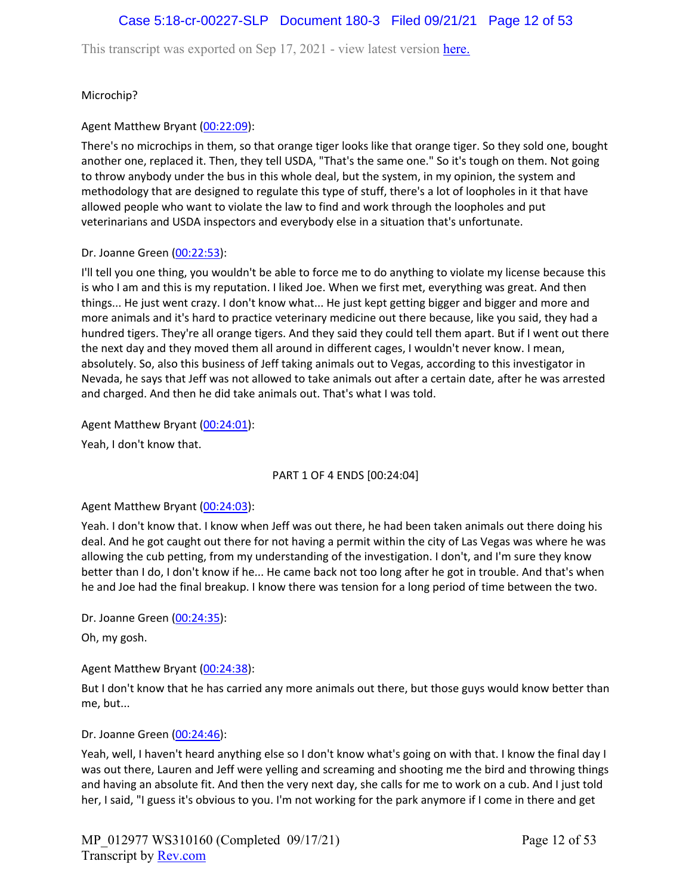# Case 5:18-cr-00227-SLP Document 180-3 Filed 09/21/21 Page 12 of 53

This transcript was exported on Sep 17, 2021 - view latest version [here.](https://www.rev.com/transcript-editor/Edit?token=I33MB_RoV1FwOoHBZ0vXCiw9XFf7Kdljsv8wmKDhXSlbDZV1-muO_uXdeLk3bhrqvxSEUBmRHZUHjbZyoStIj4NIjiQ&loadFrom=DocumentHeaderDeepLink)

Microchip?

### Agent Matthew Bryant ([00:22:09](https://www.rev.com/transcript-editor/Edit?token=gGITuXgzJiPVgCgWadw9ofHHah-XJ-N_OoM_tUmZrwrAbqyEYTQ1f7iaSpC9Gt-qXj0bQICM0cS5Npblpgvt02iz4MU&loadFrom=DocumentDeeplink&ts=1329.53)):

There's no microchips in them, so that orange tiger looks like that orange tiger. So they sold one, bought another one, replaced it. Then, they tell USDA, "That's the same one." So it's tough on them. Not going to throw anybody under the bus in this whole deal, but the system, in my opinion, the system and methodology that are designed to regulate this type of stuff, there's a lot of loopholes in it that have allowed people who want to violate the law to find and work through the loopholes and put veterinarians and USDA inspectors and everybody else in a situation that's unfortunate.

### Dr. Joanne Green [\(00:22:53\)](https://www.rev.com/transcript-editor/Edit?token=iEnBLWsiwiiYy95iDm09dZOcjwITSiAcoz7p4hSo2l_ts0A7eeaaJhGk5ry8X5AUdV8OXve-PK-0YgwZFzRqjVYg3UQ&loadFrom=DocumentDeeplink&ts=1373.72):

I'll tell you one thing, you wouldn't be able to force me to do anything to violate my license because this is who I am and this is my reputation. I liked Joe. When we first met, everything was great. And then things... He just went crazy. I don't know what... He just kept getting bigger and bigger and more and more animals and it's hard to practice veterinary medicine out there because, like you said, they had a hundred tigers. They're all orange tigers. And they said they could tell them apart. But if I went out there the next day and they moved them all around in different cages, I wouldn't never know. I mean, absolutely. So, also this business of Jeff taking animals out to Vegas, according to this investigator in Nevada, he says that Jeff was not allowed to take animals out after a certain date, after he was arrested and charged. And then he did take animals out. That's what I was told.

### Agent Matthew Bryant ([00:24:01](https://www.rev.com/transcript-editor/Edit?token=qpEC3H6Z_5Yfrb0_rNX955WC2JgbxX70r5GX469YmFNbslE3HYBeoqeUPggz25Yd4WQefE-XZjat4zNDLzuFM-qxIqA&loadFrom=DocumentDeeplink&ts=1441.73)):

Yeah, I don't know that.

#### PART 1 OF 4 ENDS [00:24:04]

#### Agent Matthew Bryant ([00:24:03](https://www.rev.com/transcript-editor/Edit?token=FGWzpCjfBGlsHjWVcdaTPy-UI4Ei9Cn8rLHqZactdqmk4KXYU0vaQYO0LBuqpr3wYZ1apnfslIUI2Xjy0oey6dYi50M&loadFrom=DocumentDeeplink&ts=1443.44)):

Yeah. I don't know that. I know when Jeff was out there, he had been taken animals out there doing his deal. And he got caught out there for not having a permit within the city of Las Vegas was where he was allowing the cub petting, from my understanding of the investigation. I don't, and I'm sure they know better than I do, I don't know if he... He came back not too long after he got in trouble. And that's when he and Joe had the final breakup. I know there was tension for a long period of time between the two.

Dr. Joanne Green [\(00:24:35\)](https://www.rev.com/transcript-editor/Edit?token=DoF5gY9Ic6Z_xlMwGl9hpsKq-pa0d_CZ622CA2lh_8puy-wW4os57RngC2KeuaRfzcTpBltBw15u6Xv5GeXxHq8cHAs&loadFrom=DocumentDeeplink&ts=1475.66):

Oh, my gosh.

### Agent Matthew Bryant ([00:24:38](https://www.rev.com/transcript-editor/Edit?token=rlkmTK9U5OIBaFae6hYNJriD_P7SqcwZOEVR-SgF_WHEg1aVc0AtE4ubvK6KCipwk5XjS9OcDwHoo2y3Mo93ik7NWII&loadFrom=DocumentDeeplink&ts=1478.87)):

But I don't know that he has carried any more animals out there, but those guys would know better than me, but...

### Dr. Joanne Green [\(00:24:46\)](https://www.rev.com/transcript-editor/Edit?token=qGMm0Uf1oKta5VfC4KaQuq-WBLeMtrGtKfIvN3u450wyXLlr2-5Qsw-GnwuFBRgBKriy_n1me-0pdKfx_emjtd62nFI&loadFrom=DocumentDeeplink&ts=1486.02):

Yeah, well, I haven't heard anything else so I don't know what's going on with that. I know the final day I was out there, Lauren and Jeff were yelling and screaming and shooting me the bird and throwing things and having an absolute fit. And then the very next day, she calls for me to work on a cub. And I just told her, I said, "I guess it's obvious to you. I'm not working for the park anymore if I come in there and get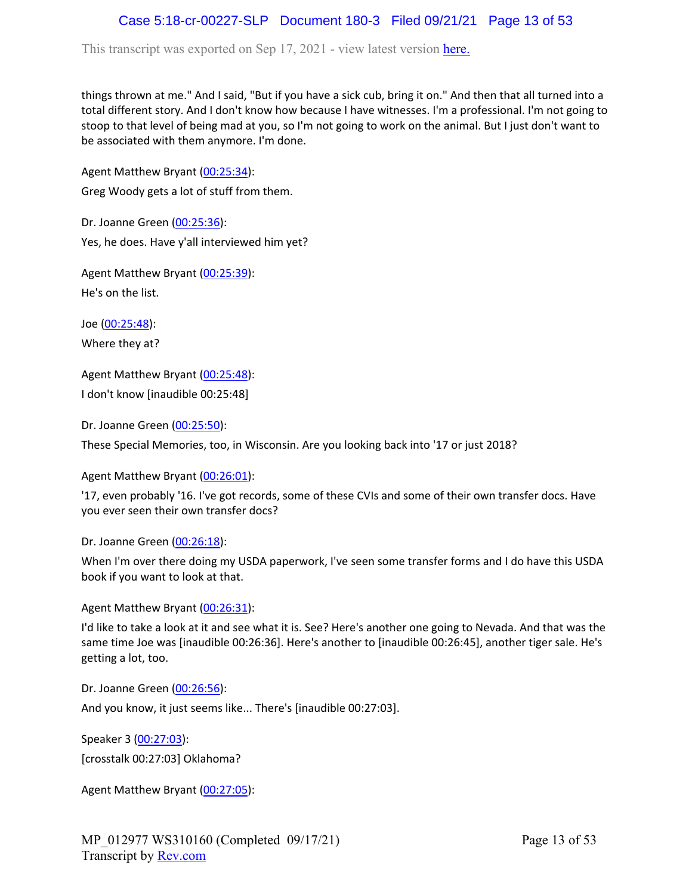# Case 5:18-cr-00227-SLP Document 180-3 Filed 09/21/21 Page 13 of 53

This transcript was exported on Sep 17, 2021 - view latest version [here.](https://www.rev.com/transcript-editor/Edit?token=I33MB_RoV1FwOoHBZ0vXCiw9XFf7Kdljsv8wmKDhXSlbDZV1-muO_uXdeLk3bhrqvxSEUBmRHZUHjbZyoStIj4NIjiQ&loadFrom=DocumentHeaderDeepLink)

things thrown at me." And I said, "But if you have a sick cub, bring it on." And then that all turned into a total different story. And I don't know how because I have witnesses. I'm a professional. I'm not going to stoop to that level of being mad at you, so I'm not going to work on the animal. But I just don't want to be associated with them anymore. I'm done.

Agent Matthew Bryant ([00:25:34](https://www.rev.com/transcript-editor/Edit?token=SaOKJsQD1pW6gQF7kony2GwOfrqEn7EO_mn3IfkjYvDLvrTZP7wFsrnFegF7OYMsSIwnCovhVyY679ysuT5uHDfGZGA&loadFrom=DocumentDeeplink&ts=1534.55)):

Greg Woody gets a lot of stuff from them.

Dr. Joanne Green [\(00:25:36\)](https://www.rev.com/transcript-editor/Edit?token=uuGd5onalPV5tqpalnrammXKaKBjLjWBfx9QJ20y52rRT9m5OUKAgjoQ29l8JTGcYuhIEThEoipBxtB-EIYwCmwF2j8&loadFrom=DocumentDeeplink&ts=1536.65): Yes, he does. Have y'all interviewed him yet?

Agent Matthew Bryant ([00:25:39](https://www.rev.com/transcript-editor/Edit?token=5m_HZEvXH64RV618jNLCCQAM0YCCCatKj8MCmoLLKKwFJg9NolcDOm3YdStKdyAk94qBwyNEoKQVypLC8_NsLUeh_iY&loadFrom=DocumentDeeplink&ts=1539.89)): He's on the list.

Joe ([00:25:48\)](https://www.rev.com/transcript-editor/Edit?token=50ITG_nIJI33D9jhpOzd5cfWIX0hA2q-MmO9oeUNx7QM1hLmisup4HVRJTHkwvB61E8Z_NPkunedQXTNrG2gBahhd58&loadFrom=DocumentDeeplink&ts=1548.12): Where they at?

Agent Matthew Bryant ([00:25:48](https://www.rev.com/transcript-editor/Edit?token=ORiP_VyR2CYs-vZfUkBCciykQjwJfVzxlb-bt3lC2cPq63kNgpi9lChMzyXjblvAFtvNLgs5TXv7EGJcC1VRomHDY1o&loadFrom=DocumentDeeplink&ts=1548.17)): I don't know [inaudible 00:25:48]

Dr. Joanne Green [\(00:25:50\)](https://www.rev.com/transcript-editor/Edit?token=qVRICooSnhv_QSbCuXSrVqRHgnUZcGmQ6xgZQsryNBFtO4m0s7D-hVaPDn1_fsK3wh1LEcHt1fjAOpGoB0MVK2RieDk&loadFrom=DocumentDeeplink&ts=1550.27):

These Special Memories, too, in Wisconsin. Are you looking back into '17 or just 2018?

Agent Matthew Bryant ([00:26:01](https://www.rev.com/transcript-editor/Edit?token=vOdUykSmh7aM-KnlN3lrkc3kHeJul5jRRyQqPb1RVcMGp7oXJqFz3mhtEQ4kVFRtQ3JU-7RTd0FHY0nWJqG6W6JKFOg&loadFrom=DocumentDeeplink&ts=1561.6)):

'17, even probably '16. I've got records, some of these CVIs and some of their own transfer docs. Have you ever seen their own transfer docs?

Dr. Joanne Green [\(00:26:18\)](https://www.rev.com/transcript-editor/Edit?token=F0xQ_t0CG5RtavupY1Ot9G-vqPokwbaAMvvMxrfhqW1saTCnPJwazn999gmSsOmbsRzsxQF8LCrHzkiLJJ-6NQXD3L0&loadFrom=DocumentDeeplink&ts=1578.3):

When I'm over there doing my USDA paperwork, I've seen some transfer forms and I do have this USDA book if you want to look at that.

Agent Matthew Bryant ([00:26:31](https://www.rev.com/transcript-editor/Edit?token=WRffVie-k6hWRsQFVKKdgTwpaurZXFumKFYy4V4Pe5AyEAbCHbG0RutVG8aRZgCsMisHRTnLGvOSMdx3fi2jdiWKdwA&loadFrom=DocumentDeeplink&ts=1591.32)):

I'd like to take a look at it and see what it is. See? Here's another one going to Nevada. And that was the same time Joe was [inaudible 00:26:36]. Here's another to [inaudible 00:26:45], another tiger sale. He's getting a lot, too.

Dr. Joanne Green [\(00:26:56\)](https://www.rev.com/transcript-editor/Edit?token=LT2mP_ujjnfv_1-8xJqxnJ1IykrUBEZ9hrU3xbx5ZwKz36zGgPtMpGoRsCReN5AUR_WayObE6Fo0tzZUoKzV_BDhMv0&loadFrom=DocumentDeeplink&ts=1616.42):

And you know, it just seems like... There's [inaudible 00:27:03].

Speaker 3 ([00:27:03](https://www.rev.com/transcript-editor/Edit?token=SP5DvIfPNNkSjaS2Zc4Kvqrodd9y10YYo-sX77DvjYfSZbGMAS6kG_o3EwIA0VHAJ7wfkwFEj23taW6ukr_82l3srH0&loadFrom=DocumentDeeplink&ts=1623)): [crosstalk 00:27:03] Oklahoma?

Agent Matthew Bryant ([00:27:05](https://www.rev.com/transcript-editor/Edit?token=i1rNC5pwRGajX6gtYq5LeCgQpXA7RHL1_416oN3NwimjplDcXXAN7gVWeO-lCPshoYJWac-Sh8-GpDtMvTu7BbMI8kI&loadFrom=DocumentDeeplink&ts=1625.07)):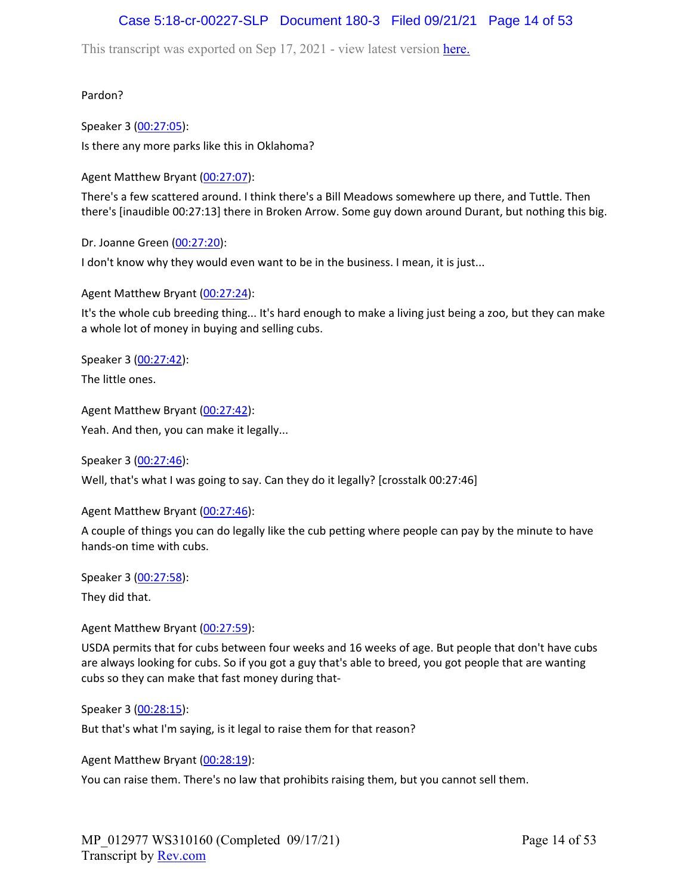# Case 5:18-cr-00227-SLP Document 180-3 Filed 09/21/21 Page 14 of 53

This transcript was exported on Sep 17, 2021 - view latest version [here.](https://www.rev.com/transcript-editor/Edit?token=I33MB_RoV1FwOoHBZ0vXCiw9XFf7Kdljsv8wmKDhXSlbDZV1-muO_uXdeLk3bhrqvxSEUBmRHZUHjbZyoStIj4NIjiQ&loadFrom=DocumentHeaderDeepLink)

Pardon?

Speaker 3 ([00:27:05](https://www.rev.com/transcript-editor/Edit?token=fzIkkb8vsklbuD3LV1pnTAd_dG2O1_Oj3pcnrDAkuOqcmO5zy5higTm87pPDNmMeBNl0qyCUS9Z2u3gYiGBNT00vv2E&loadFrom=DocumentDeeplink&ts=1625.34)): Is there any more parks like this in Oklahoma?

Agent Matthew Bryant ([00:27:07](https://www.rev.com/transcript-editor/Edit?token=TwL70N9yiCk7LZq7xJHkmhzQCb96yy5E1kx-u-VmUF20NZXcL8CogCx7GIDg26lvMLXaCTVYXPzV8fRO677Pg4sEPjc&loadFrom=DocumentDeeplink&ts=1627.04)):

There's a few scattered around. I think there's a Bill Meadows somewhere up there, and Tuttle. Then there's [inaudible 00:27:13] there in Broken Arrow. Some guy down around Durant, but nothing this big.

Dr. Joanne Green [\(00:27:20\)](https://www.rev.com/transcript-editor/Edit?token=OqKgGOqFXSECT_TXxyQduu13oSbTY77MZp0N6p0DOKv5qPc0kjGHf_U9fDmvF_klkzLEI2QzOKRNSqvsHrF5PAiTdXI&loadFrom=DocumentDeeplink&ts=1640.41):

I don't know why they would even want to be in the business. I mean, it is just...

Agent Matthew Bryant ([00:27:24](https://www.rev.com/transcript-editor/Edit?token=kldKCrvTBQXFqrADOtUL2X2T9wIXd1UG8UZMha4h8ziulhn1pYSOztOndENjb2AxIlmMAj0vvYR0XCi-oCbkFkwBnKs&loadFrom=DocumentDeeplink&ts=1644.36)):

It's the whole cub breeding thing... It's hard enough to make a living just being a zoo, but they can make a whole lot of money in buying and selling cubs.

Speaker 3 ([00:27:42](https://www.rev.com/transcript-editor/Edit?token=4lWgvGfsAq85ShVPqUO6dh1yqO8vwWVjsxnvW-jbVrlg3Tie8xEXoeJ3SEi6HhqDBD9MWI6tHCjnagPZd5AQ5b2yd_I&loadFrom=DocumentDeeplink&ts=1662.09)):

The little ones.

Agent Matthew Bryant ([00:27:42](https://www.rev.com/transcript-editor/Edit?token=GaKc-NrBA-E7YUKPCzxD5XD56okel5BioojCdUyMvEsmeabGEIBezgEUjQmFn7kdhHYh10IdDLQ6HIfhsL5q6DBu8Qs&loadFrom=DocumentDeeplink&ts=1662.85)): Yeah. And then, you can make it legally...

Speaker 3 ([00:27:46](https://www.rev.com/transcript-editor/Edit?token=jCbsH0LeHwXJZ2VfveUSbtx02HafVOSvQ0elYoZLr1ZgZqMWBYiuwsyPCHuj940Keq8o7LjWWT_BwXvDjajhOJ1NVfY&loadFrom=DocumentDeeplink&ts=1666)):

Well, that's what I was going to say. Can they do it legally? [crosstalk 00:27:46]

Agent Matthew Bryant ([00:27:46](https://www.rev.com/transcript-editor/Edit?token=tazc4jWMze6msBvtBswT3wpqM1e2oTaAcoKgI1c9rm4MCVHIouFq5TW-O-odlV7tsW_nl8BPW7WFfinHnX4NvIhGneE&loadFrom=DocumentDeeplink&ts=1666)):

A couple of things you can do legally like the cub petting where people can pay by the minute to have hands-on time with cubs.

Speaker 3 ([00:27:58](https://www.rev.com/transcript-editor/Edit?token=oQ3Q_06B9br9Z-b1zNyWrUck1n2VkbgTll1RrjnzeYObzA-4pzBEBkzCUidebup1jSXPH1me7VlK0eK0aedp-_E17kw&loadFrom=DocumentDeeplink&ts=1678.77)): They did that.

Agent Matthew Bryant ([00:27:59](https://www.rev.com/transcript-editor/Edit?token=-kxyvBkSABrNCJvtYJPK4eXYbGIFxjABVBo86Yw07Xombu_FkidjxoIonVQZTcVxXHuHPWmvnrFakWOCFlH7dglYPgM&loadFrom=DocumentDeeplink&ts=1679.53)):

USDA permits that for cubs between four weeks and 16 weeks of age. But people that don't have cubs are always looking for cubs. So if you got a guy that's able to breed, you got people that are wanting cubs so they can make that fast money during that-

Speaker 3 ([00:28:15](https://www.rev.com/transcript-editor/Edit?token=8PDKagXXgpE5T9U0QpvN67tKQU5kyYnDMILYNsVan9VSAmzbPN3pWXipUHTITrgCdLI8VwQZTtnRAoRX78UexqrgFJE&loadFrom=DocumentDeeplink&ts=1695.8)):

But that's what I'm saying, is it legal to raise them for that reason?

Agent Matthew Bryant ([00:28:19](https://www.rev.com/transcript-editor/Edit?token=Q-ys7xtjQzFjJpgRSRs6N2YaYnI-LGizM7tLik6xuyyYByZtV4a4hX_PFkY9WG0a9eB0m4fwz82rZneDyenMPGVLDsc&loadFrom=DocumentDeeplink&ts=1699.1)):

You can raise them. There's no law that prohibits raising them, but you cannot sell them.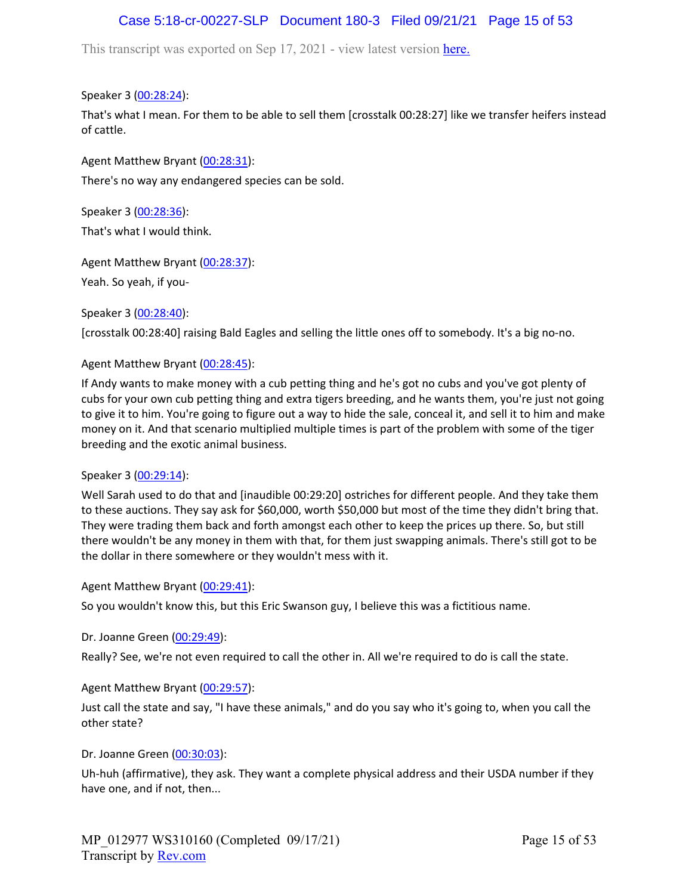# Case 5:18-cr-00227-SLP Document 180-3 Filed 09/21/21 Page 15 of 53

This transcript was exported on Sep 17, 2021 - view latest version [here.](https://www.rev.com/transcript-editor/Edit?token=I33MB_RoV1FwOoHBZ0vXCiw9XFf7Kdljsv8wmKDhXSlbDZV1-muO_uXdeLk3bhrqvxSEUBmRHZUHjbZyoStIj4NIjiQ&loadFrom=DocumentHeaderDeepLink)

Speaker 3 ([00:28:24](https://www.rev.com/transcript-editor/Edit?token=XzgosDquA18T3o7fXYr2zZc6S9lIDckOBx_ieZk4I1oPbkuJpXBzMNPro2FNjmjT6lvWEx781KNpk-v8IcJckvALjZs&loadFrom=DocumentDeeplink&ts=1704.59)):

That's what I mean. For them to be able to sell them [crosstalk 00:28:27] like we transfer heifers instead of cattle.

Agent Matthew Bryant ([00:28:31](https://www.rev.com/transcript-editor/Edit?token=unqW7RU3tZf9J5lILrZOBC_XBh70XZuHcVUELSIX3-AGSnFx_UGmKrkktesNf85Y9G92-791YNKqD6tQ8uTf4lBHkQI&loadFrom=DocumentDeeplink&ts=1711.08)): There's no way any endangered species can be sold.

Speaker 3 ([00:28:36](https://www.rev.com/transcript-editor/Edit?token=URQo4SAZL56WXhAn6tAmd3stMzODqWZYrW9CwxDaaKve5y2C2WWy1rq-QYYDjXOR2uHGUgyTmmYhHXDNyIkcG76hFzc&loadFrom=DocumentDeeplink&ts=1716.2)): That's what I would think.

Agent Matthew Bryant ([00:28:37](https://www.rev.com/transcript-editor/Edit?token=0j_UL81bI2iKJioBHovlOJVyFbjoZcwaoL73u-QZxnV1qVwI9PW7AzVyHuRnb-mFXff5UknzaaNa91w30YRBXPGA5gc&loadFrom=DocumentDeeplink&ts=1717.8)):

Yeah. So yeah, if you-

Speaker 3 ([00:28:40](https://www.rev.com/transcript-editor/Edit?token=sWrOwr6UXpVv0qIiEgSex-6u1hB8Lpl7prULmH0gTFQbRdpHDhAcDpy5-3gHm-zqj8NM3RGm_r7UD9UwPTDbM9JCQbk&loadFrom=DocumentDeeplink&ts=1720)):

[crosstalk 00:28:40] raising Bald Eagles and selling the little ones off to somebody. It's a big no-no.

### Agent Matthew Bryant ([00:28:45](https://www.rev.com/transcript-editor/Edit?token=m-x7gSZj-jV5l7vhfeNVtB7XO9mVtaDOPN56qMSVzYrRjH3GVuoyp2to3NgadNYBGTv3CyHjCaHSyUacZY9arm4KBWM&loadFrom=DocumentDeeplink&ts=1725.61)):

If Andy wants to make money with a cub petting thing and he's got no cubs and you've got plenty of cubs for your own cub petting thing and extra tigers breeding, and he wants them, you're just not going to give it to him. You're going to figure out a way to hide the sale, conceal it, and sell it to him and make money on it. And that scenario multiplied multiple times is part of the problem with some of the tiger breeding and the exotic animal business.

### Speaker 3 ([00:29:14](https://www.rev.com/transcript-editor/Edit?token=TqNMdbEKy-fy8g-OJNJcsXhNA7A_fKntD2PiBN_eqidSwfp3wVSSI1j6egQslMK8Knbh3ZDoNAL3qr2RKi_q38rvOeg&loadFrom=DocumentDeeplink&ts=1754.77)):

Well Sarah used to do that and [inaudible 00:29:20] ostriches for different people. And they take them to these auctions. They say ask for \$60,000, worth \$50,000 but most of the time they didn't bring that. They were trading them back and forth amongst each other to keep the prices up there. So, but still there wouldn't be any money in them with that, for them just swapping animals. There's still got to be the dollar in there somewhere or they wouldn't mess with it.

Agent Matthew Bryant ([00:29:41](https://www.rev.com/transcript-editor/Edit?token=CGHwIMKCtzdQjcuj-W_MVnKOifQcolAuwndVj19U01be5fWVoZ4NDe3yanb1x2u6HET6--aW_CFtIF88i6Qz13GP2vE&loadFrom=DocumentDeeplink&ts=1781.02)):

So you wouldn't know this, but this Eric Swanson guy, I believe this was a fictitious name.

Dr. Joanne Green [\(00:29:49\)](https://www.rev.com/transcript-editor/Edit?token=Ie9eZUrf4O4rzpjdeceuspaoS1Ah-n9nexExigbvcf8iFMH6twg3oToZ9vsf46QDd-hiq07QpF6m4ylGWV26HSvPjMg&loadFrom=DocumentDeeplink&ts=1789.38):

Really? See, we're not even required to call the other in. All we're required to do is call the state.

### Agent Matthew Bryant ([00:29:57](https://www.rev.com/transcript-editor/Edit?token=ubMrMPagddzcKcyOz1v3R_FiKqLAJboqFur86hjVweslqyRVKd3Rfe31jqB_3yBq2hHxA-5-ftS4ymbhm3x5GKn33PU&loadFrom=DocumentDeeplink&ts=1797.92)):

Just call the state and say, "I have these animals," and do you say who it's going to, when you call the other state?

Dr. Joanne Green [\(00:30:03\)](https://www.rev.com/transcript-editor/Edit?token=56r60AyHolXZXdkmta0GrLpgRSKRzH-ltd2bV5Nuf0EejC8tZM_dn36TqzTVPsfW-EaynO-Qc4jIfwsKr90kbjUDJdc&loadFrom=DocumentDeeplink&ts=1803.99):

Uh-huh (affirmative), they ask. They want a complete physical address and their USDA number if they have one, and if not, then...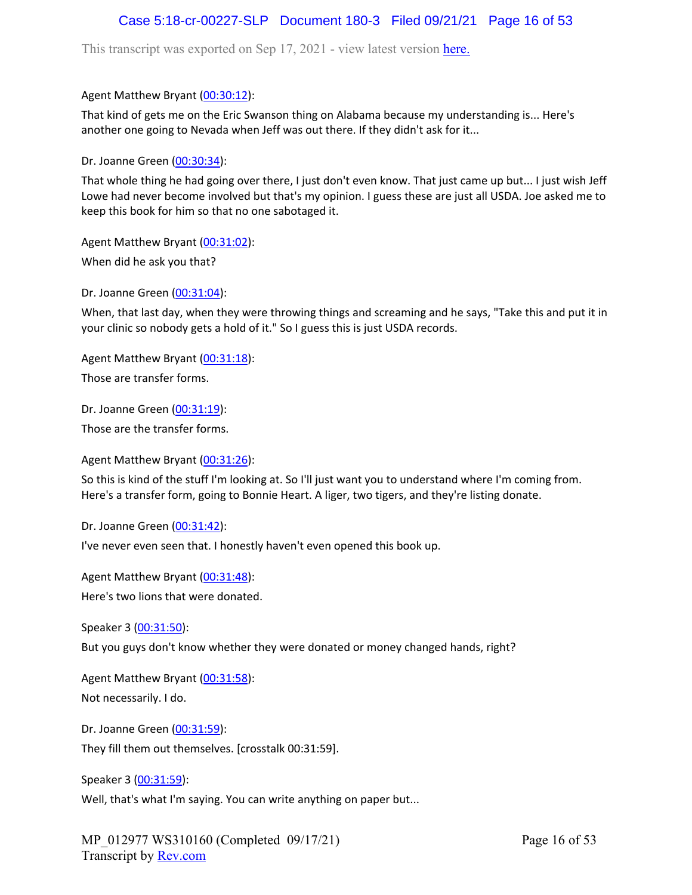# Case 5:18-cr-00227-SLP Document 180-3 Filed 09/21/21 Page 16 of 53

This transcript was exported on Sep 17, 2021 - view latest version [here.](https://www.rev.com/transcript-editor/Edit?token=I33MB_RoV1FwOoHBZ0vXCiw9XFf7Kdljsv8wmKDhXSlbDZV1-muO_uXdeLk3bhrqvxSEUBmRHZUHjbZyoStIj4NIjiQ&loadFrom=DocumentHeaderDeepLink)

Agent Matthew Bryant ([00:30:12](https://www.rev.com/transcript-editor/Edit?token=_jFNPSMDpvaRs-_0kBaJXx7ByE4yKqJW_-SgZv9XA12JBPHFRSUzNLO1utx_9bHPMLwm4zdMIHWCWsvxUpQ3W9JagR4&loadFrom=DocumentDeeplink&ts=1812.7)):

That kind of gets me on the Eric Swanson thing on Alabama because my understanding is... Here's another one going to Nevada when Jeff was out there. If they didn't ask for it...

Dr. Joanne Green [\(00:30:34\)](https://www.rev.com/transcript-editor/Edit?token=wOlHsJt3vyr815U6zJKsKguZ6VtikiokczbEUpO4vxXtH-Ow1vy3PmAZoCkq0esRJoun7uvqzXu0pZ7bOuywRvsGmnE&loadFrom=DocumentDeeplink&ts=1834.73):

That whole thing he had going over there, I just don't even know. That just came up but... I just wish Jeff Lowe had never become involved but that's my opinion. I guess these are just all USDA. Joe asked me to keep this book for him so that no one sabotaged it.

Agent Matthew Bryant ([00:31:02](https://www.rev.com/transcript-editor/Edit?token=Gzz94LrnAehnNCC5QjlSOfCkJiJjZPppfU5NoZbdldc-GFNeh1FNVvzMlxzDYW4aoBMwUxzu2XdGwaH4E4gtBuX3JX0&loadFrom=DocumentDeeplink&ts=1862.28)):

When did he ask you that?

Dr. Joanne Green [\(00:31:04\)](https://www.rev.com/transcript-editor/Edit?token=cCgCpNSJbm3HqFxE8nW6meko9_qMwmWFF0wLbqKARpTgiaeEJ0lGZSGYmwKzweJ5GJw-nRYEZNx1k01qlcQPNdZ9HSw&loadFrom=DocumentDeeplink&ts=1864.26):

When, that last day, when they were throwing things and screaming and he says, "Take this and put it in your clinic so nobody gets a hold of it." So I guess this is just USDA records.

Agent Matthew Bryant ([00:31:18](https://www.rev.com/transcript-editor/Edit?token=rKwI8eROyC_RQxjjYQX6kHp84QoKK02MWCNWV68h7wDGvSg7jTO1zfmSu_1P8FTcWUcoTDju1Ob940UyKHxxBD3Mkm8&loadFrom=DocumentDeeplink&ts=1878.21)):

Those are transfer forms.

Dr. Joanne Green [\(00:31:19\)](https://www.rev.com/transcript-editor/Edit?token=MT8aDhqYYfiEca_fyz_zXsHzYPYazh3Xk7AAiwOIdihnbkyh55dtOkoRupKIqIp0cuRUaDGZq8syTEI4qhHmX7fSp-g&loadFrom=DocumentDeeplink&ts=1879.62):

Those are the transfer forms.

Agent Matthew Bryant ([00:31:26](https://www.rev.com/transcript-editor/Edit?token=gSa46HlCFMg01qUGnTSNlNhDqesBwCQ0Tu_wVF39FLjD4bg5Zzskn0w6EiK-HN3xDn_QB23fAF9rodUcpM7J7bNGm1A&loadFrom=DocumentDeeplink&ts=1886.72)):

So this is kind of the stuff I'm looking at. So I'll just want you to understand where I'm coming from. Here's a transfer form, going to Bonnie Heart. A liger, two tigers, and they're listing donate.

Dr. Joanne Green [\(00:31:42\)](https://www.rev.com/transcript-editor/Edit?token=XXgIXGGbhy6G4XB7Ulyalt8qHdmXpgv7XhyPEAx_gYLRXCGdujmT68aUBS6n65z_ZqiTYX4fV4nP71ha8fsVreYJ5z8&loadFrom=DocumentDeeplink&ts=1902.89):

I've never even seen that. I honestly haven't even opened this book up.

Agent Matthew Bryant ([00:31:48](https://www.rev.com/transcript-editor/Edit?token=qvDOinRr9UfM-IVE2lI3d0cAQ1Anj8t26dw04_JS_GrKLLjbti81VPHPLnQrA-TYw99Pu2UD4zhJhPll2nNMDPHpfwY&loadFrom=DocumentDeeplink&ts=1908.19)): Here's two lions that were donated.

Speaker 3 ([00:31:50](https://www.rev.com/transcript-editor/Edit?token=wAe6QBqPz_KhtqKxCZiVc6Dt2VK6eOFh-6JqP1Sv3e0msEzMjzduoZY16OfUQwtAOl48mMRQSphFRvnBj4jXO1uEG1A&loadFrom=DocumentDeeplink&ts=1910.69)):

But you guys don't know whether they were donated or money changed hands, right?

Agent Matthew Bryant ([00:31:58](https://www.rev.com/transcript-editor/Edit?token=Y2N4yz2tHUdBks0BoPOpCv1VK59pykHFWhl5IENYP07jchjAvrlfX-pMofFbDE8jiZigAOYXfNkRN5bTmzr2iiHV4SU&loadFrom=DocumentDeeplink&ts=1918.81)): Not necessarily. I do.

Dr. Joanne Green [\(00:31:59\)](https://www.rev.com/transcript-editor/Edit?token=5RhdIk3cHVeB8kv7ic07DmyIqbQmA5WpiMxCnD_YKMgx9COZrqKQWpIOQv0zyBJTRC4qnn3NhfrWAUHi-8AlEZySciA&loadFrom=DocumentDeeplink&ts=1919.06): They fill them out themselves. [crosstalk 00:31:59].

Speaker 3 ([00:31:59](https://www.rev.com/transcript-editor/Edit?token=Ki-F2yLWadOEh6GooK2HZHQeohjZUaYDJQYUf7VmJ859Jh_Pzh50AXAX7pNYafrz4la2W4rB2KBGdhv5yKsGFu_LVO4&loadFrom=DocumentDeeplink&ts=1919.06)): Well, that's what I'm saying. You can write anything on paper but...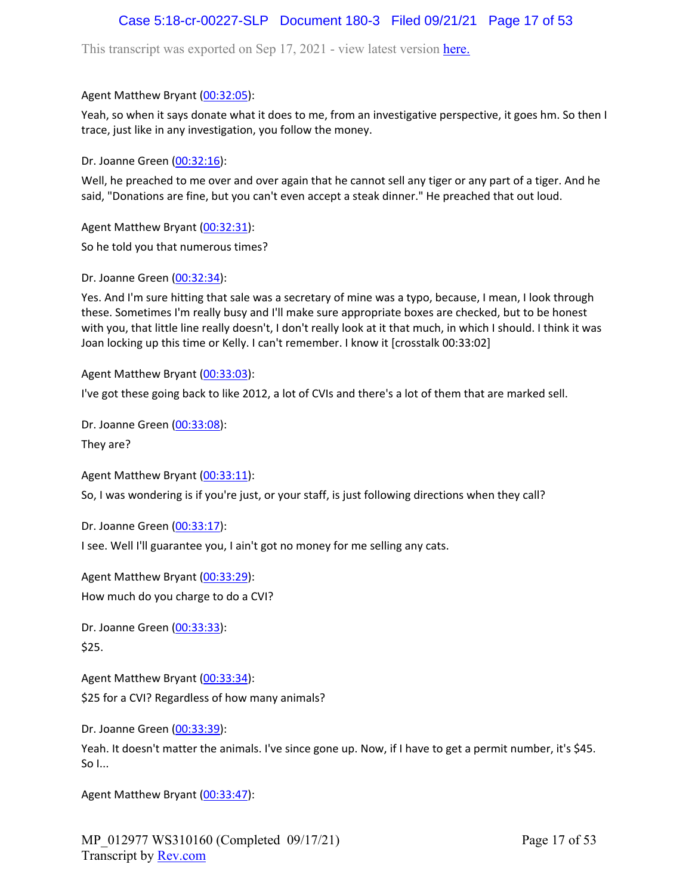# Case 5:18-cr-00227-SLP Document 180-3 Filed 09/21/21 Page 17 of 53

This transcript was exported on Sep 17, 2021 - view latest version [here.](https://www.rev.com/transcript-editor/Edit?token=I33MB_RoV1FwOoHBZ0vXCiw9XFf7Kdljsv8wmKDhXSlbDZV1-muO_uXdeLk3bhrqvxSEUBmRHZUHjbZyoStIj4NIjiQ&loadFrom=DocumentHeaderDeepLink)

### Agent Matthew Bryant ([00:32:05](https://www.rev.com/transcript-editor/Edit?token=-Xpczzj-hjuWwjqR6mdSsAbfopTWBUKUsZbMhPkt5pbAUJQ6DN-A-guP0QI1-7PLxkK4FYC1PNuohvKt9S9drKvUx9E&loadFrom=DocumentDeeplink&ts=1925.48)):

Yeah, so when it says donate what it does to me, from an investigative perspective, it goes hm. So then I trace, just like in any investigation, you follow the money.

Dr. Joanne Green [\(00:32:16\)](https://www.rev.com/transcript-editor/Edit?token=Xg7BvsBz4HXhuZVDCiL3nzyB_R5IWO50wnaoGiYDlp_UdAqJEHwB1XA7zlb0Y8gcsLucca-LSoGR_I-vMqImoY1OGEc&loadFrom=DocumentDeeplink&ts=1936.85):

Well, he preached to me over and over again that he cannot sell any tiger or any part of a tiger. And he said, "Donations are fine, but you can't even accept a steak dinner." He preached that out loud.

Agent Matthew Bryant ([00:32:31](https://www.rev.com/transcript-editor/Edit?token=vsmXvKekARDbAqzjsgwNOLowVm9eJ1b4Hx76T6gfzuK20OsodMohc_TMr11Ec6hdPTRdhuCRunrKwdT3rpMisn4a3-w&loadFrom=DocumentDeeplink&ts=1951.2)): So he told you that numerous times?

Dr. Joanne Green [\(00:32:34\)](https://www.rev.com/transcript-editor/Edit?token=PMdPl46hrpm-CgcPtG0jbNub1ZNX21JU0At5A3zkMv9lxqq2gTBd75jTL37JrM1H38NRU7E8-ER7H9KPbWB_FrCObrY&loadFrom=DocumentDeeplink&ts=1954.07):

Yes. And I'm sure hitting that sale was a secretary of mine was a typo, because, I mean, I look through these. Sometimes I'm really busy and I'll make sure appropriate boxes are checked, but to be honest with you, that little line really doesn't, I don't really look at it that much, in which I should. I think it was Joan locking up this time or Kelly. I can't remember. I know it [crosstalk 00:33:02]

Agent Matthew Bryant ([00:33:03](https://www.rev.com/transcript-editor/Edit?token=RCUI_FYARHO7yO9oYHt6RzsY6Q-q7J22sZ8QnzvDyzBh-OO0tltev2qZtIxXJehhNJT_WKnb4D9ZUtcL8Tk0JjCr7nE&loadFrom=DocumentDeeplink&ts=1983.48)):

I've got these going back to like 2012, a lot of CVIs and there's a lot of them that are marked sell.

Dr. Joanne Green [\(00:33:08\)](https://www.rev.com/transcript-editor/Edit?token=KgS36ZGOaXO3XVyB7R5S1QnLqQU7Ujyv8ZXvqI_tp-5h7iXrLK1fkd91wOZEp6dxCjNZevAg6HAVokFV-hxDYQTz2vI&loadFrom=DocumentDeeplink&ts=1988.94):

They are?

Agent Matthew Bryant ([00:33:11](https://www.rev.com/transcript-editor/Edit?token=ya_VfAax89V_70FG4fCNlujL73BLFiJjm_-8nqUTEOSoV3kwwnPquB8KWM5EM-3TddMMbqRHbsFUMPjY8JfimxShwfk&loadFrom=DocumentDeeplink&ts=1991.83)):

So, I was wondering is if you're just, or your staff, is just following directions when they call?

Dr. Joanne Green [\(00:33:17\)](https://www.rev.com/transcript-editor/Edit?token=HBwQ1dv3-K8hXikA3ZxSkfm9fXAAqQgsRZ8ENAQlTMxCL2sU59zRABSTcno9YwdgPDFZINyHJN0RxMZ1Zru5yXXVFzo&loadFrom=DocumentDeeplink&ts=1997.81):

I see. Well I'll guarantee you, I ain't got no money for me selling any cats.

Agent Matthew Bryant ([00:33:29](https://www.rev.com/transcript-editor/Edit?token=RpBwov3TZFiARFrNjDEzrx9JDEM7nR6PLt0IS9SphOu7HqG-eo6OuES0ckT2NCmdfDV1N-KAe28l-UtSMMwDlwCcj7M&loadFrom=DocumentDeeplink&ts=2009.15)): How much do you charge to do a CVI?

Dr. Joanne Green [\(00:33:33\)](https://www.rev.com/transcript-editor/Edit?token=idyPjV3GhSuDHspJaspAAAusxEC62gSsnfYleuHjZjPVu0ht-uTfHR_XdC12AE8ODUKW8ZdsEYxlVpA0X2krS8A872w&loadFrom=DocumentDeeplink&ts=2013.27): \$25.

Agent Matthew Bryant ([00:33:34](https://www.rev.com/transcript-editor/Edit?token=UzZvP5QI_zdQ3CI2TzCrpeWM9juILXvDYqEzxV_0SmD3uJzYvj0qDRwt-PzBtRYllmkg7j6JVzCmqO7AEzW5_do6S9o&loadFrom=DocumentDeeplink&ts=2014.58)): \$25 for a CVI? Regardless of how many animals?

Dr. Joanne Green [\(00:33:39\)](https://www.rev.com/transcript-editor/Edit?token=LWVryE8mZ2Qhv0YQuO1iskoc235EWKCpvxABI5bS4dEeMqYszJOBmETbPcp7fXm3zLTaZGkAZKp9Nrpsf--e3DvkJmM&loadFrom=DocumentDeeplink&ts=2019.4):

Yeah. It doesn't matter the animals. I've since gone up. Now, if I have to get a permit number, it's \$45. So I...

Agent Matthew Bryant ([00:33:47](https://www.rev.com/transcript-editor/Edit?token=9oSCklecgPSIdgduivZd5S9iaYwO0sTifQkKRY8dcqzb77XdqwSQkDjJmfX4wt8f9LtyNb69mXck8y0TkvGCzEryFqo&loadFrom=DocumentDeeplink&ts=2027.45)):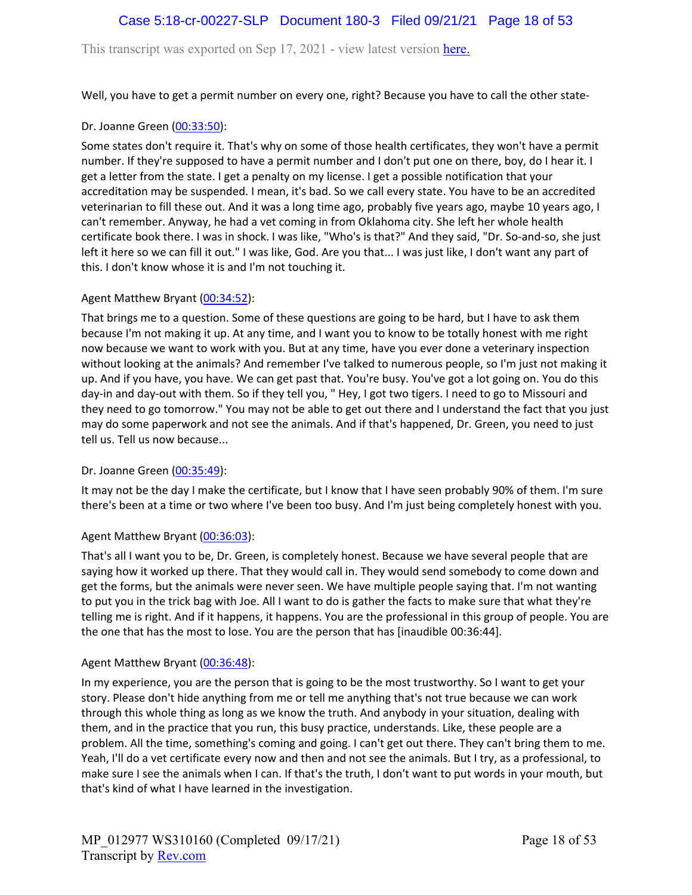# Case 5:18-cr-00227-SLP Document 180-3 Filed 09/21/21 Page 18 of 53

This transcript was exported on Sep 17, 2021 - view latest version [here.](https://www.rev.com/transcript-editor/Edit?token=I33MB_RoV1FwOoHBZ0vXCiw9XFf7Kdljsv8wmKDhXSlbDZV1-muO_uXdeLk3bhrqvxSEUBmRHZUHjbZyoStIj4NIjiQ&loadFrom=DocumentHeaderDeepLink)

Well, you have to get a permit number on every one, right? Because you have to call the other state-

### Dr. Joanne Green [\(00:33:50\)](https://www.rev.com/transcript-editor/Edit?token=4GE49DkuDF5BBAtOiHHUwlmceZtqd4lfZvplm06myCTxRRz_eQ-Ai05OSOAg72_W9Kz8ccQnBSOLuNWEBIHUZBXJmak&loadFrom=DocumentDeeplink&ts=2030.63):

Some states don't require it. That's why on some of those health certificates, they won't have a permit number. If they're supposed to have a permit number and I don't put one on there, boy, do I hear it. I get a letter from the state. I get a penalty on my license. I get a possible notification that your accreditation may be suspended. I mean, it's bad. So we call every state. You have to be an accredited veterinarian to fill these out. And it was a long time ago, probably five years ago, maybe 10 years ago, I can't remember. Anyway, he had a vet coming in from Oklahoma city. She left her whole health certificate book there. I was in shock. I was like, "Who's is that?" And they said, "Dr. So-and-so, she just left it here so we can fill it out." I was like, God. Are you that... I was just like, I don't want any part of this. I don't know whose it is and I'm not touching it.

### Agent Matthew Bryant ([00:34:52](https://www.rev.com/transcript-editor/Edit?token=w5IEQ-DOzhrKqBTN_O_PLJzgzAcZ5O2ux-_KWeE-9J1T_UDzgKejLMNo20HS1gSH41Xda9RrnKYbMKvV0vjNfNif8MM&loadFrom=DocumentDeeplink&ts=2092.12)):

That brings me to a question. Some of these questions are going to be hard, but I have to ask them because I'm not making it up. At any time, and I want you to know to be totally honest with me right now because we want to work with you. But at any time, have you ever done a veterinary inspection without looking at the animals? And remember I've talked to numerous people, so I'm just not making it up. And if you have, you have. We can get past that. You're busy. You've got a lot going on. You do this day-in and day-out with them. So if they tell you, " Hey, I got two tigers. I need to go to Missouri and they need to go tomorrow." You may not be able to get out there and I understand the fact that you just may do some paperwork and not see the animals. And if that's happened, Dr. Green, you need to just tell us. Tell us now because...

### Dr. Joanne Green [\(00:35:49\)](https://www.rev.com/transcript-editor/Edit?token=GI-SoVVW7FQirR9gfe9XtbRihRAWBzHsToFuEKO_BYfhZJDmmxGBEKQ7ugdpNPaooBwAFh6QEfJP0nAaKLwAkUOa4gw&loadFrom=DocumentDeeplink&ts=2149.93):

It may not be the day I make the certificate, but I know that I have seen probably 90% of them. I'm sure there's been at a time or two where I've been too busy. And I'm just being completely honest with you.

### Agent Matthew Bryant ([00:36:03](https://www.rev.com/transcript-editor/Edit?token=hb39PS-u3aaIt28KYgmOlHQ6W8exmORkLyXmNKTodU-a7obxylB8oBknRrMbZtgU-aFKFAbFc7wbdg24ahcgSUv0SCk&loadFrom=DocumentDeeplink&ts=2163.45)):

That's all I want you to be, Dr. Green, is completely honest. Because we have several people that are saying how it worked up there. That they would call in. They would send somebody to come down and get the forms, but the animals were never seen. We have multiple people saying that. I'm not wanting to put you in the trick bag with Joe. All I want to do is gather the facts to make sure that what they're telling me is right. And if it happens, it happens. You are the professional in this group of people. You are the one that has the most to lose. You are the person that has [inaudible 00:36:44].

#### Agent Matthew Bryant ([00:36:48](https://www.rev.com/transcript-editor/Edit?token=DyUKIVEeyBkOrcgKMXRLyeu769_uJRz9BgaevkYfVyvdezkoJDj8LYQkNisY35VCMKygRQ2BY-1ceTX5FSbcAmDSj_o&loadFrom=DocumentDeeplink&ts=2208.04)):

In my experience, you are the person that is going to be the most trustworthy. So I want to get your story. Please don't hide anything from me or tell me anything that's not true because we can work through this whole thing as long as we know the truth. And anybody in your situation, dealing with them, and in the practice that you run, this busy practice, understands. Like, these people are a problem. All the time, something's coming and going. I can't get out there. They can't bring them to me. Yeah, I'll do a vet certificate every now and then and not see the animals. But I try, as a professional, to make sure I see the animals when I can. If that's the truth, I don't want to put words in your mouth, but that's kind of what I have learned in the investigation.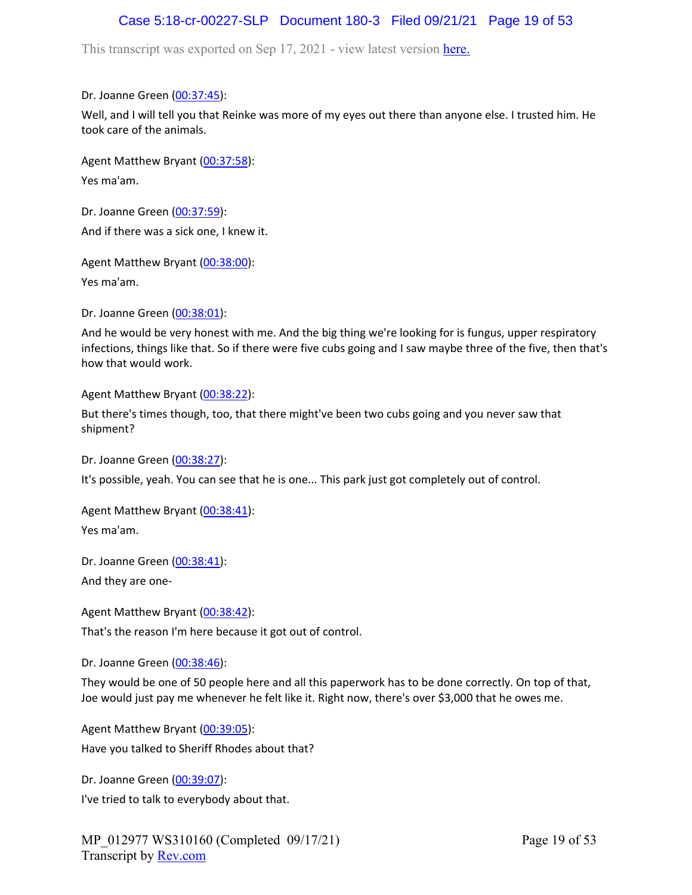# Case 5:18-cr-00227-SLP Document 180-3 Filed 09/21/21 Page 19 of 53

This transcript was exported on Sep 17, 2021 - view latest version [here.](https://www.rev.com/transcript-editor/Edit?token=I33MB_RoV1FwOoHBZ0vXCiw9XFf7Kdljsv8wmKDhXSlbDZV1-muO_uXdeLk3bhrqvxSEUBmRHZUHjbZyoStIj4NIjiQ&loadFrom=DocumentHeaderDeepLink)

Dr. Joanne Green [\(00:37:45\)](https://www.rev.com/transcript-editor/Edit?token=0_cOq2T-HoYbUnxs8-CFJqowsGSqNsNT8hcARxpMO85ANarCkqBbXzSOCHgjNvD-dTwdQY9daiUkDk2K6viJhGVWpf0&loadFrom=DocumentDeeplink&ts=2265.69):

Well, and I will tell you that Reinke was more of my eyes out there than anyone else. I trusted him. He took care of the animals.

Agent Matthew Bryant ([00:37:58](https://www.rev.com/transcript-editor/Edit?token=KiT3iySDDj86y9BhGkQ08RCoGYjtGkyNBwcAPJFK0pZ4RqwraWHQWlM2nEcWs5sYtYboCn3lfoVIslAao5LJfUfqI7M&loadFrom=DocumentDeeplink&ts=2278.16)): Yes ma'am.

Dr. Joanne Green [\(00:37:59\)](https://www.rev.com/transcript-editor/Edit?token=ARN2BZmxpxVvUebcKKio8bDovmdccTll85jYL8ZZS2Qz9s6Rt3vLJ-qeAFtWyBs2Yag3agyw9vZ5m3qRTMYvLwTn-VA&loadFrom=DocumentDeeplink&ts=2279.04): And if there was a sick one, I knew it.

Agent Matthew Bryant ([00:38:00](https://www.rev.com/transcript-editor/Edit?token=llR-HAlLnkJFu9-_Yp0LZatglJSi3Tg9XD0BGZ6c2JkCeprHHJ_KfJcza2odfIqmHoIq6Y6rJlN8wCMOZYC5LumBI3Q&loadFrom=DocumentDeeplink&ts=2280.58)):

Yes ma'am.

Dr. Joanne Green [\(00:38:01\)](https://www.rev.com/transcript-editor/Edit?token=hUDKwPA2Uquyt0OxXMd1VCk6Mv3C20UX3yVK4xWFGJb2VNHpyA4kZPPcZznuqDhcSCJrFgsAStJMPjeHuje2gubo1I8&loadFrom=DocumentDeeplink&ts=2281):

And he would be very honest with me. And the big thing we're looking for is fungus, upper respiratory infections, things like that. So if there were five cubs going and I saw maybe three of the five, then that's how that would work.

Agent Matthew Bryant ([00:38:22](https://www.rev.com/transcript-editor/Edit?token=ptxIE6lDizjQ-RPaxj7WP_SUjAnchyMO0xS_LWxZU3GYZpf1QTcWDHkYzVACrmnqlhdMBS4hTRV9lTF_h4rzNuYg1OA&loadFrom=DocumentDeeplink&ts=2302.31)):

But there's times though, too, that there might've been two cubs going and you never saw that shipment?

Dr. Joanne Green [\(00:38:27\)](https://www.rev.com/transcript-editor/Edit?token=euoHjexs5qXhVkYxDUxciQxxgjQrhfEWdd66KlXUs_T9Er15OOot0LoUGX8PwQ-RVbRjXX1UnrXexUnQHZCqBNnSkkA&loadFrom=DocumentDeeplink&ts=2307.77):

It's possible, yeah. You can see that he is one... This park just got completely out of control.

Agent Matthew Bryant ([00:38:41](https://www.rev.com/transcript-editor/Edit?token=sNIoNzAhn66U3OlJxHo8QYdHY1vKqYmRPpeq57xt3QxbbVNcNhA3M6oawLMr-1CGFE0ptRHI2XxpIw4BExZIVb5Y2as&loadFrom=DocumentDeeplink&ts=2321.07)): Yes ma'am.

Dr. Joanne Green [\(00:38:41\)](https://www.rev.com/transcript-editor/Edit?token=7ASwtz30i-xQUHaUdQuDodOS6ap6Isg149RxgLB2Rok2YVSK_9dg8BUEXfOHiakdlcVtU_bUaCsZmyt9zLEViR6rvH4&loadFrom=DocumentDeeplink&ts=2321.52):

And they are one-

Agent Matthew Bryant ([00:38:42](https://www.rev.com/transcript-editor/Edit?token=iLUem2pKADi4b1hrcE2zvYj6b8wWk1Dc5QJxaW1f_jt1Jg0ovoIr0QO2n5YkkFBE_j1lnQJnJ3dD6VcuaLBjmDNDjbc&loadFrom=DocumentDeeplink&ts=2322.94)):

That's the reason I'm here because it got out of control.

Dr. Joanne Green [\(00:38:46\)](https://www.rev.com/transcript-editor/Edit?token=PTJ5lLlZ9z0Ugzy_xfr5GZXD5KC_ZmwbP3-erojfdcbc0guzlQpHrZPsxW46Ph5Munp6l8sS_7DsQCxEXSVw8Em4P5Q&loadFrom=DocumentDeeplink&ts=2326.53):

They would be one of 50 people here and all this paperwork has to be done correctly. On top of that, Joe would just pay me whenever he felt like it. Right now, there's over \$3,000 that he owes me.

Agent Matthew Bryant ([00:39:05](https://www.rev.com/transcript-editor/Edit?token=BZ3wjSlLfuW3ZzMn3wKLJ0VH2-XcMPRNE3HQlkO3TGE8XMeyWSzaxrVypOGMPHu3pct9FrIxh2ZMqyDhymSFi5GiH_w&loadFrom=DocumentDeeplink&ts=2345.59)): Have you talked to Sheriff Rhodes about that?

Dr. Joanne Green [\(00:39:07\)](https://www.rev.com/transcript-editor/Edit?token=ueDlHjW0WHnofolvDKR4ensqNXd-FNVcrNMlQyJo0ac7DhXmoN_TwuJzMzfweMxC8V0rxcwn0FwjktzMcC6BAKLz4mw&loadFrom=DocumentDeeplink&ts=2347.64): I've tried to talk to everybody about that.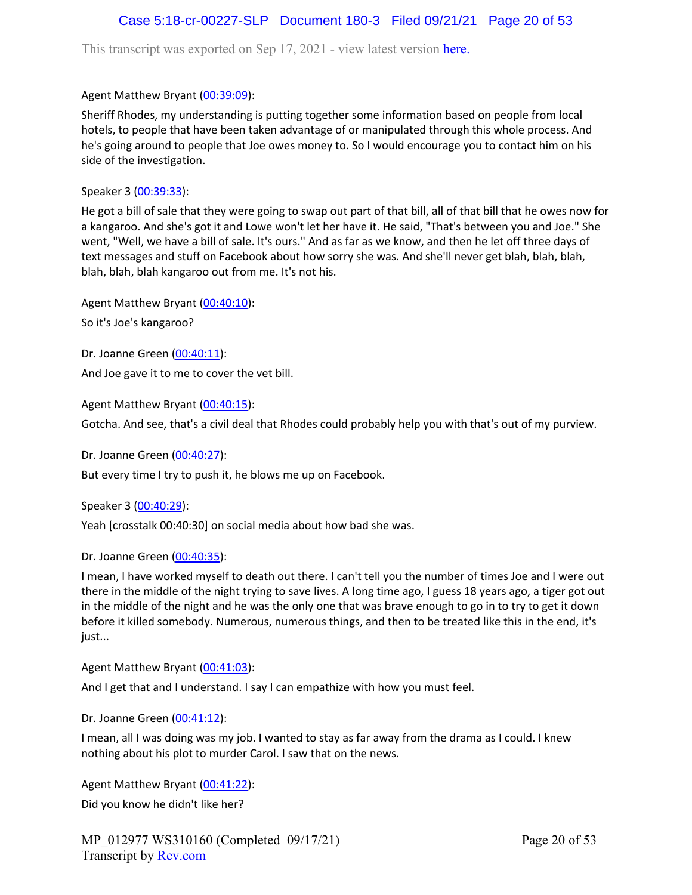This transcript was exported on Sep 17, 2021 - view latest version [here.](https://www.rev.com/transcript-editor/Edit?token=I33MB_RoV1FwOoHBZ0vXCiw9XFf7Kdljsv8wmKDhXSlbDZV1-muO_uXdeLk3bhrqvxSEUBmRHZUHjbZyoStIj4NIjiQ&loadFrom=DocumentHeaderDeepLink)

### Agent Matthew Bryant ([00:39:09](https://www.rev.com/transcript-editor/Edit?token=ZIPiEKHhaFGY9iguO52aZt-zsBmQjz69zuFHoiihDhNLk9yZbt0H0zWqRMIM-V2WAMtiWF2dWg8PnHbvjfTyHsXO-LM&loadFrom=DocumentDeeplink&ts=2349.52)):

Sheriff Rhodes, my understanding is putting together some information based on people from local hotels, to people that have been taken advantage of or manipulated through this whole process. And he's going around to people that Joe owes money to. So I would encourage you to contact him on his side of the investigation.

Speaker 3 ([00:39:33](https://www.rev.com/transcript-editor/Edit?token=n921gVnPzGrtkMdI8ZXmZOfNwxf_sxy4XK3GoUymSVk154cy4-EisroXfo8XvqhZvk60JjoMtqYizNOsMuF7qPdKy2Q&loadFrom=DocumentDeeplink&ts=2373.3)):

He got a bill of sale that they were going to swap out part of that bill, all of that bill that he owes now for a kangaroo. And she's got it and Lowe won't let her have it. He said, "That's between you and Joe." She went, "Well, we have a bill of sale. It's ours." And as far as we know, and then he let off three days of text messages and stuff on Facebook about how sorry she was. And she'll never get blah, blah, blah, blah, blah, blah kangaroo out from me. It's not his.

Agent Matthew Bryant ([00:40:10](https://www.rev.com/transcript-editor/Edit?token=wycH28aToKVJ63mggCA9YEJHHoXUhcggUUhu-XbQ17TAJuufzLVhe9DUGdrg3d_kqa32kjvee3ZtMRxErZ6yEVTiOz4&loadFrom=DocumentDeeplink&ts=2410.31)):

So it's Joe's kangaroo?

Dr. Joanne Green [\(00:40:11\)](https://www.rev.com/transcript-editor/Edit?token=4s5F0AI-lYEqf8K-86M4If8E5ah4f2PQKa0KGOnICahp10MussaKqYP3HsDSEIq9ayGEvLJW44X1iwWDQRTRrIfDfFY&loadFrom=DocumentDeeplink&ts=2411.5):

And Joe gave it to me to cover the vet bill.

Agent Matthew Bryant ([00:40:15](https://www.rev.com/transcript-editor/Edit?token=aKVvijWyHmxWs46JiwoTrNV73JtIT0EynLwcpqBj-djkiHOzn9OYEl6omd4ee1PsHW7UyRIOn5wuzG-UQRO0LOMHRw0&loadFrom=DocumentDeeplink&ts=2415.53)):

Gotcha. And see, that's a civil deal that Rhodes could probably help you with that's out of my purview.

Dr. Joanne Green [\(00:40:27\)](https://www.rev.com/transcript-editor/Edit?token=d23HBYGmECqCBtpWvuXj0xJxnj5exkXP3oDIvfT8QCciolE1rM7fyjEpkBkFOOyzvkfl5b5KRtI52V0z7JnMIn9MCcY&loadFrom=DocumentDeeplink&ts=2427.08):

But every time I try to push it, he blows me up on Facebook.

Speaker 3 ([00:40:29](https://www.rev.com/transcript-editor/Edit?token=M9P9t2DwUWKoaaKilBr1Gdpdt2BXZ3vT_DbNcdp3YQX1hubEMAL_7xdzR5rx1lD9XWq8NOb08V-zy-TQjS8vTVieQEc&loadFrom=DocumentDeeplink&ts=2429.83)):

Yeah [crosstalk 00:40:30] on social media about how bad she was.

Dr. Joanne Green [\(00:40:35\)](https://www.rev.com/transcript-editor/Edit?token=F57OpiLtla0vqu0deRh3hE4xzDvg-EPbeE6o6Vlh0TlBEHY0v7ld6tS3HdMSZOXYw3C9MSsaPZcb1s2H-2Ji5NjvVcU&loadFrom=DocumentDeeplink&ts=2435.3):

I mean, I have worked myself to death out there. I can't tell you the number of times Joe and I were out there in the middle of the night trying to save lives. A long time ago, I guess 18 years ago, a tiger got out in the middle of the night and he was the only one that was brave enough to go in to try to get it down before it killed somebody. Numerous, numerous things, and then to be treated like this in the end, it's just...

Agent Matthew Bryant ([00:41:03](https://www.rev.com/transcript-editor/Edit?token=95S8EyfDAEuDffazE9tMOuu6hWX0i-G62dMBGW5cYX2MfmGkpSWAlLq6Z2aqXPpyuH9sOpSPUDIwl3l_AjvDlvrHF7Y&loadFrom=DocumentDeeplink&ts=2463.25)):

And I get that and I understand. I say I can empathize with how you must feel.

Dr. Joanne Green [\(00:41:12\)](https://www.rev.com/transcript-editor/Edit?token=P67-Eda94Jx6_22cF1fA9j5Vvn_DQ5EcYJXnoaNigl4T7fsohsSMtwGhcmBYwYNfItsHt-fgmas7pbWYs5rifAkHyF0&loadFrom=DocumentDeeplink&ts=2472.11):

I mean, all I was doing was my job. I wanted to stay as far away from the drama as I could. I knew nothing about his plot to murder Carol. I saw that on the news.

Agent Matthew Bryant ([00:41:22](https://www.rev.com/transcript-editor/Edit?token=lrCKngydIlPB0dRmY2IpVqIMcZ2m3e0rV_9NA86M62htgc5p-Ycc0N_rlWoAYTppO_dx5hIwoBPcUveuYmRyT4wVnEs&loadFrom=DocumentDeeplink&ts=2482.92)): Did you know he didn't like her?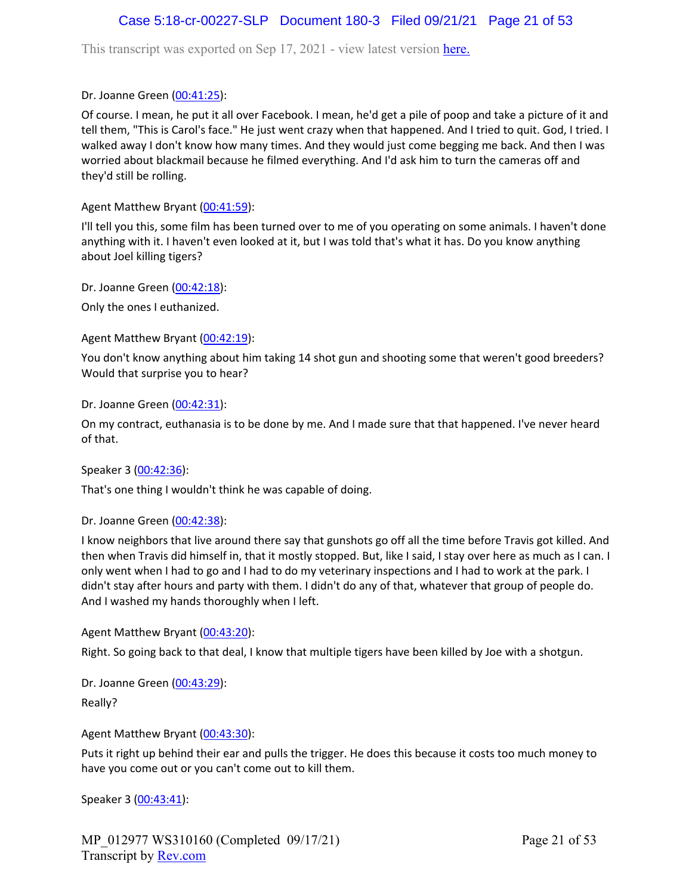# Case 5:18-cr-00227-SLP Document 180-3 Filed 09/21/21 Page 21 of 53

This transcript was exported on Sep 17, 2021 - view latest version [here.](https://www.rev.com/transcript-editor/Edit?token=I33MB_RoV1FwOoHBZ0vXCiw9XFf7Kdljsv8wmKDhXSlbDZV1-muO_uXdeLk3bhrqvxSEUBmRHZUHjbZyoStIj4NIjiQ&loadFrom=DocumentHeaderDeepLink)

Dr. Joanne Green [\(00:41:25\)](https://www.rev.com/transcript-editor/Edit?token=Nye05mAnES3bUYYe4z18oix6LPetB2rSrpT-P11Vq7_QdQSsCimmZ8z-xsVnFYD6YRZP0S4QZGi44ew__dkuZzhpAak&loadFrom=DocumentDeeplink&ts=2485.78):

Of course. I mean, he put it all over Facebook. I mean, he'd get a pile of poop and take a picture of it and tell them, "This is Carol's face." He just went crazy when that happened. And I tried to quit. God, I tried. I walked away I don't know how many times. And they would just come begging me back. And then I was worried about blackmail because he filmed everything. And I'd ask him to turn the cameras off and they'd still be rolling.

Agent Matthew Bryant ([00:41:59](https://www.rev.com/transcript-editor/Edit?token=2yIluH0-Ov5hcTMA6BEt13Ce-Uebz13zUqQyJzM_aqwIdQ3q84At-PUyf_49fM1p3SQkqfDtH-ez47maSgcj5tOXMtM&loadFrom=DocumentDeeplink&ts=2519.65)):

I'll tell you this, some film has been turned over to me of you operating on some animals. I haven't done anything with it. I haven't even looked at it, but I was told that's what it has. Do you know anything about Joel killing tigers?

Dr. Joanne Green [\(00:42:18\)](https://www.rev.com/transcript-editor/Edit?token=ikP48dYNysQJQRAnnbDZxSrBNoTxgD3Z685M_MtAyKcnrAUE89Zj9fhXchwhBKMVlCcg2XYt80vJZS-j_5v3j3D4crY&loadFrom=DocumentDeeplink&ts=2538.47):

Only the ones I euthanized.

Agent Matthew Bryant ([00:42:19](https://www.rev.com/transcript-editor/Edit?token=EMV4weqlQz5qRjCxLS1b38qSxgRBh2L7aiYe0mthADgLVsb9ECIndOA8AButSg-7t7nqQyc996vGNVQ4CW7n_1KaU6Y&loadFrom=DocumentDeeplink&ts=2539.35)):

You don't know anything about him taking 14 shot gun and shooting some that weren't good breeders? Would that surprise you to hear?

Dr. Joanne Green [\(00:42:31\)](https://www.rev.com/transcript-editor/Edit?token=arl5Ro0uQ-jyihzFhawP_ZqKllZbkBPYtgafSoWptNt7so45hvnB0zkUKYpPkKQ_rKiowzi41VZT5ojnZAmWYv5fdAE&loadFrom=DocumentDeeplink&ts=2551.19):

On my contract, euthanasia is to be done by me. And I made sure that that happened. I've never heard of that.

Speaker 3 ([00:42:36](https://www.rev.com/transcript-editor/Edit?token=ZSz_oRwsK8J9i1SbS92v5NKE_VUsXuFoGP2D_G-ZTfASIGvujd9X68oDB7I7nFNkoGn0h7OuHuGeFqQSUT0W97FhID4&loadFrom=DocumentDeeplink&ts=2556.75)):

That's one thing I wouldn't think he was capable of doing.

Dr. Joanne Green [\(00:42:38\)](https://www.rev.com/transcript-editor/Edit?token=S1YtwQpAuO9iP8p4XV3LOP4OT8s2qxBSSIF75xK3ygAgDuVnmOWIzUu-eQ0yAYlePgo33wruqIHHZKyL7LQoMka_I_I&loadFrom=DocumentDeeplink&ts=2558.99):

I know neighbors that live around there say that gunshots go off all the time before Travis got killed. And then when Travis did himself in, that it mostly stopped. But, like I said, I stay over here as much as I can. I only went when I had to go and I had to do my veterinary inspections and I had to work at the park. I didn't stay after hours and party with them. I didn't do any of that, whatever that group of people do. And I washed my hands thoroughly when I left.

Agent Matthew Bryant ([00:43:20](https://www.rev.com/transcript-editor/Edit?token=BBzpv6z1b1uCNhDapA3pF6CeSuPf1HUMtyTd5M8BmZgOASGfSO0tmYnKbjSpBehHoXrB85ksAXii8rkljaPBktKrUx0&loadFrom=DocumentDeeplink&ts=2600.74)):

Right. So going back to that deal, I know that multiple tigers have been killed by Joe with a shotgun.

Dr. Joanne Green [\(00:43:29\)](https://www.rev.com/transcript-editor/Edit?token=YeQQtcouKjNRZp65Zy0LTm9eKIolW1ZU5t479827Gkk_JbrZNg14xbQtaTw1dvwS51RiP5IkK_3ORxU8xstZBRquUyM&loadFrom=DocumentDeeplink&ts=2609.42):

Really?

Agent Matthew Bryant ([00:43:30](https://www.rev.com/transcript-editor/Edit?token=hw05WfYA0dw-soarK1wX8P6OZ0DGoee0rP28KiHZR8NVEh_72eDr5K828rSksogB2NsQ6nHOe6ADbd7OsA2g6vpXtfc&loadFrom=DocumentDeeplink&ts=2610.82)):

Puts it right up behind their ear and pulls the trigger. He does this because it costs too much money to have you come out or you can't come out to kill them.

Speaker 3 ([00:43:41](https://www.rev.com/transcript-editor/Edit?token=1xlHnMo54Sgpf1IqggLrciVj3XgLID4A-UQYUSC5zy7_UP4o4UCfQuUVrQva0flTCzuXwW3KCZSc_RHKykET_8lMbJE&loadFrom=DocumentDeeplink&ts=2621.66)):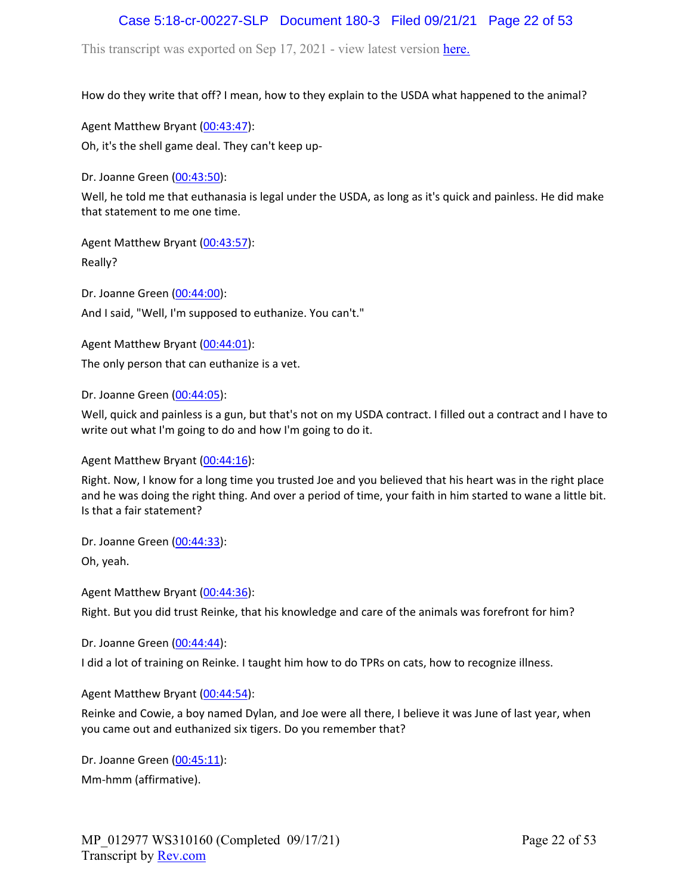# Case 5:18-cr-00227-SLP Document 180-3 Filed 09/21/21 Page 22 of 53

This transcript was exported on Sep 17, 2021 - view latest version [here.](https://www.rev.com/transcript-editor/Edit?token=I33MB_RoV1FwOoHBZ0vXCiw9XFf7Kdljsv8wmKDhXSlbDZV1-muO_uXdeLk3bhrqvxSEUBmRHZUHjbZyoStIj4NIjiQ&loadFrom=DocumentHeaderDeepLink)

How do they write that off? I mean, how to they explain to the USDA what happened to the animal?

Agent Matthew Bryant ([00:43:47](https://www.rev.com/transcript-editor/Edit?token=mCeYK2h25FLrDKkh6pROvlugbP-y-0aLHjeu8_4IkYiEc83pwGwgFgotwJDjo11K5NqgMnkEoghqT0thsZWmmv_35j0&loadFrom=DocumentDeeplink&ts=2627.01)): Oh, it's the shell game deal. They can't keep up-

Dr. Joanne Green [\(00:43:50\)](https://www.rev.com/transcript-editor/Edit?token=zQ7QmuX4ZH4fG1uFnTNVt9yavTxHvMdsaJPqQSIrC-MO29z1RSAPbphgBjqR4t_1wetFgxBnbGIZ02I3-DiIsJ5qW2M&loadFrom=DocumentDeeplink&ts=2630.07):

Well, he told me that euthanasia is legal under the USDA, as long as it's quick and painless. He did make that statement to me one time.

Agent Matthew Bryant ([00:43:57](https://www.rev.com/transcript-editor/Edit?token=mKoccIeLnhAEL61KH0wWVqYzQJe2ZBpjJ3JRuWYBeY67d7dCFjeSC9RJuTFVqitE7CsGVfIhDMHCN-VewI9PJaOeWxg&loadFrom=DocumentDeeplink&ts=2637.42)): Really?

Dr. Joanne Green [\(00:44:00\)](https://www.rev.com/transcript-editor/Edit?token=4KQpyebE8sovm2b9wsYFQv_nJfBhESvaB_-h-N9uRhF-r04vtXbmTS0G__eUF9C19E9723XNlE9bWpGTpH4CHrdKBDU&loadFrom=DocumentDeeplink&ts=2640.47): And I said, "Well, I'm supposed to euthanize. You can't."

Agent Matthew Bryant ([00:44:01](https://www.rev.com/transcript-editor/Edit?token=L1fITsXJrgJnK1zDuoQbJpyl9u0JzGi4pUFhOQumOT74q31nMDq10Lx-kHNwAp9MCO16ZV3Yg414sz72zA7REw1KIE0&loadFrom=DocumentDeeplink&ts=2641.52)):

The only person that can euthanize is a vet.

Dr. Joanne Green [\(00:44:05\)](https://www.rev.com/transcript-editor/Edit?token=I2WjH4K3fnfG5ajaYptAltDyvsYbH56zXuwlsXBIzsD-E5D60r6iNjloS5H5e_t60PhMhcWerCN17Sz_ZI_hJ1doKzA&loadFrom=DocumentDeeplink&ts=2645):

Well, quick and painless is a gun, but that's not on my USDA contract. I filled out a contract and I have to write out what I'm going to do and how I'm going to do it.

Agent Matthew Bryant ([00:44:16](https://www.rev.com/transcript-editor/Edit?token=u_izm-ZJJJ2BKa3Egu9GfaGK66MTyweT9_yBNX4lJVbRdPUwQ36K1CtYcjcM9NAyG5u2ZrtqcclnGIkhh1qbBSmozDE&loadFrom=DocumentDeeplink&ts=2656.21)):

Right. Now, I know for a long time you trusted Joe and you believed that his heart was in the right place and he was doing the right thing. And over a period of time, your faith in him started to wane a little bit. Is that a fair statement?

Dr. Joanne Green [\(00:44:33\)](https://www.rev.com/transcript-editor/Edit?token=E-jK1rbDSLpZbxBWu-JqrzpLpGZ5Q36IJ4K_1Raj7rWwM6r0E8UatdTRbKf_q11xYU_GCgtV6_NGnNKHahs4O7JgPy8&loadFrom=DocumentDeeplink&ts=2673.42):

Oh, yeah.

Agent Matthew Bryant ([00:44:36](https://www.rev.com/transcript-editor/Edit?token=rJx5F7b60A3smTyDULsVbK3FFD23MnPAZbajAb-njeZVzc5hbk71C2lHWGSB3-a1rmah-W6hAELIKslpDuDHWmhnkcE&loadFrom=DocumentDeeplink&ts=2676.18)):

Right. But you did trust Reinke, that his knowledge and care of the animals was forefront for him?

Dr. Joanne Green [\(00:44:44\)](https://www.rev.com/transcript-editor/Edit?token=whYHSD4DTG2JV0jWy0HFuljdsbOdRUV0u46lpzlgwg5JJLstO1DU05zFMqJGw32WsQ5i7XRYynXoBcevVOPWi1s_Sgk&loadFrom=DocumentDeeplink&ts=2684.33):

I did a lot of training on Reinke. I taught him how to do TPRs on cats, how to recognize illness.

Agent Matthew Bryant ([00:44:54](https://www.rev.com/transcript-editor/Edit?token=5p9tJYI3IQsQ7s8SLDZOJlV4vP-9GwnH_UmkPDqCzj9Rz17-fpICaPSrDlj1N5ROe_LUoMJzanze6c_C_dgVl58yQIY&loadFrom=DocumentDeeplink&ts=2694.78)):

Reinke and Cowie, a boy named Dylan, and Joe were all there, I believe it was June of last year, when you came out and euthanized six tigers. Do you remember that?

Dr. Joanne Green [\(00:45:11\)](https://www.rev.com/transcript-editor/Edit?token=THZzPFR7PeHqnyiZE6yYe99pfPThuAQUljDjxvlJkS60uoG2Go8SwCN9Lx4B5nUIF9aBdgaY4LX8ecpc3sX_6TQCpR4&loadFrom=DocumentDeeplink&ts=2711.63): Mm-hmm (affirmative).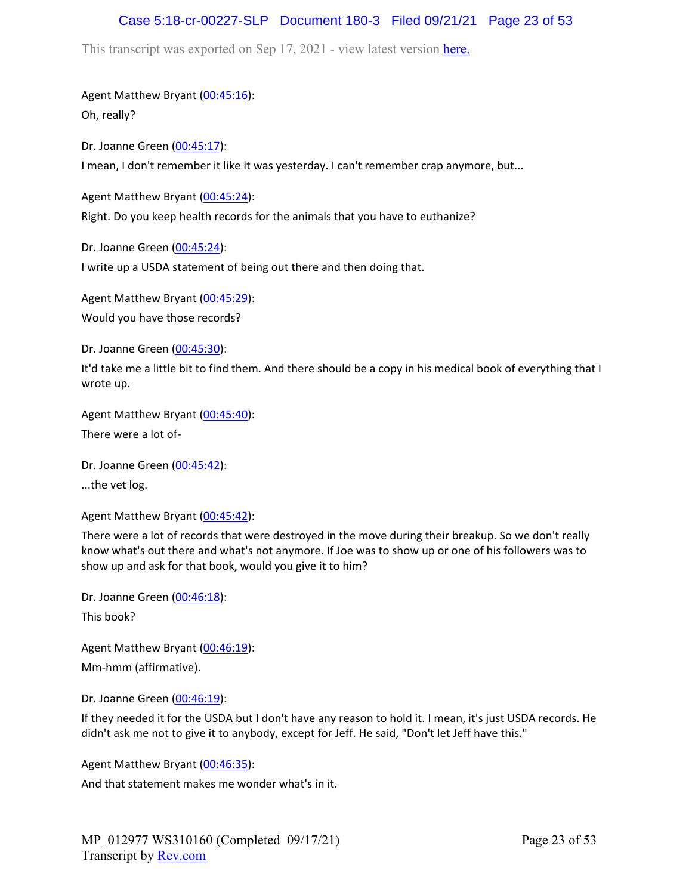# Case 5:18-cr-00227-SLP Document 180-3 Filed 09/21/21 Page 23 of 53

This transcript was exported on Sep 17, 2021 - view latest version [here.](https://www.rev.com/transcript-editor/Edit?token=I33MB_RoV1FwOoHBZ0vXCiw9XFf7Kdljsv8wmKDhXSlbDZV1-muO_uXdeLk3bhrqvxSEUBmRHZUHjbZyoStIj4NIjiQ&loadFrom=DocumentHeaderDeepLink)

Agent Matthew Bryant ([00:45:16](https://www.rev.com/transcript-editor/Edit?token=G-qKkVPHDBd-mswCO_WGRkmQEFsE_X6wyXSn3IfbI8ILDwrirNCoiLSVeI3uKv7Yb1nbVEyiWAJHT3zlbJx9OADCL3s&loadFrom=DocumentDeeplink&ts=2716.61)):

Oh, really?

Dr. Joanne Green [\(00:45:17\)](https://www.rev.com/transcript-editor/Edit?token=s35VIHopkfedS3EyPVpWEYzugU1P_GnAStCrWYmWZ9P4jMbELYHolrNr6uJaawFxTelo-VHO2CgKHciOx1U2JnEzdJw&loadFrom=DocumentDeeplink&ts=2717.26): I mean, I don't remember it like it was yesterday. I can't remember crap anymore, but...

Agent Matthew Bryant ([00:45:24](https://www.rev.com/transcript-editor/Edit?token=U7szOMa_JAJWVhVZ_AOq4JODOB7uvfuzuTwCmPAXby-7HMorr3VabG3I8KgzHJbfl26hM0y1_NoQm9Fjnt7gR9-8leI&loadFrom=DocumentDeeplink&ts=2724.64)):

Right. Do you keep health records for the animals that you have to euthanize?

Dr. Joanne Green [\(00:45:24\)](https://www.rev.com/transcript-editor/Edit?token=XFKSnqWejq4MM9l0UlEtYkpmEvylt9hvB8zMNAY4tptI2TaYtQ3OVEov_LpvMp3i8qKZPx7vHJ2wHzBVnSmuHorHGxg&loadFrom=DocumentDeeplink&ts=2724.96): I write up a USDA statement of being out there and then doing that.

Agent Matthew Bryant ([00:45:29](https://www.rev.com/transcript-editor/Edit?token=oHu3vcO8eLiukFqvGAC-rzdMoAqsGZ3Pxey_IdN66UstHdAabG8OIO7RcEOqNk69aVNCeOxZPdGQx7Mo09ceIwWQ3gU&loadFrom=DocumentDeeplink&ts=2729.65)): Would you have those records?

Dr. Joanne Green [\(00:45:30\)](https://www.rev.com/transcript-editor/Edit?token=BuSa0vi_7HfP15u-H8Qf8XHvdqOT81ap2oGzgAlJ6PIsLEshr7HMDhJHEPQCXZpmYH3nPty-_yuaJwmajmrzv2omJ4Y&loadFrom=DocumentDeeplink&ts=2730.97):

It'd take me a little bit to find them. And there should be a copy in his medical book of everything that I wrote up.

Agent Matthew Bryant ([00:45:40](https://www.rev.com/transcript-editor/Edit?token=bqXTiHcrm9y4gtD-F1UkHvEpFcZEotnPNrVrqAPdDS6exnRgwGaTLFlSbCLJLH8FAJUYyUpa40tcakGraEU2MUVm8uw&loadFrom=DocumentDeeplink&ts=2740.38)):

There were a lot of-

Dr. Joanne Green [\(00:45:42\)](https://www.rev.com/transcript-editor/Edit?token=_XXlyXb53tuP4AMqYKQVcvnbj8GcPj9CzP7vKR6hZ1Kw-bOUorg4k4DwzUoTT7h5w-UF2x7WzVpm2cOfqo37OUAvY5o&loadFrom=DocumentDeeplink&ts=2742.15):

...the vet log.

Agent Matthew Bryant ([00:45:42](https://www.rev.com/transcript-editor/Edit?token=iPkewkN3_-j5J9YWRgWYvtTJbEFtMXfe_i8dZBuBseWkjaujgm8ZsdIr89hQOA4s_4mE7RfbA3FWQespQt3efEnzQY0&loadFrom=DocumentDeeplink&ts=2742.75)):

There were a lot of records that were destroyed in the move during their breakup. So we don't really know what's out there and what's not anymore. If Joe was to show up or one of his followers was to show up and ask for that book, would you give it to him?

Dr. Joanne Green [\(00:46:18\)](https://www.rev.com/transcript-editor/Edit?token=NiUdMBFld66pVAqY-6AqG84nOlyAiN2AE2NuERyu3F1d0TyWF7XmJOXWbheVaAQsrc4XAwWm175dbElCM7o5r4tbwUg&loadFrom=DocumentDeeplink&ts=2778.46): This book?

Agent Matthew Bryant ([00:46:19](https://www.rev.com/transcript-editor/Edit?token=xBGy_AJn8OzROsZnlCuU3brIOx7uEYaJcSOPJT8xkWBeIPCjwLrgm26oqAliyXa7DSn21xuyk2etJ42fk45DR8wngag&loadFrom=DocumentDeeplink&ts=2779.03)): Mm-hmm (affirmative).

Dr. Joanne Green [\(00:46:19\)](https://www.rev.com/transcript-editor/Edit?token=1W3TEuNmmor3RW7rACg4RfnGSMOVclFj0Z0CXqLDFZGiQzGaq6UnzKXIfUYQavPRGuLVNxOHL9zlLMaitO4sr8Eoq1Y&loadFrom=DocumentDeeplink&ts=2779.97):

If they needed it for the USDA but I don't have any reason to hold it. I mean, it's just USDA records. He didn't ask me not to give it to anybody, except for Jeff. He said, "Don't let Jeff have this."

Agent Matthew Bryant ([00:46:35](https://www.rev.com/transcript-editor/Edit?token=ywT4gTGLEeum837DAD_ukV0D5b8vxWgik_FIURI_MIre4oRcJe311LsSCiqMOduqBKQ8F2iuv06gQ7fn4C7IaFe2mKw&loadFrom=DocumentDeeplink&ts=2795.9)):

And that statement makes me wonder what's in it.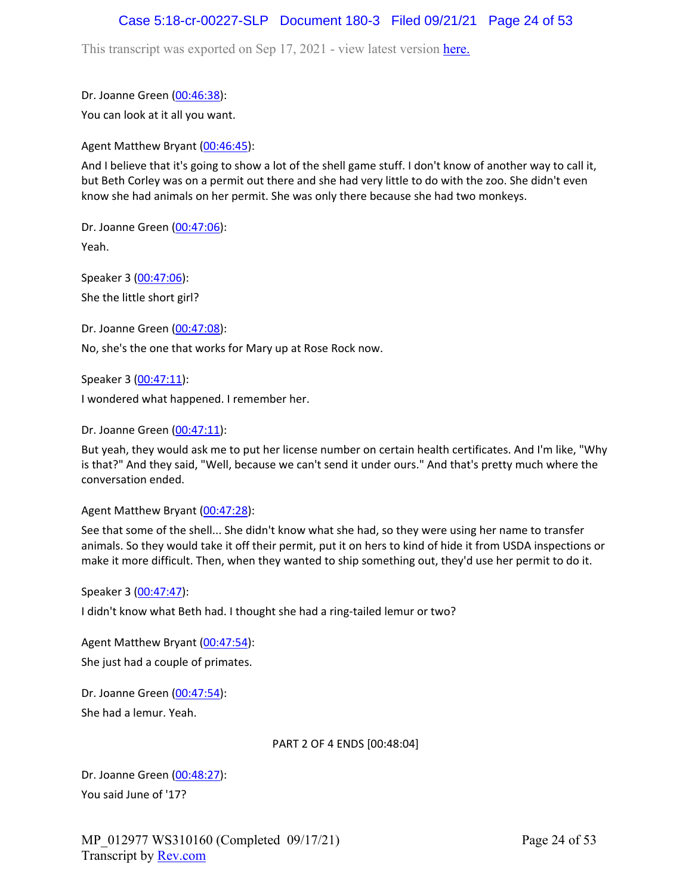### Case 5:18-cr-00227-SLP Document 180-3 Filed 09/21/21 Page 24 of 53

This transcript was exported on Sep 17, 2021 - view latest version [here.](https://www.rev.com/transcript-editor/Edit?token=I33MB_RoV1FwOoHBZ0vXCiw9XFf7Kdljsv8wmKDhXSlbDZV1-muO_uXdeLk3bhrqvxSEUBmRHZUHjbZyoStIj4NIjiQ&loadFrom=DocumentHeaderDeepLink)

Dr. Joanne Green [\(00:46:38\)](https://www.rev.com/transcript-editor/Edit?token=lJDdVZXVgpcWpHDMtSfZjcXb5HV2jMedex4O1WRfRW4yn3GPHihwe4YiNRCvuXafo3mSN9CmkKLGudC2EHpRSRRvCNw&loadFrom=DocumentDeeplink&ts=2798.75):

You can look at it all you want.

Agent Matthew Bryant ([00:46:45](https://www.rev.com/transcript-editor/Edit?token=1Q1S4a8TZ1-vZxk_tgsSAW8e3N7BxmvkW0OEeQUykeeGy89eqHMVhPRUv77MvHD_0hDhMYgDBPzcHVSq8AmwFPw79mw&loadFrom=DocumentDeeplink&ts=2805.08)):

And I believe that it's going to show a lot of the shell game stuff. I don't know of another way to call it, but Beth Corley was on a permit out there and she had very little to do with the zoo. She didn't even know she had animals on her permit. She was only there because she had two monkeys.

Dr. Joanne Green [\(00:47:06\)](https://www.rev.com/transcript-editor/Edit?token=dkC2EGNTbOpr4olBuUlMvw6HDOIPZ1biyeafcENZaJSj7EnDNnwYjDJgr-0WuDXTBpvKP1On__4DFeOhuJGr8J6Z_qw&loadFrom=DocumentDeeplink&ts=2826.46): Yeah.

Speaker 3 ([00:47:06](https://www.rev.com/transcript-editor/Edit?token=1LvgJrdRgFwuXmK-Mzw8rXYZwzWi4FN9juaPh3TZ_iX2wwLBEHiGjgSCgcpD5uIOHkQe8dGvRbsAWpOiPvZz29QmesI&loadFrom=DocumentDeeplink&ts=2826.91)): She the little short girl?

Dr. Joanne Green [\(00:47:08\)](https://www.rev.com/transcript-editor/Edit?token=ktYNHx0C0ZqbMItlUidOerpShZBHCV-FP-TkFxp9stoTU6odhL1r8rBkJBg4SJhh2KxsJsvziw5kYTwEzIxxZYG1H3o&loadFrom=DocumentDeeplink&ts=2828.32): No, she's the one that works for Mary up at Rose Rock now.

Speaker 3 ([00:47:11](https://www.rev.com/transcript-editor/Edit?token=iNF9wQ_0UI4l1YCUsZ4PjeF4moFbKHOe7xIs4bFG1_BzEuIqsOJ6YMtQOXZ8jZbYX_z1i5Pl0EXWblUqVBvatPz__DU&loadFrom=DocumentDeeplink&ts=2831.44)):

I wondered what happened. I remember her.

Dr. Joanne Green [\(00:47:11\)](https://www.rev.com/transcript-editor/Edit?token=hskczDum7GE1NA5YBOP_SVhdhwOFDKa_OCB8jq6j6tHWxEWT_WIQGLtauxX1drhAcE8v9l6uygV4-r86q2jVRYKTduY&loadFrom=DocumentDeeplink&ts=2831.89):

But yeah, they would ask me to put her license number on certain health certificates. And I'm like, "Why is that?" And they said, "Well, because we can't send it under ours." And that's pretty much where the conversation ended.

Agent Matthew Bryant ([00:47:28](https://www.rev.com/transcript-editor/Edit?token=aguWpxf9qhNqxLBcqGVjX94hPBxT87aE8PTouhioaMjk9NCHEN6j_bVxgqZPaGdkyhaAlhcw18Jbm6iURPRuUuFhj9g&loadFrom=DocumentDeeplink&ts=2848.48)):

See that some of the shell... She didn't know what she had, so they were using her name to transfer animals. So they would take it off their permit, put it on hers to kind of hide it from USDA inspections or make it more difficult. Then, when they wanted to ship something out, they'd use her permit to do it.

### Speaker 3 ([00:47:47](https://www.rev.com/transcript-editor/Edit?token=2E3ZJE7X_5aGFgBBTHS1CvtjXP90LWXWddvyQVVJ6K-R0dDPnzaeSLlpl23aMjDuKR15otjrbCPuAWERE81nQSbNFI8&loadFrom=DocumentDeeplink&ts=2867.97)):

I didn't know what Beth had. I thought she had a ring-tailed lemur or two?

Agent Matthew Bryant ([00:47:54](https://www.rev.com/transcript-editor/Edit?token=yCu67NvBVM4vDVpw-svYtS1UYwpZg7Cg8P1WGX3tQ_nkyaAY4eVYHmLZtw-m_GwiwFdmOazRuUGmnFOGt6_aMpvoGZk&loadFrom=DocumentDeeplink&ts=2874.73)): She just had a couple of primates.

Dr. Joanne Green [\(00:47:54\)](https://www.rev.com/transcript-editor/Edit?token=00s8SVD76_m-zpGwgw-oNT7OlfcFX9vsas_IEf6QUvBi1q8-AQSAzPRk2DY93AlH_vV0Jjh4HtiD81RjQ6RRYkHAUmA&loadFrom=DocumentDeeplink&ts=2874.75): She had a lemur. Yeah.

### PART 2 OF 4 ENDS [00:48:04]

Dr. Joanne Green [\(00:48:27\)](https://www.rev.com/transcript-editor/Edit?token=tDDxEcBtpy5DfzzBDNEqCwClMCuR5Z0g6Aru6whyHRLTpCG9qjidB9KcLp1VFD5lbKcYTqGrX_LEo-kwcQApw-BvhXM&loadFrom=DocumentDeeplink&ts=2907.62): You said June of '17?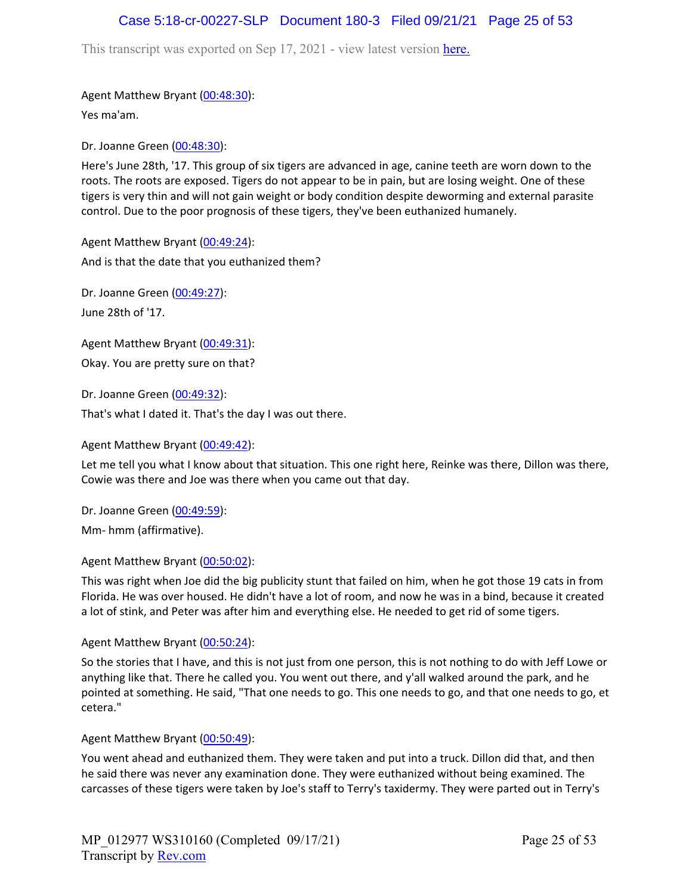### Case 5:18-cr-00227-SLP Document 180-3 Filed 09/21/21 Page 25 of 53

This transcript was exported on Sep 17, 2021 - view latest version [here.](https://www.rev.com/transcript-editor/Edit?token=I33MB_RoV1FwOoHBZ0vXCiw9XFf7Kdljsv8wmKDhXSlbDZV1-muO_uXdeLk3bhrqvxSEUBmRHZUHjbZyoStIj4NIjiQ&loadFrom=DocumentHeaderDeepLink)

Agent Matthew Bryant ([00:48:30](https://www.rev.com/transcript-editor/Edit?token=QnxO0zNVdSRcZ-zg1BNwydDV6QVPbDCc78vMuySGCe_ExXECRU5OOE3SehwSkJ_8hGVpW_CgRNeEgdtZq51ED_OV3r8&loadFrom=DocumentDeeplink&ts=2910.12)):

Yes ma'am.

Dr. Joanne Green [\(00:48:30\)](https://www.rev.com/transcript-editor/Edit?token=d2tcaKAQAi3uD7C2EQlI-EmynAM3FgsRCFRB89d3KTqphJ5iEMx2Crs_Gm-cP5jqPka4WaC7l3ZaHA9va61_CCCsdRo&loadFrom=DocumentDeeplink&ts=2910.47):

Here's June 28th, '17. This group of six tigers are advanced in age, canine teeth are worn down to the roots. The roots are exposed. Tigers do not appear to be in pain, but are losing weight. One of these tigers is very thin and will not gain weight or body condition despite deworming and external parasite control. Due to the poor prognosis of these tigers, they've been euthanized humanely.

Agent Matthew Bryant ([00:49:24](https://www.rev.com/transcript-editor/Edit?token=BlGF52Zn2Vj_n_u4NqDGvKVUxqiOE3r4arLiTOxfLitlOHoIopulZ9NfWGM5TU-aQPhcXMxuqM21t3iZgtYLqM1Gd0Q&loadFrom=DocumentDeeplink&ts=2964.81)): And is that the date that you euthanized them?

Dr. Joanne Green [\(00:49:27\)](https://www.rev.com/transcript-editor/Edit?token=Ecb4_Oj8edmnbRrIgQPWD19VrMTzTqsOajHJDBtTrcAuz3iD1BE41MzjXPg541Td-x_g5XC8D1AFpLLlb7faeYWPlP0&loadFrom=DocumentDeeplink&ts=2967.36): June 28th of '17.

Agent Matthew Bryant ([00:49:31](https://www.rev.com/transcript-editor/Edit?token=LuzaugM0we8RncCoi23qchfPIXSO3dOmBVZ_CD4q9BpBK-2ZBVe-M-FFGpDjWVj4NcG4msI3esN_OhJ4cKX3n543Inw&loadFrom=DocumentDeeplink&ts=2971.09)): Okay. You are pretty sure on that?

Dr. Joanne Green [\(00:49:32\)](https://www.rev.com/transcript-editor/Edit?token=rhPeOlmQU5sZY2hQenn_CdbiSNrJERzrvbmFe8jjj5UwqFTga9AH-XUklHB9Wqvaw8DOaSfI3N7A4_4HWXCvkQ3Xusw&loadFrom=DocumentDeeplink&ts=2972.23): That's what I dated it. That's the day I was out there.

Agent Matthew Bryant ([00:49:42](https://www.rev.com/transcript-editor/Edit?token=ub60sCPcs_O-Riqtu-tz6VS-NyqZlETpUDGND3_YQyQd_zGHTdClPcTgS1fk4faSyfWDj01ZGz_g62sLS9uQKtxRZXU&loadFrom=DocumentDeeplink&ts=2982.48)):

Let me tell you what I know about that situation. This one right here, Reinke was there, Dillon was there, Cowie was there and Joe was there when you came out that day.

Dr. Joanne Green [\(00:49:59\)](https://www.rev.com/transcript-editor/Edit?token=SXndC01v6lnvqHLG3_WRhiYItT5V0cMNnQC3GhSz90cnDhVULcu9YGR9TGiJs4FfzgSTY1iLDvWQ0QlUbPWj7dkDPjk&loadFrom=DocumentDeeplink&ts=2999.47):

Mm- hmm (affirmative).

Agent Matthew Bryant ([00:50:02](https://www.rev.com/transcript-editor/Edit?token=z2KigyjnOx3a6vzZSD5OKxaOQiCTpBCmum4Be7p9M04HOf1_68Y5Oc_oARfquMVZ796EOgsW3jwz-EeXw2IpMrr_IiY&loadFrom=DocumentDeeplink&ts=3002.32)):

This was right when Joe did the big publicity stunt that failed on him, when he got those 19 cats in from Florida. He was over housed. He didn't have a lot of room, and now he was in a bind, because it created a lot of stink, and Peter was after him and everything else. He needed to get rid of some tigers.

Agent Matthew Bryant ([00:50:24](https://www.rev.com/transcript-editor/Edit?token=2RmNdYm3SnfTLdX_m5uJ9f_Tps9SXxi2nbfwnEPE79q-YxcCK8v90SCujjo4U837eszlcka0ofFgTVYZ_aJW8Pop-iY&loadFrom=DocumentDeeplink&ts=3024.78)):

So the stories that I have, and this is not just from one person, this is not nothing to do with Jeff Lowe or anything like that. There he called you. You went out there, and y'all walked around the park, and he pointed at something. He said, "That one needs to go. This one needs to go, and that one needs to go, et cetera."

Agent Matthew Bryant ([00:50:49](https://www.rev.com/transcript-editor/Edit?token=CMX-6YQTkGl32HRjpOU_lMyfcZBmGhfGen9zx5HzIkDEatqYhrGS4sE3Ci5sja4ctvRQpgzBmMFfp_GCAmCLML5Z2Bs&loadFrom=DocumentDeeplink&ts=3049.26)):

You went ahead and euthanized them. They were taken and put into a truck. Dillon did that, and then he said there was never any examination done. They were euthanized without being examined. The carcasses of these tigers were taken by Joe's staff to Terry's taxidermy. They were parted out in Terry's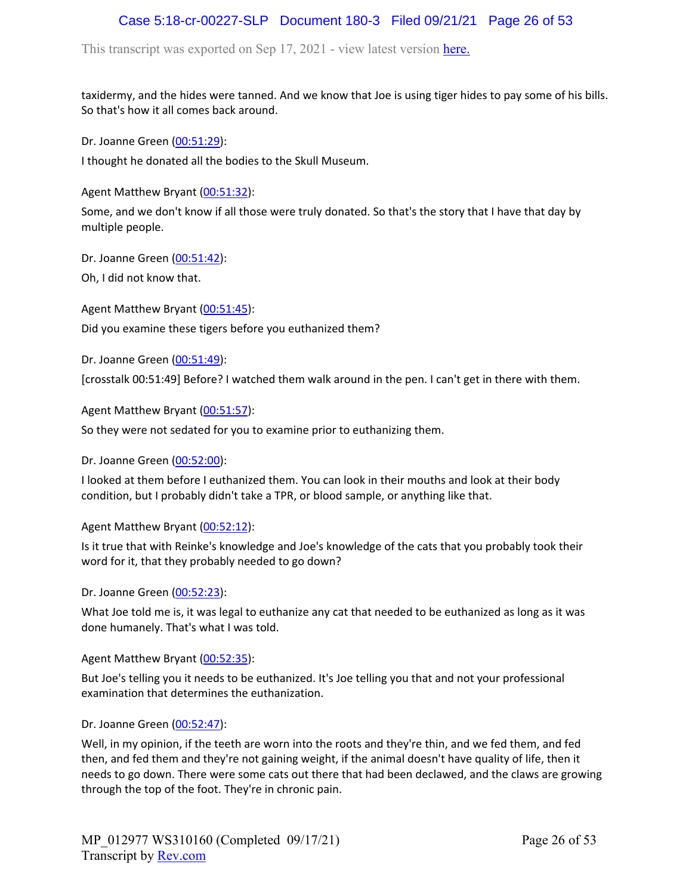# Case 5:18-cr-00227-SLP Document 180-3 Filed 09/21/21 Page 26 of 53

This transcript was exported on Sep 17, 2021 - view latest version [here.](https://www.rev.com/transcript-editor/Edit?token=I33MB_RoV1FwOoHBZ0vXCiw9XFf7Kdljsv8wmKDhXSlbDZV1-muO_uXdeLk3bhrqvxSEUBmRHZUHjbZyoStIj4NIjiQ&loadFrom=DocumentHeaderDeepLink)

taxidermy, and the hides were tanned. And we know that Joe is using tiger hides to pay some of his bills. So that's how it all comes back around.

Dr. Joanne Green [\(00:51:29\)](https://www.rev.com/transcript-editor/Edit?token=55OekrY2mdubJWTE9VMrW097fRtxrA69mogdghB4D8grQ0fEI_g83BUAbx_-WCN6mFuuWzaJKomNo0h7rhwSN-aDDGg&loadFrom=DocumentDeeplink&ts=3089.22):

I thought he donated all the bodies to the Skull Museum.

Agent Matthew Bryant ([00:51:32](https://www.rev.com/transcript-editor/Edit?token=NmuGYqcPYGO8vZxCQ2Lw7ym00mIjhAdqi3whAlNJXymSibwgzM8dmCshnzplL2_juwP6S5OcM5YDkUX2p8vvZNEcgvk&loadFrom=DocumentDeeplink&ts=3092.79)):

Some, and we don't know if all those were truly donated. So that's the story that I have that day by multiple people.

Dr. Joanne Green [\(00:51:42\)](https://www.rev.com/transcript-editor/Edit?token=HDCVmUygsFlfnS9S4JL_ChY_CWqjtvfNXJta0U_8nqB4qoInBSdRphrNxZHJU-qlGJYgyRZKfekof4-V1K2WhMpETtQ&loadFrom=DocumentDeeplink&ts=3102.94): Oh, I did not know that.

Agent Matthew Bryant ([00:51:45](https://www.rev.com/transcript-editor/Edit?token=zuLUkY6h3W80o0Y1Xslg2DBea7_2LZBfJh_FK5qYONmiAke8Iw3oEsXWEzsAAeDB65-LAVQtMPdES8NLuT81ldVtCFM&loadFrom=DocumentDeeplink&ts=3105.71)): Did you examine these tigers before you euthanized them?

Dr. Joanne Green [\(00:51:49\)](https://www.rev.com/transcript-editor/Edit?token=4AJXzQ7Dfwy4KxSkGgD3-30AVspN8gve-swd0B3hdpxdEvb2DS_FbuPJ0gO1MhcL5Abq7IRYVi3dV1e31PQYOp6AlLo&loadFrom=DocumentDeeplink&ts=3109):

[crosstalk 00:51:49] Before? I watched them walk around in the pen. I can't get in there with them.

Agent Matthew Bryant ([00:51:57](https://www.rev.com/transcript-editor/Edit?token=ZH0sI4xQsZHtGY0i6m6H4KUr_2t8XwDp-JjW6DVPCOQdbfQmt0n3NhSmIoIsNXFVsT-i2cgRJOz7jrObeLSBVw6SpXA&loadFrom=DocumentDeeplink&ts=3117.11)):

So they were not sedated for you to examine prior to euthanizing them.

Dr. Joanne Green [\(00:52:00\)](https://www.rev.com/transcript-editor/Edit?token=Q_0GLBZYFLQ8W-bvw1rS1XqRHNX4NPL5nSzpvdttz1cToyvjBRH8xLW7SSDr6uC2CY-I8Ao5wk5l9PKKgDQS4H5U8ZQ&loadFrom=DocumentDeeplink&ts=3120.75):

I looked at them before I euthanized them. You can look in their mouths and look at their body condition, but I probably didn't take a TPR, or blood sample, or anything like that.

Agent Matthew Bryant ([00:52:12](https://www.rev.com/transcript-editor/Edit?token=oAPRaTeLwDFORAvULROA1v3JOqGGXP-D7CW2NQVxiwbz-8et91Sx9hDrJw1ibi9wuolqTfEJzGVJkLqPf0ePhUeqWt8&loadFrom=DocumentDeeplink&ts=3132.83)):

Is it true that with Reinke's knowledge and Joe's knowledge of the cats that you probably took their word for it, that they probably needed to go down?

Dr. Joanne Green [\(00:52:23\)](https://www.rev.com/transcript-editor/Edit?token=y_Gs5CnyiKkWehEymP5RQxD_tYpJYrBJi2kR-ccPknEObf9wO5qKQWhXCZ0mogMkSGViUWJMMCRhyQ3WTzrtKguKMdQ&loadFrom=DocumentDeeplink&ts=3143):

What Joe told me is, it was legal to euthanize any cat that needed to be euthanized as long as it was done humanely. That's what I was told.

Agent Matthew Bryant ([00:52:35](https://www.rev.com/transcript-editor/Edit?token=-9wQcACVFZLOqczitmBjjhlCDSFr9TmfYMw8h-ptPr0HhTUQ8bQVErMiOiBbqxJcuyg_KBZH0hh7iojth_e5lpies-A&loadFrom=DocumentDeeplink&ts=3155.9)):

But Joe's telling you it needs to be euthanized. It's Joe telling you that and not your professional examination that determines the euthanization.

Dr. Joanne Green [\(00:52:47\)](https://www.rev.com/transcript-editor/Edit?token=p_SWQwERKQXXCnmuojGBiBtXnlYpj_2DFgHNwJ3eH7Pt7MPXcK42EcYOXOqScbT3HNsjgC-fCn476-FNZol4YQ0ZB-k&loadFrom=DocumentDeeplink&ts=3167.74):

Well, in my opinion, if the teeth are worn into the roots and they're thin, and we fed them, and fed then, and fed them and they're not gaining weight, if the animal doesn't have quality of life, then it needs to go down. There were some cats out there that had been declawed, and the claws are growing through the top of the foot. They're in chronic pain.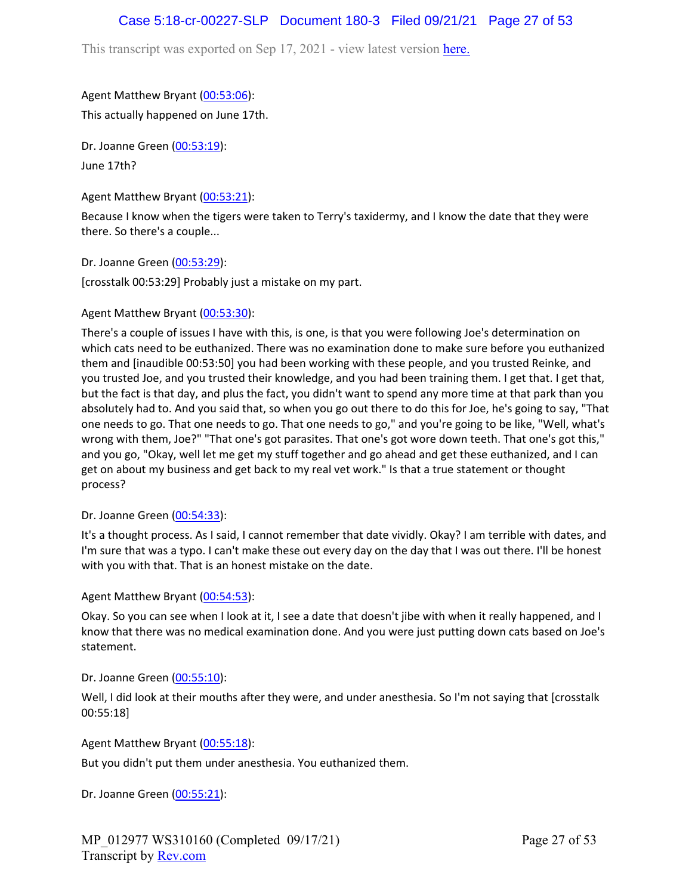# Case 5:18-cr-00227-SLP Document 180-3 Filed 09/21/21 Page 27 of 53

This transcript was exported on Sep 17, 2021 - view latest version [here.](https://www.rev.com/transcript-editor/Edit?token=I33MB_RoV1FwOoHBZ0vXCiw9XFf7Kdljsv8wmKDhXSlbDZV1-muO_uXdeLk3bhrqvxSEUBmRHZUHjbZyoStIj4NIjiQ&loadFrom=DocumentHeaderDeepLink)

### Agent Matthew Bryant ([00:53:06](https://www.rev.com/transcript-editor/Edit?token=pjK6WmYd4kXcCDJw0V8AW9SeFTXnS0-mJF9_OaL4Alzym-LjUh1ZpDHP4LgsUcxDyFvEkVnVUr6STtpKOXKPrH7b2SI&loadFrom=DocumentDeeplink&ts=3186.02)):

This actually happened on June 17th.

Dr. Joanne Green [\(00:53:19\)](https://www.rev.com/transcript-editor/Edit?token=kcwK4gpCqiHe6HzTbsAA3S67R2LYCdBPinqwnnYeLw7ohtvRJmDfJmlKVcSX-RWnydpIQjOr-T6ZQEEZ4mA-VEWT0Q0&loadFrom=DocumentDeeplink&ts=3199.06): June 17th?

### Agent Matthew Bryant ([00:53:21](https://www.rev.com/transcript-editor/Edit?token=CUElrBZG3vBgYmIp2fbJQ-qKW90ptm1NdMBvSq-vua9Twgop06fxhOrfQNFoBGaMHRGHaV9yY826lQGPM2zzZKR48lk&loadFrom=DocumentDeeplink&ts=3201.77)):

Because I know when the tigers were taken to Terry's taxidermy, and I know the date that they were there. So there's a couple...

Dr. Joanne Green [\(00:53:29\)](https://www.rev.com/transcript-editor/Edit?token=MVDdxnlcPk5ryDRXH7qCOYubJES90rLvIEzjl2cX2x6nXlqWs0uEs9OypWuroB7Ab4Q1yNrk9YD9WPGsRKgXvaHly5g&loadFrom=DocumentDeeplink&ts=3209):

[crosstalk 00:53:29] Probably just a mistake on my part.

### Agent Matthew Bryant ([00:53:30](https://www.rev.com/transcript-editor/Edit?token=gcFsXH2dYgDPsJK--9Yp8CT4oJnY0WlDhyg4SiGX4neo66mnVn6f6hWx2oR3RNLP1GzjTuuYH62Lr_mzGsE-htWYypI&loadFrom=DocumentDeeplink&ts=3210.59)):

There's a couple of issues I have with this, is one, is that you were following Joe's determination on which cats need to be euthanized. There was no examination done to make sure before you euthanized them and [inaudible 00:53:50] you had been working with these people, and you trusted Reinke, and you trusted Joe, and you trusted their knowledge, and you had been training them. I get that. I get that, but the fact is that day, and plus the fact, you didn't want to spend any more time at that park than you absolutely had to. And you said that, so when you go out there to do this for Joe, he's going to say, "That one needs to go. That one needs to go. That one needs to go," and you're going to be like, "Well, what's wrong with them, Joe?" "That one's got parasites. That one's got wore down teeth. That one's got this," and you go, "Okay, well let me get my stuff together and go ahead and get these euthanized, and I can get on about my business and get back to my real vet work." Is that a true statement or thought process?

### Dr. Joanne Green [\(00:54:33\)](https://www.rev.com/transcript-editor/Edit?token=F9OLiEuKTw8LQJat_Zi5GjwCrLNozI88uxb1HqvS2gS8q713OaSTSmgMOPCwNp2VOhspk6tgdUWcNXFPHXTG-8fJrBY&loadFrom=DocumentDeeplink&ts=3273.07):

It's a thought process. As I said, I cannot remember that date vividly. Okay? I am terrible with dates, and I'm sure that was a typo. I can't make these out every day on the day that I was out there. I'll be honest with you with that. That is an honest mistake on the date.

Agent Matthew Bryant ([00:54:53](https://www.rev.com/transcript-editor/Edit?token=3Rrz0mqsLsizHTRah7j22mkXdUmnJReg2xChSGqpDSndRC5Uq2VmLJZ-QRF1-H8MjFya29GYiuB-91Q4TKzPCXMTlAw&loadFrom=DocumentDeeplink&ts=3293.61)):

Okay. So you can see when I look at it, I see a date that doesn't jibe with when it really happened, and I know that there was no medical examination done. And you were just putting down cats based on Joe's statement.

Dr. Joanne Green [\(00:55:10\)](https://www.rev.com/transcript-editor/Edit?token=vUqgg5RfRAIRdExN4ovIqI-NJWBi2JFE35ztd4f0_W5Td_ci87OK9EReEY7y0RkLXURbcbWKpvwN1hDMTCQ2n44uHuU&loadFrom=DocumentDeeplink&ts=3310.47):

Well, I did look at their mouths after they were, and under anesthesia. So I'm not saying that [crosstalk 00:55:18]

Agent Matthew Bryant ([00:55:18](https://www.rev.com/transcript-editor/Edit?token=CB9J-KA4_7ahdVSYKGG2vAohUvA5nAEbZOV36ggWzzR3l7edoX4cAnXopx9BBn_JAdLQ5vCrck-sFA1FdsaAG_0zgh8&loadFrom=DocumentDeeplink&ts=3318.15)):

But you didn't put them under anesthesia. You euthanized them.

Dr. Joanne Green [\(00:55:21\)](https://www.rev.com/transcript-editor/Edit?token=y_AmEIm21FEUCqacXhqOTDZbX5RjerZIvaIDnHdctmS62DgPBMVrg4NPJNGVZeZ6xB9rwnzgdFTVgZyuhg6t1seWBbo&loadFrom=DocumentDeeplink&ts=3321.92):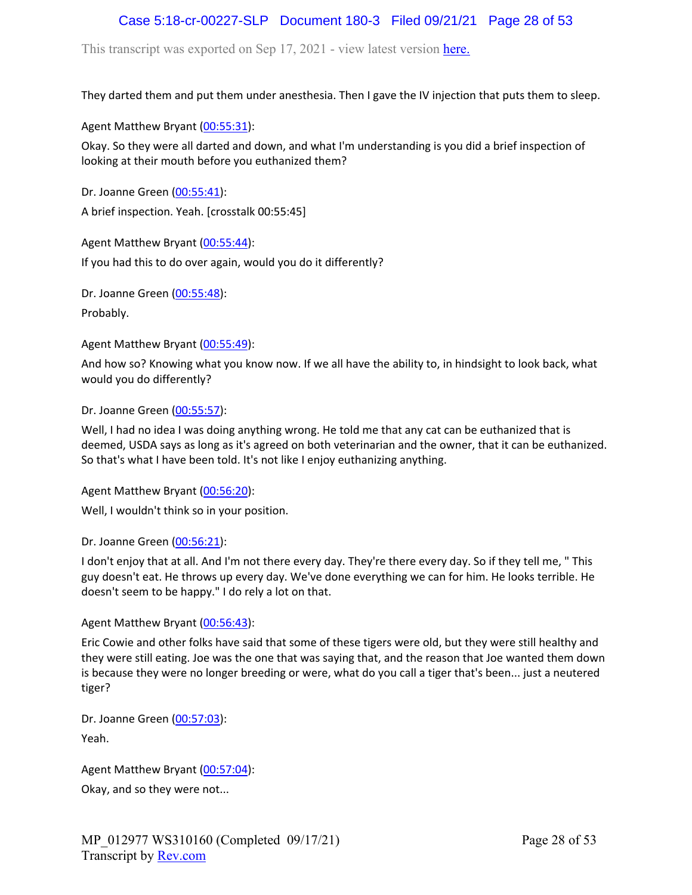# Case 5:18-cr-00227-SLP Document 180-3 Filed 09/21/21 Page 28 of 53

This transcript was exported on Sep 17, 2021 - view latest version [here.](https://www.rev.com/transcript-editor/Edit?token=I33MB_RoV1FwOoHBZ0vXCiw9XFf7Kdljsv8wmKDhXSlbDZV1-muO_uXdeLk3bhrqvxSEUBmRHZUHjbZyoStIj4NIjiQ&loadFrom=DocumentHeaderDeepLink)

They darted them and put them under anesthesia. Then I gave the IV injection that puts them to sleep.

Agent Matthew Bryant ([00:55:31](https://www.rev.com/transcript-editor/Edit?token=UsAnZ_0BJWNhrl_cP1ft2Skr2LXqI57obXzJZIwnN4i5Hanf90JR1cgung4_ZT5PnhozYkJvMY1F6SQyoyzokutXuXo&loadFrom=DocumentDeeplink&ts=3331.3)):

Okay. So they were all darted and down, and what I'm understanding is you did a brief inspection of looking at their mouth before you euthanized them?

Dr. Joanne Green [\(00:55:41\)](https://www.rev.com/transcript-editor/Edit?token=6ChhJf6TFqHjcVeofdIwQuk96IQVDJVtQC5A2ArB94Xo4OjUrd2PksNP9wU95od02MCucLuyp1rlLJsh-FLeXEFiVUk&loadFrom=DocumentDeeplink&ts=3341.48): A brief inspection. Yeah. [crosstalk 00:55:45]

Agent Matthew Bryant ([00:55:44](https://www.rev.com/transcript-editor/Edit?token=Ru4brgXboNg-udG3hH4ecFdqjzPc61k6m8zYJF6t6F6SC2DvULXTN_MMGU9Vyc_5N6P8AFxw9lNJo8qNL6DZBUX7UWk&loadFrom=DocumentDeeplink&ts=3344.97)): If you had this to do over again, would you do it differently?

Dr. Joanne Green [\(00:55:48\)](https://www.rev.com/transcript-editor/Edit?token=KkBTpyQhrw89zqKpbW6VRA0pIZD-qtSf8s9rVElpCi94tX7zw_m4NEAb4QUaJKJFf4osKLBfRgsfQxyqlscdpVKUk3A&loadFrom=DocumentDeeplink&ts=3348.12):

Probably.

Agent Matthew Bryant ([00:55:49](https://www.rev.com/transcript-editor/Edit?token=l6GftY2nCflmcJf8tr8ooxSZvd5Jl1kUUbtgBNoeMawXwO5kXJVu7rJ2sRRJ51W1q8Dv1ccFRZz6kYWUww5jEbJx49k&loadFrom=DocumentDeeplink&ts=3349.24)):

And how so? Knowing what you know now. If we all have the ability to, in hindsight to look back, what would you do differently?

Dr. Joanne Green [\(00:55:57\)](https://www.rev.com/transcript-editor/Edit?token=MSAkved92kkLNf84I6EGL0zTS1nwZ0jQmqCAQbMy5l7L5mXcLKlJNUdRgwyCzUGj96YRXLFKROMCmTg4D6NxIKh1mJM&loadFrom=DocumentDeeplink&ts=3357.66):

Well, I had no idea I was doing anything wrong. He told me that any cat can be euthanized that is deemed, USDA says as long as it's agreed on both veterinarian and the owner, that it can be euthanized. So that's what I have been told. It's not like I enjoy euthanizing anything.

Agent Matthew Bryant ([00:56:20](https://www.rev.com/transcript-editor/Edit?token=gGPn2885HQX_iQjDELq4P2ycTPq9-o3Ib6xGhalEzaNAT7AQKhs7TRb0VgP9OsIXVtsBk_2xz3Ddi9lzKWrFWH_-k3U&loadFrom=DocumentDeeplink&ts=3380.37)):

Well, I wouldn't think so in your position.

#### Dr. Joanne Green [\(00:56:21\)](https://www.rev.com/transcript-editor/Edit?token=Qb8PW1xcXs2ha86XSc2gQOK4ABzn7ZwKppKf2CK6dBsPzYNSzBlR3bnkE-JImczZ742dkVDqPXS92SrY3ugDuoCoXKw&loadFrom=DocumentDeeplink&ts=3381.13):

I don't enjoy that at all. And I'm not there every day. They're there every day. So if they tell me, " This guy doesn't eat. He throws up every day. We've done everything we can for him. He looks terrible. He doesn't seem to be happy." I do rely a lot on that.

### Agent Matthew Bryant ([00:56:43](https://www.rev.com/transcript-editor/Edit?token=arxapZZ1cA6Cx0AbopEXiuCR4lYqVx2JklnhX-llmYJTuvviZ2RTsqG3-42ACTX8CnIFNgTXSsQw-U61dK9Uz7yLEnw&loadFrom=DocumentDeeplink&ts=3403.91)):

Eric Cowie and other folks have said that some of these tigers were old, but they were still healthy and they were still eating. Joe was the one that was saying that, and the reason that Joe wanted them down is because they were no longer breeding or were, what do you call a tiger that's been... just a neutered tiger?

Dr. Joanne Green [\(00:57:03\)](https://www.rev.com/transcript-editor/Edit?token=CmEkXksxwEtymQ0xJoZ4NZDhKsgCRnZ_5aO4AQW7CY_JkQ5Yxx_N9WFldyR29Lk8T6KgMRLRBZfi8-Y_vtmotteNAo8&loadFrom=DocumentDeeplink&ts=3423.93): Yeah.

Agent Matthew Bryant ([00:57:04](https://www.rev.com/transcript-editor/Edit?token=Ij62DThaZKPBpsD3RklqozHefLSLrSSOS4JReSUBTOId92VPd5gpGe5idZK993GrkiCKrYxe7aWgZoSlb3BoUGJxPsY&loadFrom=DocumentDeeplink&ts=3424.14)):

Okay, and so they were not...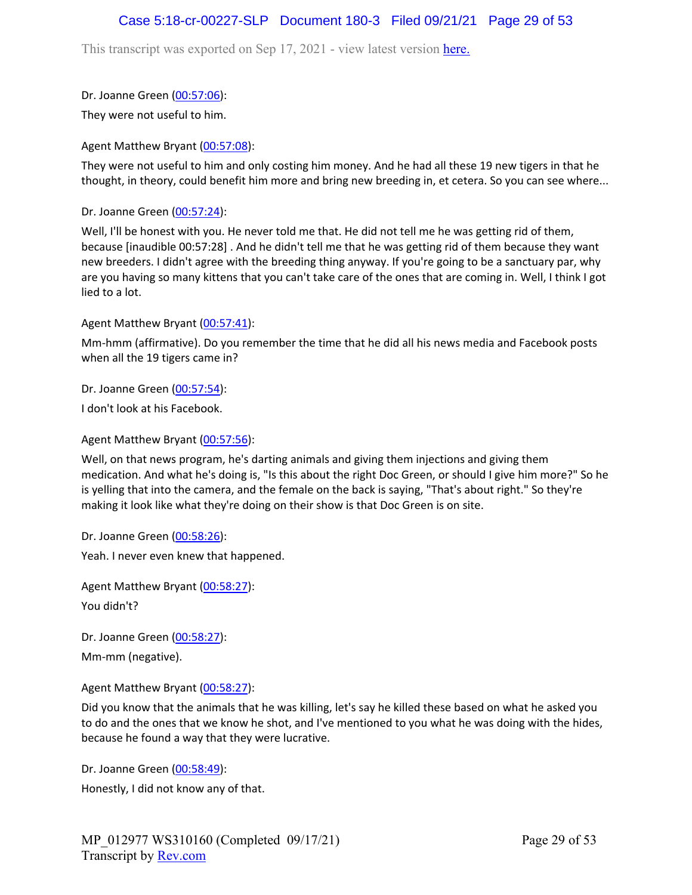## Case 5:18-cr-00227-SLP Document 180-3 Filed 09/21/21 Page 29 of 53

This transcript was exported on Sep 17, 2021 - view latest version [here.](https://www.rev.com/transcript-editor/Edit?token=I33MB_RoV1FwOoHBZ0vXCiw9XFf7Kdljsv8wmKDhXSlbDZV1-muO_uXdeLk3bhrqvxSEUBmRHZUHjbZyoStIj4NIjiQ&loadFrom=DocumentHeaderDeepLink)

### Dr. Joanne Green [\(00:57:06\)](https://www.rev.com/transcript-editor/Edit?token=J0RWltJIe36qwWabFP0mTmLYq873ntJW_UzW7jbZsLsEN0WAmH1MQhYplKypUYTe8XGJe6ti3H2mSSCDdNp8DkqFu7A&loadFrom=DocumentDeeplink&ts=3426.11):

They were not useful to him.

### Agent Matthew Bryant ([00:57:08](https://www.rev.com/transcript-editor/Edit?token=Uj3UbLM_L-YXH-dH6Bv7UlULbXwb5_BtALVbVM-bGcOBeS_gndHK8IGcep4h9bTaY5SwaWpaS1gOJx6VmpLRFyiIJfY&loadFrom=DocumentDeeplink&ts=3428.2)):

They were not useful to him and only costing him money. And he had all these 19 new tigers in that he thought, in theory, could benefit him more and bring new breeding in, et cetera. So you can see where...

Dr. Joanne Green [\(00:57:24\)](https://www.rev.com/transcript-editor/Edit?token=Gdh5YHkppPkRP-JZO41ipaaxxNRD757Qck_aVWBN1232R2sC7cJfNM1U69cpEEXi2j4iSKl-CaYPKMY4vyvvXrEmqfk&loadFrom=DocumentDeeplink&ts=3444):

Well, I'll be honest with you. He never told me that. He did not tell me he was getting rid of them, because [inaudible 00:57:28] . And he didn't tell me that he was getting rid of them because they want new breeders. I didn't agree with the breeding thing anyway. If you're going to be a sanctuary par, why are you having so many kittens that you can't take care of the ones that are coming in. Well, I think I got lied to a lot.

### Agent Matthew Bryant ([00:57:41](https://www.rev.com/transcript-editor/Edit?token=_5tnHYvee8TobICDynu8WAl8BB3xE4j9oEZJPwF-umwlyk_VVRwzdaHLQN3HcBy0mUrKBZSslGmt9e1BA7QUCMZuwCQ&loadFrom=DocumentDeeplink&ts=3461.4)):

Mm-hmm (affirmative). Do you remember the time that he did all his news media and Facebook posts when all the 19 tigers came in?

Dr. Joanne Green [\(00:57:54\)](https://www.rev.com/transcript-editor/Edit?token=uSlNWjEh25ZVdqlcAq4XPBX1V_xgFkNYiLzbocNT0RxkLQ09-QnfhZdxVrKzm-2VwF3MMr3E0Plhkv9rI8Z6Rpm4KeA&loadFrom=DocumentDeeplink&ts=3474.09):

I don't look at his Facebook.

### Agent Matthew Bryant ([00:57:56](https://www.rev.com/transcript-editor/Edit?token=meyfkzAJR1s8uBsbW220JIuITIhEuaMy1ltY8w5JEy4xAMViJ33-Ptlc8XVKqQcMkxR1yKOLv4Cje60cyCa04ogMJOw&loadFrom=DocumentDeeplink&ts=3476.15)):

Well, on that news program, he's darting animals and giving them injections and giving them medication. And what he's doing is, "Is this about the right Doc Green, or should I give him more?" So he is yelling that into the camera, and the female on the back is saying, "That's about right." So they're making it look like what they're doing on their show is that Doc Green is on site.

Dr. Joanne Green [\(00:58:26\)](https://www.rev.com/transcript-editor/Edit?token=g1FOoRAQw9NEO6HchR3FvTyJWFUotdf4UV-0TaOzpacrV-pjSI46LOAqfcImFch3tB-WrXB68mZ8jB-LKIQZ8opR70o&loadFrom=DocumentDeeplink&ts=3506.89): Yeah. I never even knew that happened.

Agent Matthew Bryant ([00:58:27](https://www.rev.com/transcript-editor/Edit?token=tbrwHpeXoknxnvd5H4nR35-PUqyugOaKijgjnADN_LVa8tTxTFP4eiSXPfLPmouaGIwBNSBaYmWN0ejRcE--vCAqZpo&loadFrom=DocumentDeeplink&ts=3507.2)): You didn't?

Dr. Joanne Green [\(00:58:27\)](https://www.rev.com/transcript-editor/Edit?token=-5fYMDoLISNxWSK2CJHFyR27plQZsp70k-vVbmCB-Dd8PLEjcVPeHDRjluoXYuIr3fKo0Bjn2fr_fvihDC_r-Za7L7Q&loadFrom=DocumentDeeplink&ts=3507.26): Mm-mm (negative).

Agent Matthew Bryant ([00:58:27](https://www.rev.com/transcript-editor/Edit?token=tNswS1L6CaVKxLgpfX7EphOk0gAZHkScOJeF3DAG9-BITOKlP3P8fqHQLF6PJBsHsxtrdkihQ0QMaBRfDiJ73wzvnJ8&loadFrom=DocumentDeeplink&ts=3507.79)):

Did you know that the animals that he was killing, let's say he killed these based on what he asked you to do and the ones that we know he shot, and I've mentioned to you what he was doing with the hides, because he found a way that they were lucrative.

Dr. Joanne Green [\(00:58:49\)](https://www.rev.com/transcript-editor/Edit?token=mnnTkZq_WSrYSKDNF7oD0QDYKxEpyrIqWhUd9S78hSbw1nwbk-azZB1tVeQrsfFzSx_M-shF8bNMFiHXsloPPG2U7XQ&loadFrom=DocumentDeeplink&ts=3529.54): Honestly, I did not know any of that.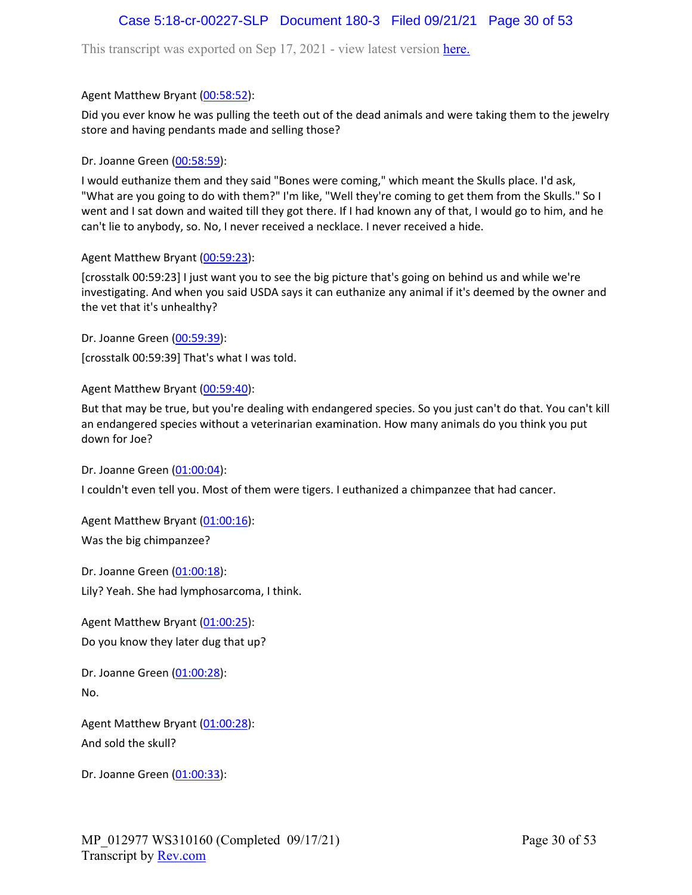# Case 5:18-cr-00227-SLP Document 180-3 Filed 09/21/21 Page 30 of 53

This transcript was exported on Sep 17, 2021 - view latest version [here.](https://www.rev.com/transcript-editor/Edit?token=I33MB_RoV1FwOoHBZ0vXCiw9XFf7Kdljsv8wmKDhXSlbDZV1-muO_uXdeLk3bhrqvxSEUBmRHZUHjbZyoStIj4NIjiQ&loadFrom=DocumentHeaderDeepLink)

### Agent Matthew Bryant ([00:58:52](https://www.rev.com/transcript-editor/Edit?token=8mN7H-tAyWLIRFgNJxM4h9iX4hc0tcH9MtPd3LfM1DO8y7X9i3O6xLvrlAm3Adaflatq1lIufx5JMyTQKfngqBbOrL0&loadFrom=DocumentDeeplink&ts=3532.35)):

Did you ever know he was pulling the teeth out of the dead animals and were taking them to the jewelry store and having pendants made and selling those?

### Dr. Joanne Green [\(00:58:59\)](https://www.rev.com/transcript-editor/Edit?token=3AZbVCGbToUk8gil-6znUi-dnR76xgJosL_aXZ6L8me5vmfdZ1tMlg8MzDX5KjppzJnrKf0jz-7BSlO0LMETGa5qiuk&loadFrom=DocumentDeeplink&ts=3539.87):

I would euthanize them and they said "Bones were coming," which meant the Skulls place. I'd ask, "What are you going to do with them?" I'm like, "Well they're coming to get them from the Skulls." So I went and I sat down and waited till they got there. If I had known any of that, I would go to him, and he can't lie to anybody, so. No, I never received a necklace. I never received a hide.

### Agent Matthew Bryant ([00:59:23](https://www.rev.com/transcript-editor/Edit?token=NRse5UzdYrh-374PSm1fLkX1CiPoRzRYl_H18kLhyj6uUsLg0XhlH4U_G2a_NQogRlJFywK60GCTN9CZUBJ7vclTSfo&loadFrom=DocumentDeeplink&ts=3563.331)):

[crosstalk 00:59:23] I just want you to see the big picture that's going on behind us and while we're investigating. And when you said USDA says it can euthanize any animal if it's deemed by the owner and the vet that it's unhealthy?

Dr. Joanne Green [\(00:59:39\)](https://www.rev.com/transcript-editor/Edit?token=---T4aJvS5v35GfB4fi7SpkRW4bK8J9cozNz-sstWUOt45Pyff-T79NQeVqCslgAiT2qWyLlgflKXfgZ3RtrEdEyZu8&loadFrom=DocumentDeeplink&ts=3579): [crosstalk 00:59:39] That's what I was told.

### Agent Matthew Bryant ([00:59:40](https://www.rev.com/transcript-editor/Edit?token=Bk0nJTEuYMk64-GJkbomYPFwUrro87YUkpZLOqQXnXzMNN7c5-rnAuQth5xoqBJjpmxJYkgNw_qWfr2XhDf6_bviT8g&loadFrom=DocumentDeeplink&ts=3580.5)):

But that may be true, but you're dealing with endangered species. So you just can't do that. You can't kill an endangered species without a veterinarian examination. How many animals do you think you put down for Joe?

Dr. Joanne Green [\(01:00:04\)](https://www.rev.com/transcript-editor/Edit?token=lnnqlSDsrsivCzbobFY29mE2zPZRbmoHVaSOCCMN8Ni-wHwLQCXMfDeoarrG4pgRaLdTL_XjkmErVlSU2FC42WvYtv0&loadFrom=DocumentDeeplink&ts=3604.88):

I couldn't even tell you. Most of them were tigers. I euthanized a chimpanzee that had cancer.

Agent Matthew Bryant ([01:00:16](https://www.rev.com/transcript-editor/Edit?token=K0RxmsomQPPsDyddzqHzLim6C7kmlLmbx_einddCoYBHXcLpucUToCewiNW4VgMapkqsc1xZimTynEm-ndjGMgnScls&loadFrom=DocumentDeeplink&ts=3616.4)): Was the big chimpanzee?

Dr. Joanne Green [\(01:00:18\)](https://www.rev.com/transcript-editor/Edit?token=4Dl6rG_PcVMTb-M4O06xkFj4qM7-baiRc_o4P-CCkc1SU3zNf24-88JibqHGHlppfy249wo1EmIoiAPEoDyMDEyAhME&loadFrom=DocumentDeeplink&ts=3618.43): Lily? Yeah. She had lymphosarcoma, I think.

Agent Matthew Bryant ([01:00:25](https://www.rev.com/transcript-editor/Edit?token=pDWnw5tteWHPrDk4bIEM0r-Y-4nvnl6kapBEDFjICZ6hLrppdaBWfpd2Pu018Xo2skfjbFykXIDLa2LDIDWZ5DzfdRQ&loadFrom=DocumentDeeplink&ts=3625.88)): Do you know they later dug that up?

Dr. Joanne Green [\(01:00:28\)](https://www.rev.com/transcript-editor/Edit?token=HXWsmCk9mEifAzEbu3ZmGGTRpIieHjj5-BFYxwN22EkOL99SpuWmHMqNFQ5UyG2hYGfBJ0OIoK5yS5hvPUsH4DA2aaw&loadFrom=DocumentDeeplink&ts=3628.03): No.

Agent Matthew Bryant ([01:00:28](https://www.rev.com/transcript-editor/Edit?token=xOg-sfM22Git5DhTsZ1sY4ix7MEVAGzc44u7BoYTgY1LDO3I49QmU3P0YrOH-FvCWFE94zRTEVWCfzkzLgG6Ld4GcXo&loadFrom=DocumentDeeplink&ts=3628.58)): And sold the skull?

Dr. Joanne Green [\(01:00:33\)](https://www.rev.com/transcript-editor/Edit?token=dFnw8UEsm3NqBQnMBG5D2ZSKbPZDzKc0S2eU1ahJfifjfm5SoCLj74HL12w2S__xK2hLgJeNXD-Tc6tCUyz9odGVbf0&loadFrom=DocumentDeeplink&ts=3633.69):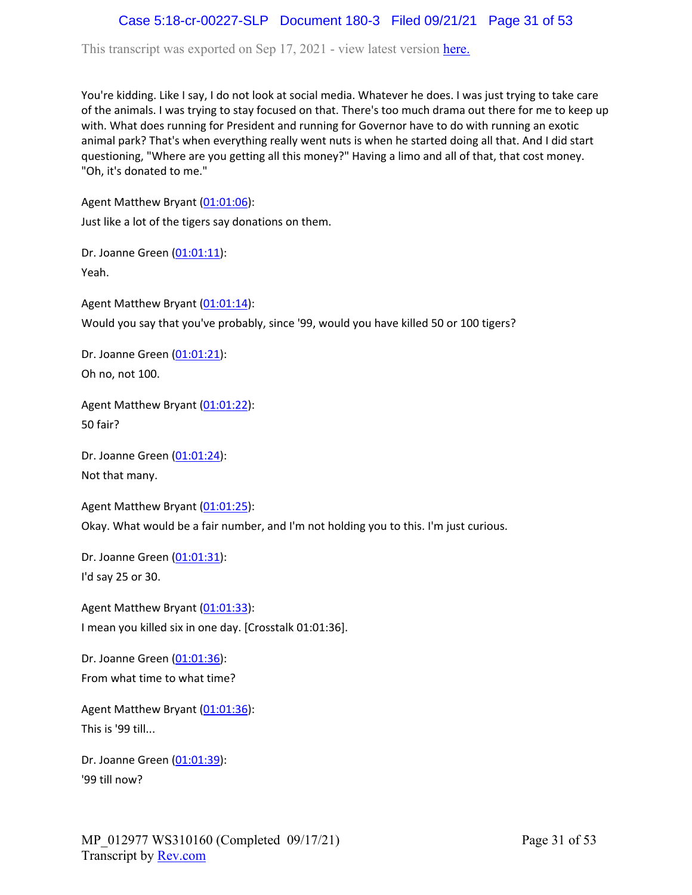# Case 5:18-cr-00227-SLP Document 180-3 Filed 09/21/21 Page 31 of 53

This transcript was exported on Sep 17, 2021 - view latest version [here.](https://www.rev.com/transcript-editor/Edit?token=I33MB_RoV1FwOoHBZ0vXCiw9XFf7Kdljsv8wmKDhXSlbDZV1-muO_uXdeLk3bhrqvxSEUBmRHZUHjbZyoStIj4NIjiQ&loadFrom=DocumentHeaderDeepLink)

You're kidding. Like I say, I do not look at social media. Whatever he does. I was just trying to take care of the animals. I was trying to stay focused on that. There's too much drama out there for me to keep up with. What does running for President and running for Governor have to do with running an exotic animal park? That's when everything really went nuts is when he started doing all that. And I did start questioning, "Where are you getting all this money?" Having a limo and all of that, that cost money. "Oh, it's donated to me."

Agent Matthew Bryant ([01:01:06](https://www.rev.com/transcript-editor/Edit?token=qUs-1lImco31ByeLV2KRb5RodIHqE2nmOyUsMQAuZk12i__7CTBknxYIu8h6GrxC7CQwaX4sKQdYeLSHNHY5mr9BuwM&loadFrom=DocumentDeeplink&ts=3666.33)):

Just like a lot of the tigers say donations on them.

Dr. Joanne Green [\(01:01:11\)](https://www.rev.com/transcript-editor/Edit?token=5A9jrW7wmiYmxx6ea_ydtBBj5-rgcfPxOAB5kx6L02xISNGop9WqxbxZLp2kYj6Vh-m_DQiexZAfXFWqNTN1By6jX8w&loadFrom=DocumentDeeplink&ts=3671.99): Yeah.

Agent Matthew Bryant ([01:01:14](https://www.rev.com/transcript-editor/Edit?token=JWRGh0wUVpMpLJOwllXzpYeBtaAU3M5R6oH-UpKm9Rl0iMPXJHj7EM5d6ndiGvoFbLEM5-SRwWfx0RjbQtCMgyNbgJ8&loadFrom=DocumentDeeplink&ts=3674.87)): Would you say that you've probably, since '99, would you have killed 50 or 100 tigers?

Dr. Joanne Green [\(01:01:21\)](https://www.rev.com/transcript-editor/Edit?token=k6zDCY6CgRNXsi34V420YDagOfPjFoCKknV0YPhMDwK2LA3G5WvXPYGV2W6tZ5jYHv_mdQ33hWdzMHpiJPWBU1tj750&loadFrom=DocumentDeeplink&ts=3681.2): Oh no, not 100.

Agent Matthew Bryant ([01:01:22](https://www.rev.com/transcript-editor/Edit?token=UB-qaly0Cf96WfMx0blG5N6ISPUOtdlBR34zvspYUmlDpTXIHQWNI7MTlIZyQUI902ldubYC6xnTncwnT4QKcHtp2Y8&loadFrom=DocumentDeeplink&ts=3682.97)): 50 fair?

Dr. Joanne Green [\(01:01:24\)](https://www.rev.com/transcript-editor/Edit?token=khkm6dEJUBcwlWokjv6wWJ8P9y3iMobwAPR7MmGWa7fvPj2TeQAIkVJ-w3F_5nIJ5cK-AX8-zJtN9nKWyV8oB-nRRjY&loadFrom=DocumentDeeplink&ts=3684.55): Not that many.

Agent Matthew Bryant ([01:01:25](https://www.rev.com/transcript-editor/Edit?token=6cPc1RGPHr9erC2ULTJDG_-az8WvqwJvyZmsLsdPo7DPP8IUiQCPP6KtbRnhf5c6Kzv-WRbnGZMD150Kt7HxmV3tKjI&loadFrom=DocumentDeeplink&ts=3685.03)): Okay. What would be a fair number, and I'm not holding you to this. I'm just curious.

Dr. Joanne Green [\(01:01:31\)](https://www.rev.com/transcript-editor/Edit?token=psCemLO4JEuAVUx3X-AHAnkJ8kym-9EtZjPDvDuoo2l3nzoQgOuLE3D4FpLQwdGp-ZSYC8E1zhKZaGnoTMsotsSZzgY&loadFrom=DocumentDeeplink&ts=3691.71): I'd say 25 or 30.

Agent Matthew Bryant ([01:01:33](https://www.rev.com/transcript-editor/Edit?token=4vpS7Jwl9H9OupT69X06P55qmmfNvNbPwVAkwYJqqCyUIvsBwDLOP2gEhfU-LqvvotLgRssVySTEAAgPTHXpZftpvR0&loadFrom=DocumentDeeplink&ts=3693.25)): I mean you killed six in one day. [Crosstalk 01:01:36].

Dr. Joanne Green [\(01:01:36\)](https://www.rev.com/transcript-editor/Edit?token=SCRRLYO8J0McRO8mdulrqljff2dZpM7Epsd-7VPL8Dv0aHsEEC1k1sj_khrjw4RWY-TbeS_B44qZX-fPhrxVNwffLOE&loadFrom=DocumentDeeplink&ts=3696.26): From what time to what time?

Agent Matthew Bryant ([01:01:36](https://www.rev.com/transcript-editor/Edit?token=C1nQusZFW4CvfsVzkXkbgmWcamkpFj_eZikkJV-k5VrjEIjXlz5-o4kGbBhFS96Pepq9j68If1Q-iEVL2QKmx-Qn4-8&loadFrom=DocumentDeeplink&ts=3696.91)): This is '99 till...

Dr. Joanne Green [\(01:01:39\)](https://www.rev.com/transcript-editor/Edit?token=awuHmndyPeV0tankhQQqX1ier8pPq42lornBTXJEDmPFWxW-tengHqWd92kgLYwLpOgSpFOH6sxwIcZsNOu2jbL1iyM&loadFrom=DocumentDeeplink&ts=3699.27): '99 till now?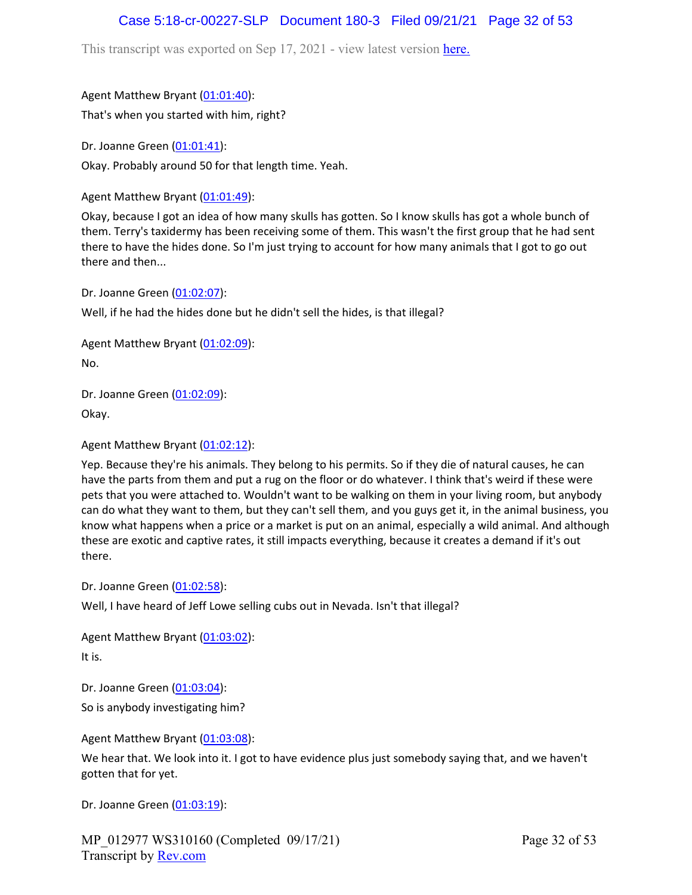# Case 5:18-cr-00227-SLP Document 180-3 Filed 09/21/21 Page 32 of 53

This transcript was exported on Sep 17, 2021 - view latest version [here.](https://www.rev.com/transcript-editor/Edit?token=I33MB_RoV1FwOoHBZ0vXCiw9XFf7Kdljsv8wmKDhXSlbDZV1-muO_uXdeLk3bhrqvxSEUBmRHZUHjbZyoStIj4NIjiQ&loadFrom=DocumentHeaderDeepLink)

Agent Matthew Bryant ([01:01:40](https://www.rev.com/transcript-editor/Edit?token=TS8G7NKxNJaz5u1BMUDchQqYKPoQuqTr0FFnGksOLILq3MQ3YPXNQGgMnlm_fiK_cf9Bon1OueSR0CHuMrI1JKYA8bk&loadFrom=DocumentDeeplink&ts=3700.41)):

That's when you started with him, right?

Dr. Joanne Green [\(01:01:41\)](https://www.rev.com/transcript-editor/Edit?token=-35bLsphcbo-v1UiloVv84A-iiNP03csvvBv1iSw1SIlgwU_eA6lrJw1MThYPhYq3y03ZVOIyp0iCsQ08Pj7h4O34qU&loadFrom=DocumentDeeplink&ts=3701.61): Okay. Probably around 50 for that length time. Yeah.

Agent Matthew Bryant ([01:01:49](https://www.rev.com/transcript-editor/Edit?token=pg0JGXqC_6OsSK5xsTZ3iCnag_d1qB67i26YodOZaNG8AamqcSlcJOl4aUDWRBYOuXcz_HyfyYs16YfWtEaIZZlUW-4&loadFrom=DocumentDeeplink&ts=3709.49)):

Okay, because I got an idea of how many skulls has gotten. So I know skulls has got a whole bunch of them. Terry's taxidermy has been receiving some of them. This wasn't the first group that he had sent there to have the hides done. So I'm just trying to account for how many animals that I got to go out there and then...

Dr. Joanne Green [\(01:02:07\)](https://www.rev.com/transcript-editor/Edit?token=FadfoFByr3xwgXxvYs78BwWg0WvUgXWHByKICswu9nNrhe5tn1YkQvkAKckHJMw4kDGI_i8NYwIuhyGq1-8EcLgTz4c&loadFrom=DocumentDeeplink&ts=3727.4):

Well, if he had the hides done but he didn't sell the hides, is that illegal?

Agent Matthew Bryant ([01:02:09](https://www.rev.com/transcript-editor/Edit?token=2CDHSaAS5e5wBWVwFgPI470hkum6lyqujIOJuVTVtWSeXwUGWaEdyu8c2qKBZTUeMqrBhqM19c0OTC4FR3cbF3oHJr0&loadFrom=DocumentDeeplink&ts=3729.84)): No.

Dr. Joanne Green [\(01:02:09\)](https://www.rev.com/transcript-editor/Edit?token=1jJRW-9v0t3Vs5GEA8VbOSgrJedsqwKdR79JdEdjFZCS71jyMk7vm-CUqwUfALb370cJa5J_ziTniNyqIr3RrYwU5zw&loadFrom=DocumentDeeplink&ts=3729.84):

Okay.

Agent Matthew Bryant ([01:02:12](https://www.rev.com/transcript-editor/Edit?token=2Jjqg1yGfIgqu_TzhxV4MVjch6YIDuTmhAPETZSlComQqGOSFB1d-33Xn3EEQJAxU419k8fR2eNABP56XQXyvPTbnoY&loadFrom=DocumentDeeplink&ts=3732.49)):

Yep. Because they're his animals. They belong to his permits. So if they die of natural causes, he can have the parts from them and put a rug on the floor or do whatever. I think that's weird if these were pets that you were attached to. Wouldn't want to be walking on them in your living room, but anybody can do what they want to them, but they can't sell them, and you guys get it, in the animal business, you know what happens when a price or a market is put on an animal, especially a wild animal. And although these are exotic and captive rates, it still impacts everything, because it creates a demand if it's out there.

Dr. Joanne Green [\(01:02:58\)](https://www.rev.com/transcript-editor/Edit?token=qiqqdjBXFv2F9sCIWjXd3M72cWefi-EL9_JVXh-gGvNoyGz07OYhqYlUNS5tGunGxIGZV3rnPruMTy0ENrPS_2zJ3UQ&loadFrom=DocumentDeeplink&ts=3778.33):

Well, I have heard of Jeff Lowe selling cubs out in Nevada. Isn't that illegal?

Agent Matthew Bryant ([01:03:02](https://www.rev.com/transcript-editor/Edit?token=0a0MPdaYh91BlJ_DN5KzE0ULGCyW80yJfd_3MmKvVGuerBW23nOvac-aCaeNMrIdb6e5fmAoBwfyddgZRQPZcvS_HtY&loadFrom=DocumentDeeplink&ts=3782.47)): It is.

Dr. Joanne Green [\(01:03:04\)](https://www.rev.com/transcript-editor/Edit?token=lzEwzU6an02cVLwEdvNUiv31kekDpjCEkcUsTB3aX6ICXm8wcGguXlSgun23elrTph0vAAgtSg7i21YdJCN5BwcXL94&loadFrom=DocumentDeeplink&ts=3784.44):

So is anybody investigating him?

Agent Matthew Bryant ([01:03:08](https://www.rev.com/transcript-editor/Edit?token=qO7fGp3sVAzpoBWb1qBtmpPnr-EktnBIpYakpfiCrY5T4XaEwze6HL5WW0MjmAUq68vceahsbfU6475HwDasT2QDA3Y&loadFrom=DocumentDeeplink&ts=3788.32)):

We hear that. We look into it. I got to have evidence plus just somebody saying that, and we haven't gotten that for yet.

Dr. Joanne Green [\(01:03:19\)](https://www.rev.com/transcript-editor/Edit?token=sDtqkYRAlIOK-akSypsFRmj8mw_QkOm0AKUT0isapBvks-ymQSz8addp-7p2R_jy1QUIKYceXwyg-4wCsYFh2Ct46ww&loadFrom=DocumentDeeplink&ts=3799.06):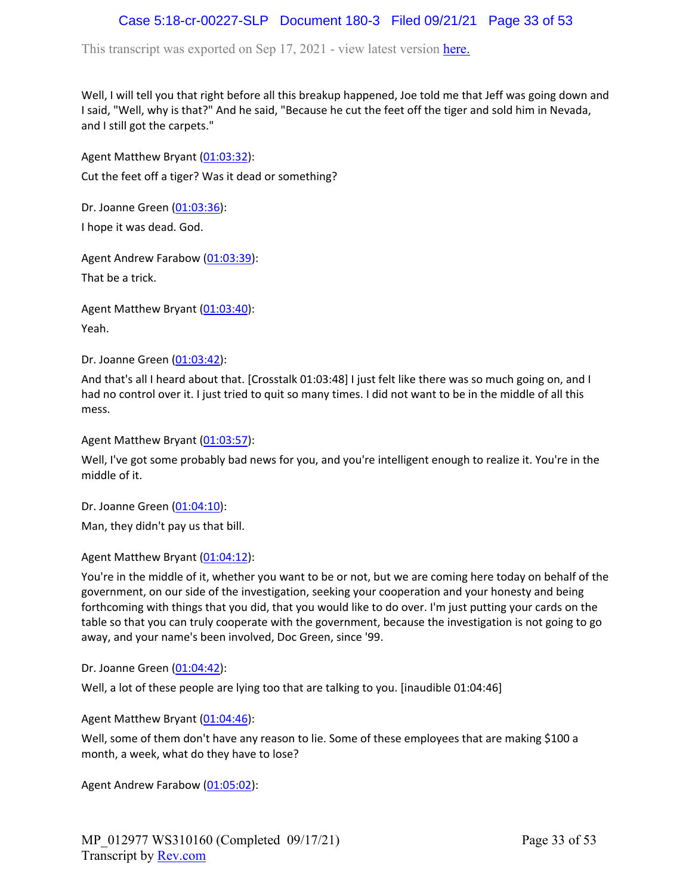# Case 5:18-cr-00227-SLP Document 180-3 Filed 09/21/21 Page 33 of 53

This transcript was exported on Sep 17, 2021 - view latest version [here.](https://www.rev.com/transcript-editor/Edit?token=I33MB_RoV1FwOoHBZ0vXCiw9XFf7Kdljsv8wmKDhXSlbDZV1-muO_uXdeLk3bhrqvxSEUBmRHZUHjbZyoStIj4NIjiQ&loadFrom=DocumentHeaderDeepLink)

Well, I will tell you that right before all this breakup happened, Joe told me that Jeff was going down and I said, "Well, why is that?" And he said, "Because he cut the feet off the tiger and sold him in Nevada, and I still got the carpets."

Agent Matthew Bryant ([01:03:32](https://www.rev.com/transcript-editor/Edit?token=CdFPOlC92EraecwWlCHDpDEwzEM7vr4yCCY5c2BjuFrFUNYoO4DRiESjdOTCBSqoG8yTiENNAreXTrnTgKs7yXqQL3A&loadFrom=DocumentDeeplink&ts=3812.06)): Cut the feet off a tiger? Was it dead or something?

Dr. Joanne Green [\(01:03:36\)](https://www.rev.com/transcript-editor/Edit?token=-OTCzcS9PSSa7PsW4Q3WgHXEs0e1_x4H6NHpahViMcbLi83EOEWkqP6NYm9YQJJwwGGc-XEMIF46SArNOCV8GRdb0ew&loadFrom=DocumentDeeplink&ts=3816.31):

I hope it was dead. God.

Agent Andrew Farabow [\(01:03:39\)](https://www.rev.com/transcript-editor/Edit?token=8G2ykqigk32dm_zcV8JG3cHLUQDtOg0Fd7ZYzOcHQJsOD_Yd-8vc29uy82E9eUkbrjB3Y96xwG2paA39GQIYldf9qJQ&loadFrom=DocumentDeeplink&ts=3819.54): That be a trick.

Agent Matthew Bryant ([01:03:40](https://www.rev.com/transcript-editor/Edit?token=4lNiF3pqvQBcxDn0xdN1eaNLFXQOshx49czHx6Rophzx52Ac8_9416pI1Xbyxd9bV8aUNpR-UTEKyTq8dWwJU0_i7lk&loadFrom=DocumentDeeplink&ts=3820.6)): Yeah.

Dr. Joanne Green [\(01:03:42\)](https://www.rev.com/transcript-editor/Edit?token=2jb-Tp5uxVLKHaKpCa9xDdUC1vrprPUZD7nV9SInx4k5QkLibEyKi3m_6m4iD2bT65SNmkJvNcbMHxga_TjworY06KM&loadFrom=DocumentDeeplink&ts=3822.68):

And that's all I heard about that. [Crosstalk 01:03:48] I just felt like there was so much going on, and I had no control over it. I just tried to quit so many times. I did not want to be in the middle of all this mess.

Agent Matthew Bryant ([01:03:57](https://www.rev.com/transcript-editor/Edit?token=zoNb_nruLs8JIvUa4_sE54lrnB6w6U-cYFizosg6ieLfF2nhGXw2gctuITu4nM7KmgrF6F62D0ZidzLhRPzt2oMZp2c&loadFrom=DocumentDeeplink&ts=3837.67)):

Well, I've got some probably bad news for you, and you're intelligent enough to realize it. You're in the middle of it.

Dr. Joanne Green [\(01:04:10\)](https://www.rev.com/transcript-editor/Edit?token=4mufxfTbF7eaZZEXB467rv9DJJN61tDfmRDotZckgajbGvZUMYbWQwVRlB6BZ0zb-mFV_G94o877-aoMhAsVIglpdVQ&loadFrom=DocumentDeeplink&ts=3850.22):

Man, they didn't pay us that bill.

Agent Matthew Bryant ([01:04:12](https://www.rev.com/transcript-editor/Edit?token=duhVTHl_pFlrhBTY4SovIkxFol8S6DXalQY4px5xLStqvUqCGoqOUI8GHsUSK1bAQqxrz7Y4uc1lDCU09C6IWgQC3H0&loadFrom=DocumentDeeplink&ts=3852.35)):

You're in the middle of it, whether you want to be or not, but we are coming here today on behalf of the government, on our side of the investigation, seeking your cooperation and your honesty and being forthcoming with things that you did, that you would like to do over. I'm just putting your cards on the table so that you can truly cooperate with the government, because the investigation is not going to go away, and your name's been involved, Doc Green, since '99.

Dr. Joanne Green [\(01:04:42\)](https://www.rev.com/transcript-editor/Edit?token=ZheqU8-_MyRuGMk3ZqTiMdB8VWK-h-KTH4olRhuVQVhXjQpC0Ix4LPkwk8di1YVenNWskAmxZA8F5n5boTYkdOuCBJ4&loadFrom=DocumentDeeplink&ts=3882.48):

Well, a lot of these people are lying too that are talking to you. [inaudible 01:04:46]

Agent Matthew Bryant ([01:04:46](https://www.rev.com/transcript-editor/Edit?token=M4BZ_rH8ivi2Hj2f3XE4UwVuFbGLlrQjdM_iTO4GnliZBe0l7T585xc9b-Xx9Brz1Mdt8snFYZv-AHvoSKlTrJrWuZk&loadFrom=DocumentDeeplink&ts=3886.72)):

Well, some of them don't have any reason to lie. Some of these employees that are making \$100 a month, a week, what do they have to lose?

Agent Andrew Farabow [\(01:05:02\)](https://www.rev.com/transcript-editor/Edit?token=kFNMF8MTyPB7zdLzp7XsOHaf-vrAjLV0B40Pw4xkWYblzG_QmYOaN8udHAi-DBLEjsuLNCFIPEd2LRy8MyHPfI8hXRE&loadFrom=DocumentDeeplink&ts=3902.01):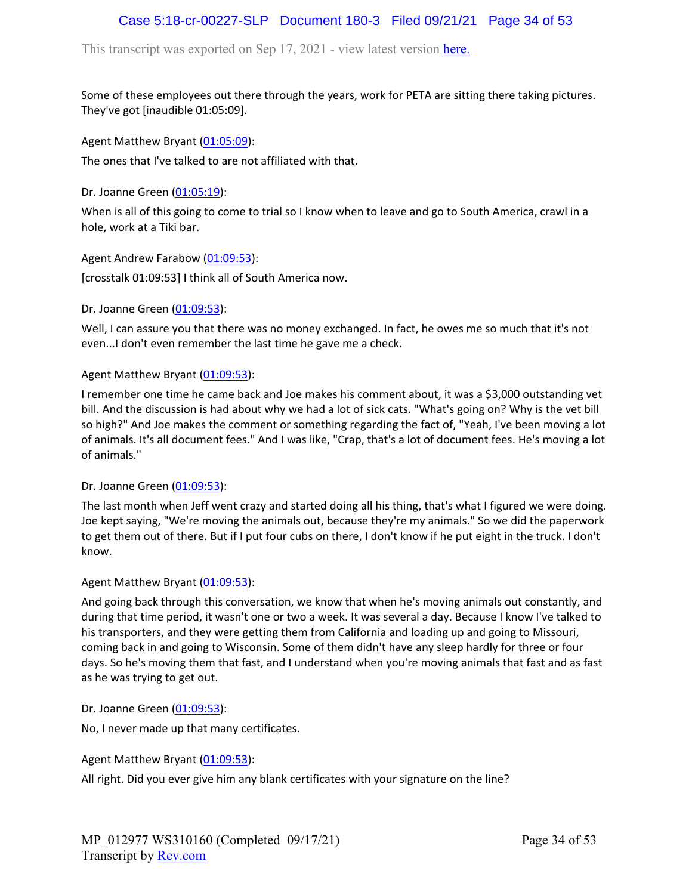# Case 5:18-cr-00227-SLP Document 180-3 Filed 09/21/21 Page 34 of 53

This transcript was exported on Sep 17, 2021 - view latest version [here.](https://www.rev.com/transcript-editor/Edit?token=I33MB_RoV1FwOoHBZ0vXCiw9XFf7Kdljsv8wmKDhXSlbDZV1-muO_uXdeLk3bhrqvxSEUBmRHZUHjbZyoStIj4NIjiQ&loadFrom=DocumentHeaderDeepLink)

Some of these employees out there through the years, work for PETA are sitting there taking pictures. They've got [inaudible 01:05:09].

Agent Matthew Bryant ([01:05:09](https://www.rev.com/transcript-editor/Edit?token=veiJzh4UwniMHmfSdlBVyS0kllzI7N5eOpCdvMFcSQ4SyrCPkE-GBiauv4OG721t5K26fzQ15QWuYmA_0iBuWNQ4_5o&loadFrom=DocumentDeeplink&ts=3909.59)):

The ones that I've talked to are not affiliated with that.

Dr. Joanne Green [\(01:05:19\)](https://www.rev.com/transcript-editor/Edit?token=su92K-Td_8W1UADGTyP3412KlZzx-yFXdbo057X5kG1iVcxM79ORV369vGkqK86nm30qkBTmtkkTfyQON1rkpo716po&loadFrom=DocumentDeeplink&ts=3919.01):

When is all of this going to come to trial so I know when to leave and go to South America, crawl in a hole, work at a Tiki bar.

Agent Andrew Farabow [\(01:09:53\)](https://www.rev.com/transcript-editor/Edit?token=nQ0LQjSOV4LuBn3J1FDMjHJmDVCwUKs_oKn2vPGQEI_P9e7lMlA9CASGuZNdpWNA0Af9X6hMS8dijvn5JH0RfiEMVDQ&loadFrom=DocumentDeeplink&ts=4193):

[crosstalk 01:09:53] I think all of South America now.

Dr. Joanne Green [\(01:09:53\)](https://www.rev.com/transcript-editor/Edit?token=DTv70UIwMN2E2EIp_ecp92qcZn4PR3JefZZV4W3mV0yGaEMv6yl6MlYo-vYZHwBiklE3Wn5_-RfHVtx4B4ZanowU58Y&loadFrom=DocumentDeeplink&ts=4193):

Well, I can assure you that there was no money exchanged. In fact, he owes me so much that it's not even...I don't even remember the last time he gave me a check.

### Agent Matthew Bryant ([01:09:53](https://www.rev.com/transcript-editor/Edit?token=a7kbETBAOvVvU4lGz-AjDyhMtigcmQDY6GcdACdW0tYbonRPqiOO0b9JTurLppBl-IHK5Ee1aKDQMvq-1_mWnPzsgNY&loadFrom=DocumentDeeplink&ts=4193)):

I remember one time he came back and Joe makes his comment about, it was a \$3,000 outstanding vet bill. And the discussion is had about why we had a lot of sick cats. "What's going on? Why is the vet bill so high?" And Joe makes the comment or something regarding the fact of, "Yeah, I've been moving a lot of animals. It's all document fees." And I was like, "Crap, that's a lot of document fees. He's moving a lot of animals."

#### Dr. Joanne Green [\(01:09:53\)](https://www.rev.com/transcript-editor/Edit?token=j9NwWDimfgSe3cTmO48xrZezGgACcQw9bozpLJwP6WUqHw1e4SLReZGKhqmqRBLU00Y4ZJ6CVtbzLtoLdjJAZUXxu5U&loadFrom=DocumentDeeplink&ts=4193):

The last month when Jeff went crazy and started doing all his thing, that's what I figured we were doing. Joe kept saying, "We're moving the animals out, because they're my animals." So we did the paperwork to get them out of there. But if I put four cubs on there, I don't know if he put eight in the truck. I don't know.

Agent Matthew Bryant ([01:09:53](https://www.rev.com/transcript-editor/Edit?token=jbO5c51_1jWCWhZkNC9R3kS8ADSXLv04ESX-69yN5qm4RHjjEm4JngIQ0-5MaUryw11ug_gAlFQoi4Bbw_3TFEysk3Y&loadFrom=DocumentDeeplink&ts=4193)):

And going back through this conversation, we know that when he's moving animals out constantly, and during that time period, it wasn't one or two a week. It was several a day. Because I know I've talked to his transporters, and they were getting them from California and loading up and going to Missouri, coming back in and going to Wisconsin. Some of them didn't have any sleep hardly for three or four days. So he's moving them that fast, and I understand when you're moving animals that fast and as fast as he was trying to get out.

Dr. Joanne Green [\(01:09:53\)](https://www.rev.com/transcript-editor/Edit?token=E9o0UsDql-kQa7uHk7QxraG3gb_YH6z9fmgtvpy1XkBAuC5yE2nWg0G6nO8yiWr76XLG-tuhgRJLYHRQpGeyGGRfcG4&loadFrom=DocumentDeeplink&ts=4193):

No, I never made up that many certificates.

Agent Matthew Bryant ([01:09:53](https://www.rev.com/transcript-editor/Edit?token=NC9CezBEURrDnIbwOBRokx2hpfgo9f8w3E8__qroEBZcG2ziFfkqAIjC9s1iOI6uaFE_lZUrVHtIbuSa-UEkmGK_Hak&loadFrom=DocumentDeeplink&ts=4193)):

All right. Did you ever give him any blank certificates with your signature on the line?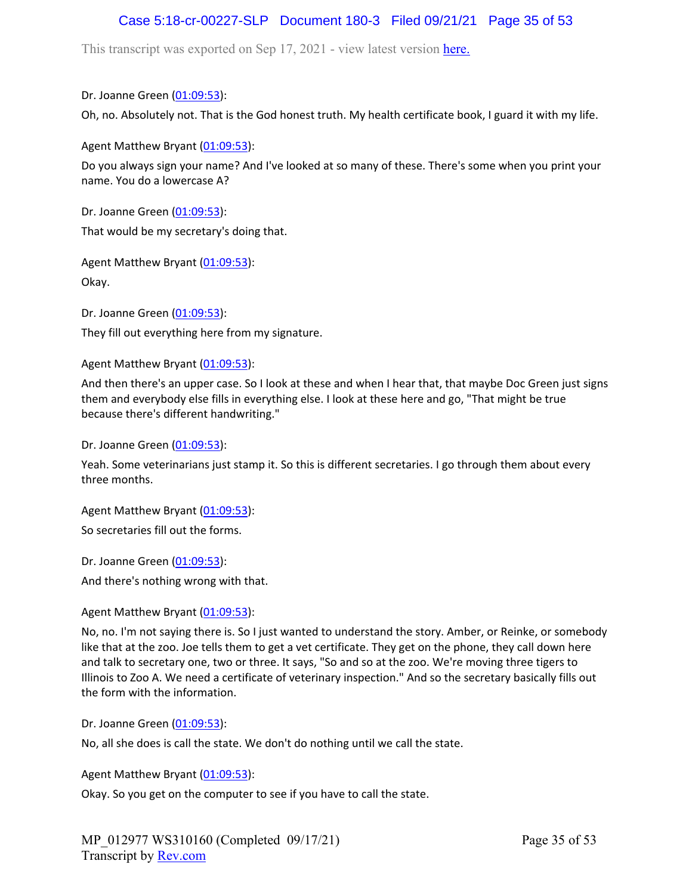# Case 5:18-cr-00227-SLP Document 180-3 Filed 09/21/21 Page 35 of 53

This transcript was exported on Sep 17, 2021 - view latest version [here.](https://www.rev.com/transcript-editor/Edit?token=I33MB_RoV1FwOoHBZ0vXCiw9XFf7Kdljsv8wmKDhXSlbDZV1-muO_uXdeLk3bhrqvxSEUBmRHZUHjbZyoStIj4NIjiQ&loadFrom=DocumentHeaderDeepLink)

Dr. Joanne Green [\(01:09:53\)](https://www.rev.com/transcript-editor/Edit?token=eu5ugwPfDOsGhTaxSXVmczc3pAph6vMhgiTWvQI-lUE0xvhrJGa3iC_fpa-l8Y4IzkMyCViliEH06QMKdFUjBQ_U_7U&loadFrom=DocumentDeeplink&ts=4193):

Oh, no. Absolutely not. That is the God honest truth. My health certificate book, I guard it with my life.

Agent Matthew Bryant ([01:09:53](https://www.rev.com/transcript-editor/Edit?token=W4iySkGSjPEe6LkVyLjeTR8ycN6CZv_ErrdoAyF_wznLlewxmB8c6rU0eXjZVtUqMECZj4-Ofw8TM-hqqLvcOlTCzDo&loadFrom=DocumentDeeplink&ts=4193)):

Do you always sign your name? And I've looked at so many of these. There's some when you print your name. You do a lowercase A?

Dr. Joanne Green [\(01:09:53\)](https://www.rev.com/transcript-editor/Edit?token=j6cLY8d17etQPiIOK4l4iBwsz7KtpbW6p7BAgV4Wj2JK4TmurNqUxZnrSnev1WayRgLh9Ej01X-5IK4_5qon7sHqmBw&loadFrom=DocumentDeeplink&ts=4193): That would be my secretary's doing that.

Agent Matthew Bryant ([01:09:53](https://www.rev.com/transcript-editor/Edit?token=21rq-3pI2Aarsxj4TwVRkd3b7S6Tkrdolm21XBPRSo4ff16Pxmmpw4iu5P4U5RE9B4jHKPRpqZIFM0IC_Dhb0MXeZq8&loadFrom=DocumentDeeplink&ts=4193)):

Okay.

Dr. Joanne Green [\(01:09:53\)](https://www.rev.com/transcript-editor/Edit?token=m9P_H7oPTqwTr_mU-PIRjiN3xiLzuAVfPzXg-PcBDOApN2NE6pmTkU_iD0prZesWNwTdOjz0KA5yc1ztQcRt5A5Ct3c&loadFrom=DocumentDeeplink&ts=4193):

They fill out everything here from my signature.

Agent Matthew Bryant ([01:09:53](https://www.rev.com/transcript-editor/Edit?token=6vPjdvqU-Xwqkf7z6rhr1oW6W2JK_IPQlLxesR5MtC5fhVDFGX8p3Q4oAySzencFd_Bd6Ec7h8RDeBl6hvxhI_5ZvYs&loadFrom=DocumentDeeplink&ts=4193)):

And then there's an upper case. So I look at these and when I hear that, that maybe Doc Green just signs them and everybody else fills in everything else. I look at these here and go, "That might be true because there's different handwriting."

Dr. Joanne Green [\(01:09:53\)](https://www.rev.com/transcript-editor/Edit?token=tnp-E8_eEK86Dt-j0k2O_UkclctB80wnLe_-GEGVOfNQtZP4iVSOtEFaFIsgnvipkEYAAQ9cknvvakjFlJKvk9-DOf4&loadFrom=DocumentDeeplink&ts=4193):

Yeah. Some veterinarians just stamp it. So this is different secretaries. I go through them about every three months.

Agent Matthew Bryant ([01:09:53](https://www.rev.com/transcript-editor/Edit?token=otPtFCUKvRviE3uG0El2PFwWqNf7V9-jB7N_OvmRSRbPSXW8SKRmdchbonkYr7rE5t5PCaW2gqHpoUsVSHq46Ehc4G8&loadFrom=DocumentDeeplink&ts=4193)):

So secretaries fill out the forms.

Dr. Joanne Green [\(01:09:53\)](https://www.rev.com/transcript-editor/Edit?token=5kXkNYVy9zTdtmslrDqb6lPC5qpCaQlQahM9ufSMQxMZAsQRUPl9sVXGFKUf0EyrrNxjfnB2G_CyfLpbeQLFZO8zh84&loadFrom=DocumentDeeplink&ts=4193):

And there's nothing wrong with that.

Agent Matthew Bryant ([01:09:53](https://www.rev.com/transcript-editor/Edit?token=3-BjpVpu6sTNOkLXqxpMYPPmC65ZYyCXVuQikgWRSULlcbebxVlV3s4tuZq06N0V9DPBqlYLuM8vtJDKLVEZ7EFkVVk&loadFrom=DocumentDeeplink&ts=4193)):

No, no. I'm not saying there is. So I just wanted to understand the story. Amber, or Reinke, or somebody like that at the zoo. Joe tells them to get a vet certificate. They get on the phone, they call down here and talk to secretary one, two or three. It says, "So and so at the zoo. We're moving three tigers to Illinois to Zoo A. We need a certificate of veterinary inspection." And so the secretary basically fills out the form with the information.

Dr. Joanne Green [\(01:09:53\)](https://www.rev.com/transcript-editor/Edit?token=cnLEytzYSxovLSR1oDeaqHYBz3fkmuPiZIOwOdqy1lHNEPV_OGNeiV7JZP0Zle2mQCcgkiyI-W2Ei_Seau1F_s_vFxw&loadFrom=DocumentDeeplink&ts=4193):

No, all she does is call the state. We don't do nothing until we call the state.

Agent Matthew Bryant ([01:09:53](https://www.rev.com/transcript-editor/Edit?token=IAQmQVcBeqHDCfy0xS69FeNI-a5KZwSA1sBYMf3ihOFsQJ5ge1nPzyw_vFz0_N_Zvwmvfth4dZfaiOAWLRoEoKc66iY&loadFrom=DocumentDeeplink&ts=4193)):

Okay. So you get on the computer to see if you have to call the state.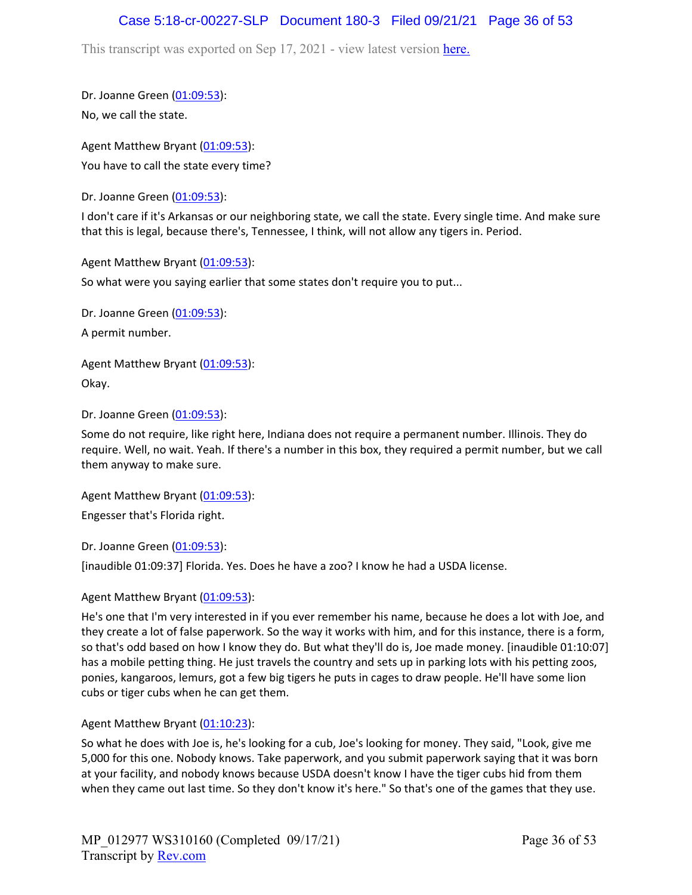### Case 5:18-cr-00227-SLP Document 180-3 Filed 09/21/21 Page 36 of 53

This transcript was exported on Sep 17, 2021 - view latest version [here.](https://www.rev.com/transcript-editor/Edit?token=I33MB_RoV1FwOoHBZ0vXCiw9XFf7Kdljsv8wmKDhXSlbDZV1-muO_uXdeLk3bhrqvxSEUBmRHZUHjbZyoStIj4NIjiQ&loadFrom=DocumentHeaderDeepLink)

Dr. Joanne Green [\(01:09:53\)](https://www.rev.com/transcript-editor/Edit?token=BFw7yLdk3qZk6B0ST02jJDBCe-GmmHa7bq37v361vlwzCFxriSFif1w9qtxJh4CdlJRTbUc9uJGZFlzeydQj9h1WC58&loadFrom=DocumentDeeplink&ts=4193): No, we call the state.

Agent Matthew Bryant ([01:09:53](https://www.rev.com/transcript-editor/Edit?token=WAndh6E3JCeR76ZUQCnHaaJ3VbFWr_b_gCJM0fygbMkmQtjiBwrhqA0FTZ_QJHfqGcN7-Gm47WDUqiFFAu6trmr8L6Q&loadFrom=DocumentDeeplink&ts=4193)): You have to call the state every time?

Dr. Joanne Green [\(01:09:53\)](https://www.rev.com/transcript-editor/Edit?token=Ms0U7zu1P-QWo_4ozgQs37s0fRXfMzZIJN1V_k70xBi0kH2AakEeC5wzfSa4x7Z_a7dnI767RbaaH9Ecwq2NnvSOIMY&loadFrom=DocumentDeeplink&ts=4193):

I don't care if it's Arkansas or our neighboring state, we call the state. Every single time. And make sure that this is legal, because there's, Tennessee, I think, will not allow any tigers in. Period.

Agent Matthew Bryant ([01:09:53](https://www.rev.com/transcript-editor/Edit?token=VGEN0JI9qnf6gr-MzU1n9h_lgoZwQcR58NH-EYEaos77haL-MS1Pk4uv2cNaJYjWXXNkehrCS8SM01-CE8cRdB0mtWQ&loadFrom=DocumentDeeplink&ts=4193)):

So what were you saying earlier that some states don't require you to put...

Dr. Joanne Green [\(01:09:53\)](https://www.rev.com/transcript-editor/Edit?token=WxslO71glnGQXiSTmwTREMI1ukax_rFuUSGSkojdpUqZ-K02Fv-lNzKywtDB4PCv5gmagUjGD-vpIkCLgfq3vDdhogM&loadFrom=DocumentDeeplink&ts=4193): A permit number.

Agent Matthew Bryant ([01:09:53](https://www.rev.com/transcript-editor/Edit?token=ZGBX43ZSlioxcwDVqpv3X1j9CWN9LxHEvKw0EYI5fmXWRprj1UCdfNZbiUy4KpRMqaIXl9yF-55jtdb9yvvvcVS06z0&loadFrom=DocumentDeeplink&ts=4193)): Okay.

Dr. Joanne Green [\(01:09:53\)](https://www.rev.com/transcript-editor/Edit?token=dKwdUpx97yAZ8jlpYNNFKqZNBIvLnCMp3V7MjYiW2TL1_4lLWgH1MdDe41QIzMOpzmn4Bia00hsrETZofKRZ2j4tUtA&loadFrom=DocumentDeeplink&ts=4193):

Some do not require, like right here, Indiana does not require a permanent number. Illinois. They do require. Well, no wait. Yeah. If there's a number in this box, they required a permit number, but we call them anyway to make sure.

Agent Matthew Bryant ([01:09:53](https://www.rev.com/transcript-editor/Edit?token=ZccU3XhvhfbmKnP0ONKKmzwF6PXP8tc8arm9c_W_9TQQ8TpmKj4lOa8UU6j-Y8i4z4BDK0F68jcnqWp2i1snmUUc-o8&loadFrom=DocumentDeeplink&ts=4193)): Engesser that's Florida right.

Dr. Joanne Green [\(01:09:53\)](https://www.rev.com/transcript-editor/Edit?token=VohkKXFGFVbrUS15KpAGqFEzYPzbHmpDnP5C_MQ9UkVKGkUlYBOFnJ33ggqlJOIGcOguLbDiM3TsxO9KGV0HugDac2I&loadFrom=DocumentDeeplink&ts=4193):

[inaudible 01:09:37] Florida. Yes. Does he have a zoo? I know he had a USDA license.

### Agent Matthew Bryant ([01:09:53](https://www.rev.com/transcript-editor/Edit?token=eukFBgrug-GFyBmhASdCmS_CG0hvVA2heOuvldOPwZb3lTogo3RGdyTFQb5zfDZF_C_u1Anmq7NJYqjQuByZcus6cUs&loadFrom=DocumentDeeplink&ts=4193)):

He's one that I'm very interested in if you ever remember his name, because he does a lot with Joe, and they create a lot of false paperwork. So the way it works with him, and for this instance, there is a form, so that's odd based on how I know they do. But what they'll do is, Joe made money. [inaudible 01:10:07] has a mobile petting thing. He just travels the country and sets up in parking lots with his petting zoos, ponies, kangaroos, lemurs, got a few big tigers he puts in cages to draw people. He'll have some lion cubs or tiger cubs when he can get them.

### Agent Matthew Bryant ([01:10:23](https://www.rev.com/transcript-editor/Edit?token=oDFYk_FdyDziAO_qCoFrSBjLOvZozYA_nO3Z5qiB1GzzIpnxY3avCTPzZTW2MMUa_fUsLPhKC2D5WRweoMu3hq0ulQs&loadFrom=DocumentDeeplink&ts=4223.17)):

So what he does with Joe is, he's looking for a cub, Joe's looking for money. They said, "Look, give me 5,000 for this one. Nobody knows. Take paperwork, and you submit paperwork saying that it was born at your facility, and nobody knows because USDA doesn't know I have the tiger cubs hid from them when they came out last time. So they don't know it's here." So that's one of the games that they use.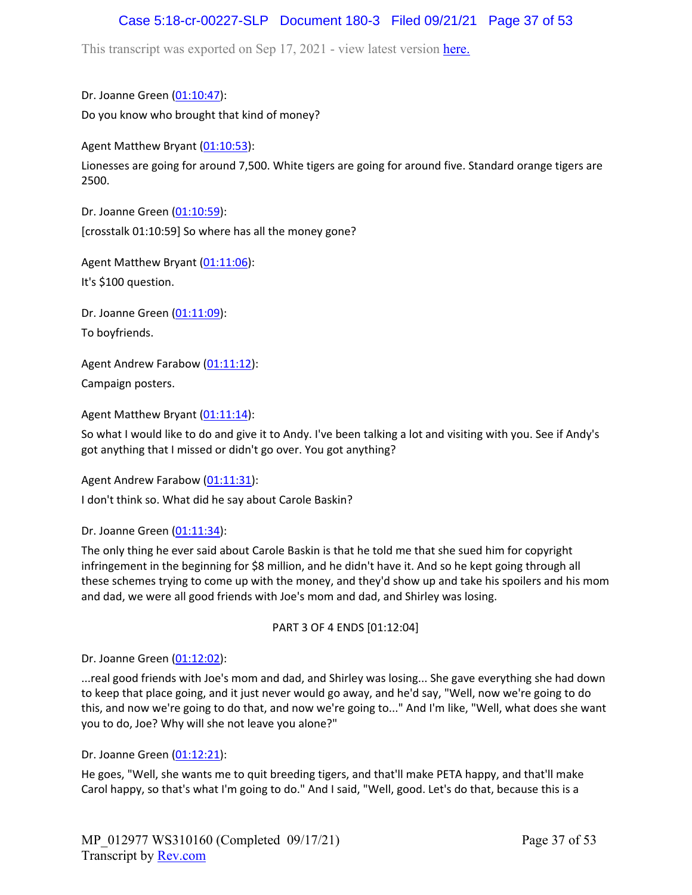# Case 5:18-cr-00227-SLP Document 180-3 Filed 09/21/21 Page 37 of 53

This transcript was exported on Sep 17, 2021 - view latest version [here.](https://www.rev.com/transcript-editor/Edit?token=I33MB_RoV1FwOoHBZ0vXCiw9XFf7Kdljsv8wmKDhXSlbDZV1-muO_uXdeLk3bhrqvxSEUBmRHZUHjbZyoStIj4NIjiQ&loadFrom=DocumentHeaderDeepLink)

Dr. Joanne Green [\(01:10:47\)](https://www.rev.com/transcript-editor/Edit?token=eF0bq94wG2N7R2gVriHSIZDK_yRIPmljijy9ba3RLq95IAbjhADYXrE6iJdw6ekCoA0O3NK4XQGxNqWfRNBHucSn0kw&loadFrom=DocumentDeeplink&ts=4247.8): Do you know who brought that kind of money?

Agent Matthew Bryant ([01:10:53](https://www.rev.com/transcript-editor/Edit?token=-VYlwdBwKPRnwqyoL3naMU_x5wcPl_28wvG5LEXqKDpUa8k5R6UhYD_MAnSsXZWR8dtpKRpHr-isdQDvZCPnJs0MQlw&loadFrom=DocumentDeeplink&ts=4253.01)):

Lionesses are going for around 7,500. White tigers are going for around five. Standard orange tigers are 2500.

Dr. Joanne Green [\(01:10:59\)](https://www.rev.com/transcript-editor/Edit?token=f9nKEshH5mGEj-Fdee2peD7OmspXYWajXHgIJ5KdX8ysj1NzKW7Onk3l64NT6BQbSAdgrlFwFQpEnNL_M5dG2sIti-I&loadFrom=DocumentDeeplink&ts=4259.31): [crosstalk 01:10:59] So where has all the money gone?

Agent Matthew Bryant ([01:11:06](https://www.rev.com/transcript-editor/Edit?token=eP_CczkD1p1gGleGkLUjchm_oL4ab16EM7b_sVmeYmi-0Z04k8ULMy5cwLT7XbR6gPhQvquQQW5gxBGeBE3By4Ix-9w&loadFrom=DocumentDeeplink&ts=4266.72)):

It's \$100 question.

Dr. Joanne Green [\(01:11:09\)](https://www.rev.com/transcript-editor/Edit?token=mUQooEZKklkKdokW_9FhJGS1gYtpvFRErnGZ-K4G9DmamTGWF9TGzZyLNnPvVpL9vhNIboJ9sALfr8O0PcD-DxpiMKM&loadFrom=DocumentDeeplink&ts=4269.96): To boyfriends.

Agent Andrew Farabow [\(01:11:12\)](https://www.rev.com/transcript-editor/Edit?token=8Qx-P7zBjOvhryzG0MTTvER4D3DylDYVdWUOMZNO5cPIUCjONSj09lhqwbB3YsYqhrhBQI5_LFmnuY358TSmFbtMfFY&loadFrom=DocumentDeeplink&ts=4272.68): Campaign posters.

Agent Matthew Bryant ([01:11:14](https://www.rev.com/transcript-editor/Edit?token=sV5lrHEEfAg6mss2bEKM2-yW4UDHLX1O0wHFsa9Na21wsiNLrilEqazQFbFe_1cfosdYugKi4QLh_AgFSOeKksHouEM&loadFrom=DocumentDeeplink&ts=4274.14)):

So what I would like to do and give it to Andy. I've been talking a lot and visiting with you. See if Andy's got anything that I missed or didn't go over. You got anything?

Agent Andrew Farabow [\(01:11:31\)](https://www.rev.com/transcript-editor/Edit?token=PXNFrXLtkDhCvGONdakVv4imFnDpggeWhodx0PAv-iHIXXbq-Kvqz0oUvzU5eTP1Q_dHSoT_x2UaDCpIoWnxNroYRqg&loadFrom=DocumentDeeplink&ts=4291.01):

I don't think so. What did he say about Carole Baskin?

Dr. Joanne Green [\(01:11:34\)](https://www.rev.com/transcript-editor/Edit?token=CPCU6HsojI_x_DMlgo4j83NEOnLpVgOGQEJa1StkjQ0C2AsZ7XfGWhm7PQrs3Rwu_TpUuybg9WZToJUJ7mTbUe0RLYo&loadFrom=DocumentDeeplink&ts=4294.31):

The only thing he ever said about Carole Baskin is that he told me that she sued him for copyright infringement in the beginning for \$8 million, and he didn't have it. And so he kept going through all these schemes trying to come up with the money, and they'd show up and take his spoilers and his mom and dad, we were all good friends with Joe's mom and dad, and Shirley was losing.

PART 3 OF 4 ENDS [01:12:04]

Dr. Joanne Green [\(01:12:02\)](https://www.rev.com/transcript-editor/Edit?token=kMb5FfvhVZ3mNOe0rNOY-FEOgNIvmjJwu5mZZLBgXyLn3mQqnCTUAHM0OABTx14aEZgE-1OIGAyISAv11YBPRZ5XoTQ&loadFrom=DocumentDeeplink&ts=4322.771):

...real good friends with Joe's mom and dad, and Shirley was losing... She gave everything she had down to keep that place going, and it just never would go away, and he'd say, "Well, now we're going to do this, and now we're going to do that, and now we're going to..." And I'm like, "Well, what does she want you to do, Joe? Why will she not leave you alone?"

Dr. Joanne Green [\(01:12:21\)](https://www.rev.com/transcript-editor/Edit?token=ZkimSGr4C9UqZ2OwjbE5bvGvYhtO2k5-QLj5-EK1z29-TR5cjHQY2mh9G5tahWRwgmnOr1VnIQx8yPfx2DAp0hvM3M4&loadFrom=DocumentDeeplink&ts=4341.53):

He goes, "Well, she wants me to quit breeding tigers, and that'll make PETA happy, and that'll make Carol happy, so that's what I'm going to do." And I said, "Well, good. Let's do that, because this is a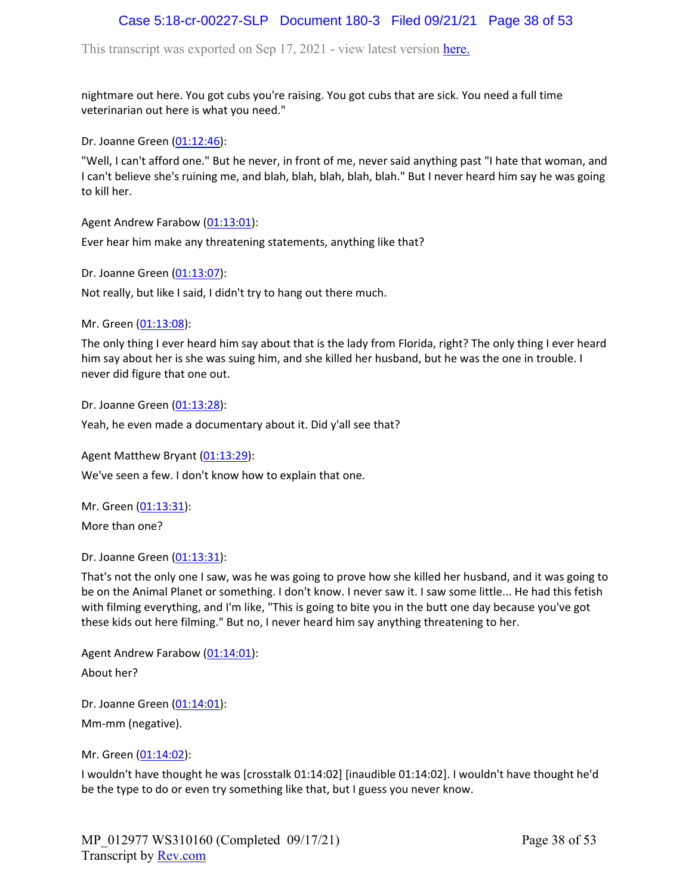# Case 5:18-cr-00227-SLP Document 180-3 Filed 09/21/21 Page 38 of 53

This transcript was exported on Sep 17, 2021 - view latest version [here.](https://www.rev.com/transcript-editor/Edit?token=I33MB_RoV1FwOoHBZ0vXCiw9XFf7Kdljsv8wmKDhXSlbDZV1-muO_uXdeLk3bhrqvxSEUBmRHZUHjbZyoStIj4NIjiQ&loadFrom=DocumentHeaderDeepLink)

nightmare out here. You got cubs you're raising. You got cubs that are sick. You need a full time veterinarian out here is what you need."

Dr. Joanne Green [\(01:12:46\)](https://www.rev.com/transcript-editor/Edit?token=AWn6jC5IpUvjp_gXWoVtpM03RQb5uQDZZrjLekmlqoxpdj7dddMiR_iJQV9I6WZGvMroIvTklTI2WzR0N7y6i1FXZlg&loadFrom=DocumentDeeplink&ts=4366.8):

"Well, I can't afford one." But he never, in front of me, never said anything past "I hate that woman, and I can't believe she's ruining me, and blah, blah, blah, blah, blah." But I never heard him say he was going to kill her.

Agent Andrew Farabow [\(01:13:01\)](https://www.rev.com/transcript-editor/Edit?token=cm8Mp5CTzk8bmfEOAgRj3oRMpDeQ2lanPgOpexPjbX4NUEiLPuwT4k0BpQSU0BMQTZP_YrHcsQfmBxCI3W8lInfZi_o&loadFrom=DocumentDeeplink&ts=4381.51):

Ever hear him make any threatening statements, anything like that?

Dr. Joanne Green [\(01:13:07\)](https://www.rev.com/transcript-editor/Edit?token=JcAvclad2bQ4HkivZWiupzlFI-K3Vat66Cod_GcJ1yTmaQKUXzdEs07-HBR6KDlwMfXCdBKjQRVktzGvCSq4Ca48aJM&loadFrom=DocumentDeeplink&ts=4387.28):

Not really, but like I said, I didn't try to hang out there much.

Mr. Green ([01:13:08](https://www.rev.com/transcript-editor/Edit?token=C2_dLetGFpUIIKHgMHkefUEBBUCDVTJdleUpHoczkH0m7lRi94wdMWkWtdsUc1OTqn9yQsVtm3JDaCQvccto4PIZ3L4&loadFrom=DocumentDeeplink&ts=4388.9)):

The only thing I ever heard him say about that is the lady from Florida, right? The only thing I ever heard him say about her is she was suing him, and she killed her husband, but he was the one in trouble. I never did figure that one out.

Dr. Joanne Green [\(01:13:28\)](https://www.rev.com/transcript-editor/Edit?token=xDDC7VsxXRDFqTnOh1g951RhY1qzzmk0IP6vkiA7DkVxylh5SqHGgPCQMT3QK9DzPSCGM5q4X8YlopjLA5LbYKjctK0&loadFrom=DocumentDeeplink&ts=4408.24):

Yeah, he even made a documentary about it. Did y'all see that?

Agent Matthew Bryant ([01:13:29](https://www.rev.com/transcript-editor/Edit?token=ElKKziuJRx-t0St2n_mxTVrkh1xzheT9V928ZUFeYoK4KhWs_rKqt-OXmtQ6fpEdfBDy4C9vVoy1TK4NNiWEYu-AnDo&loadFrom=DocumentDeeplink&ts=4409.06)):

We've seen a few. I don't know how to explain that one.

Mr. Green ([01:13:31](https://www.rev.com/transcript-editor/Edit?token=xRhMSX1qWdcTtqVfNRnXPizRMu7rDWXKGY3DPXH7IIjccJCEkE4TKS23Vqv3qP03sQfh-k7eECxp4uKsnk5NLzfSalY&loadFrom=DocumentDeeplink&ts=4411.03)): More than one?

Dr. Joanne Green [\(01:13:31\)](https://www.rev.com/transcript-editor/Edit?token=ivCYx59aJUmxT2elD080qoEnub_wLGNXlouw0lg2NIKFlN-KmSDh1_Uf5jYFE4nhqYZs6hJZOpOwrNAEKVh7mZCO_cQ&loadFrom=DocumentDeeplink&ts=4411.03):

That's not the only one I saw, was he was going to prove how she killed her husband, and it was going to be on the Animal Planet or something. I don't know. I never saw it. I saw some little... He had this fetish with filming everything, and I'm like, "This is going to bite you in the butt one day because you've got these kids out here filming." But no, I never heard him say anything threatening to her.

Agent Andrew Farabow [\(01:14:01\)](https://www.rev.com/transcript-editor/Edit?token=CVEZHMptKkTUD6T3eJt7sL4EV2wjZwLgbERvKM1L6dqSnW7FiOxPZ9RbitO0yNPi3myDPSwaeryymea31XyZfjgYtVk&loadFrom=DocumentDeeplink&ts=4441.09): About her?

Dr. Joanne Green [\(01:14:01\)](https://www.rev.com/transcript-editor/Edit?token=H5u0JYCQURBLFPzA9pCU8RBk6lW75Ic6ruuXOXu42sRxWuryEBoLdhiXyRvROptKihXm5yfpf2DFQ2zPvl5j2I2P0Ek&loadFrom=DocumentDeeplink&ts=4441.09): Mm-mm (negative).

Mr. Green ([01:14:02](https://www.rev.com/transcript-editor/Edit?token=JZI5Lghsznwz1PwHsIt_5Up-yekK_xnODzZJbgYSFHjZopZEMmpopzdGSilce7XitMQTOLkk8LvStC3Efu1BAF_SfqQ&loadFrom=DocumentDeeplink&ts=4442)):

I wouldn't have thought he was [crosstalk 01:14:02] [inaudible 01:14:02]. I wouldn't have thought he'd be the type to do or even try something like that, but I guess you never know.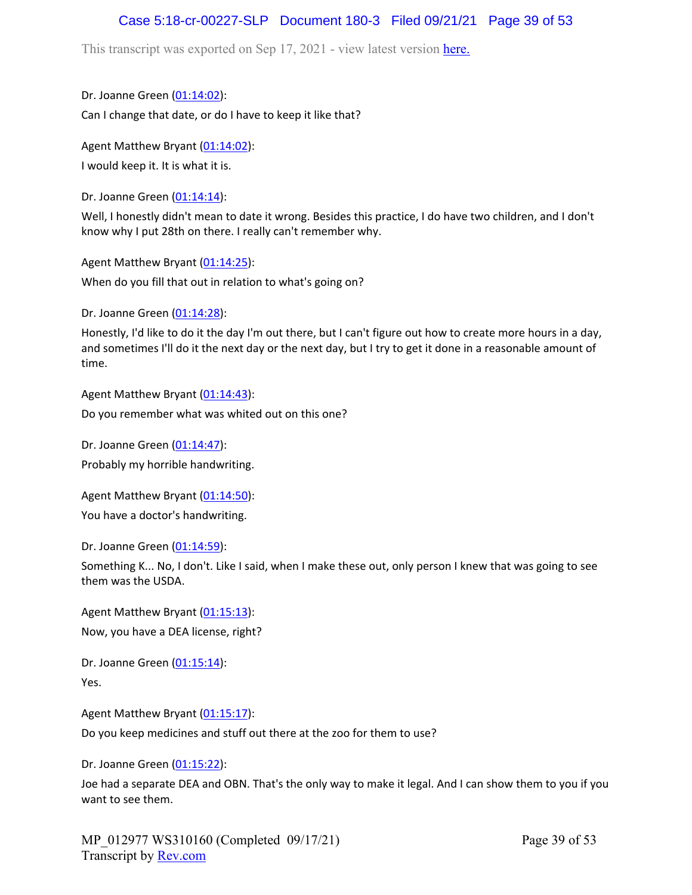## Case 5:18-cr-00227-SLP Document 180-3 Filed 09/21/21 Page 39 of 53

This transcript was exported on Sep 17, 2021 - view latest version [here.](https://www.rev.com/transcript-editor/Edit?token=I33MB_RoV1FwOoHBZ0vXCiw9XFf7Kdljsv8wmKDhXSlbDZV1-muO_uXdeLk3bhrqvxSEUBmRHZUHjbZyoStIj4NIjiQ&loadFrom=DocumentHeaderDeepLink)

Dr. Joanne Green [\(01:14:02\)](https://www.rev.com/transcript-editor/Edit?token=C9XVEnJ5bLObUolwrEZAYPrO7t1uhzY18ZdWYfxPkbcLO_z-nN2ezIwkelPSOln0wesWo_PY57UKDge6Gxj0oylFh7c&loadFrom=DocumentDeeplink&ts=4442): Can I change that date, or do I have to keep it like that?

Agent Matthew Bryant ([01:14:02](https://www.rev.com/transcript-editor/Edit?token=SiRuRNIZqDZqu3u0NPwfoAKp6MT5p3yTuDzTQjcUi4s6clXeu37IriD-bbjIcEfOvh3U6lMwhUQ8B0UcTHor0mumwmU&loadFrom=DocumentDeeplink&ts=4442)): I would keep it. It is what it is.

Dr. Joanne Green  $(01:14:14)$ :

Well, I honestly didn't mean to date it wrong. Besides this practice, I do have two children, and I don't know why I put 28th on there. I really can't remember why.

Agent Matthew Bryant ([01:14:25](https://www.rev.com/transcript-editor/Edit?token=ZjQaWCwid0lVHqj1Hdy6sHKARco_lDXhW7mZOqrkDP_oTDmyOxszXltAgor_1Xq8fWRbBZxq0NChN_WcU1YbeK6fxT8&loadFrom=DocumentDeeplink&ts=4465.4)):

When do you fill that out in relation to what's going on?

Dr. Joanne Green [\(01:14:28\)](https://www.rev.com/transcript-editor/Edit?token=sujB8Y5J8K-U-XpZrUpjWOZdDz7Pfj1C2Pwjmir6W6BvdwMKPqDUf4d5BxwycGmvYEGpLnVlXklz8ef5R9SWIr0UBuI&loadFrom=DocumentDeeplink&ts=4468.36):

Honestly, I'd like to do it the day I'm out there, but I can't figure out how to create more hours in a day, and sometimes I'll do it the next day or the next day, but I try to get it done in a reasonable amount of time.

Agent Matthew Bryant ([01:14:43](https://www.rev.com/transcript-editor/Edit?token=HihrjY-3iWKZOUmURFwbRNBhP8Fdw87cSXwKNZEc2IzO2gOBAX7rKNodzZDYW-mCkEgvW5W3BTqiUEiXI38uc92eFjM&loadFrom=DocumentDeeplink&ts=4483.31)): Do you remember what was whited out on this one?

Dr. Joanne Green [\(01:14:47\)](https://www.rev.com/transcript-editor/Edit?token=XmhVfumkV--etna0T1kTkBlND6YFUsI1CF3f0SbyLm5SK_1y3CAl66eBc0jqc8w4tW_HwTgonD3KqwnmwrTQK-zzmgI&loadFrom=DocumentDeeplink&ts=4487.57): Probably my horrible handwriting.

Agent Matthew Bryant ([01:14:50](https://www.rev.com/transcript-editor/Edit?token=bIjHHAcWon2FVptNcpfa2lJF13LQdFspDvZTirXkvDVhY8kM-y3zEzVzn9j4ph5yWFUDWnAFKr0kJjKvhl1TCqMHqZo&loadFrom=DocumentDeeplink&ts=4490.03)): You have a doctor's handwriting.

Dr. Joanne Green [\(01:14:59\)](https://www.rev.com/transcript-editor/Edit?token=xWDk0dT5IsBzLZQkO6MGVbwxKO4h-hDPQqftlzu0ln3LocFKBPtDbM1P8FGPysZTNgnTctT6T69SRU8Weewj4ND2nkc&loadFrom=DocumentDeeplink&ts=4499.56):

Something K... No, I don't. Like I said, when I make these out, only person I knew that was going to see them was the USDA.

Agent Matthew Bryant ([01:15:13](https://www.rev.com/transcript-editor/Edit?token=8Y_d1Yh8I2RdVvOQ459T9h-V4kyoaDUsAk7fT2j2imrt_CIJfsT-Yli0zfV86cwi6Z0Nh_hYXvicOjZlT0AzA_dt8Wo&loadFrom=DocumentDeeplink&ts=4513.38)): Now, you have a DEA license, right?

Dr. Joanne Green [\(01:15:14\)](https://www.rev.com/transcript-editor/Edit?token=vuqo2A4ji9qemLT8pIcXVa83I8tUg0o4ArNbgUd7J33oonu5K2L37f9ef9Cn6p6-lV0m3XwbONreEoS2PwAvOFB9b3A&loadFrom=DocumentDeeplink&ts=4514.94): Yes.

Agent Matthew Bryant ([01:15:17](https://www.rev.com/transcript-editor/Edit?token=fS-oiHPnS8I0j1f_1aZlrdu7Xm25EY7kz2A4d7izv5AgcEq5L-6_IWYU-rfrJzuziHGuUZRNFOhEBvZ7ONlKCvFRqTQ&loadFrom=DocumentDeeplink&ts=4517.67)):

Do you keep medicines and stuff out there at the zoo for them to use?

Dr. Joanne Green [\(01:15:22\)](https://www.rev.com/transcript-editor/Edit?token=j1QxpWeb1xVCvpXsgattxJg7v0h3erKdI2lJbpamiDJPTc1c6wnBRuVLli3vOfY5xydlI507LcIMRgqbgA1ymWKBXtw&loadFrom=DocumentDeeplink&ts=4522.61):

Joe had a separate DEA and OBN. That's the only way to make it legal. And I can show them to you if you want to see them.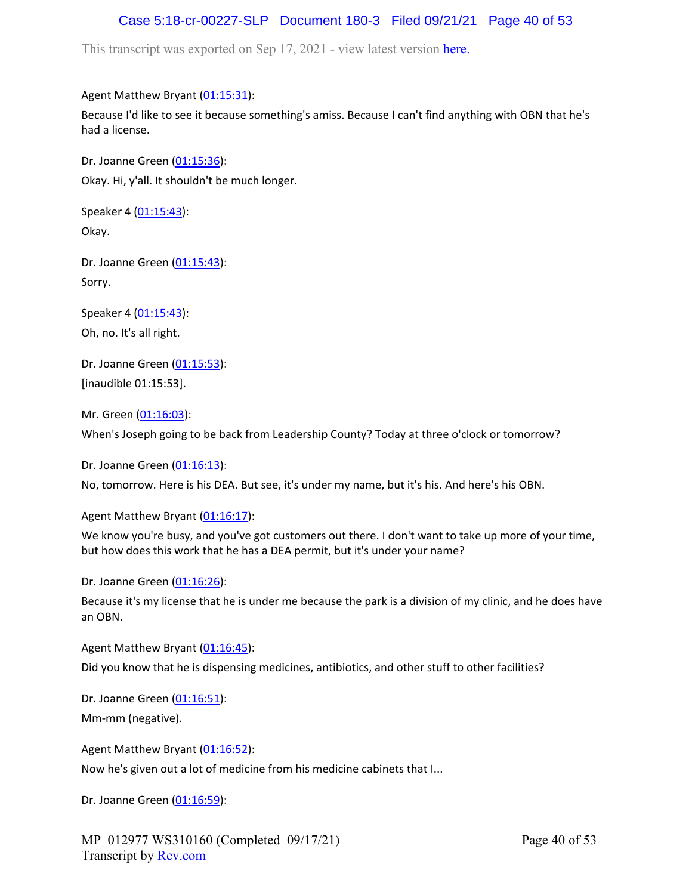# Case 5:18-cr-00227-SLP Document 180-3 Filed 09/21/21 Page 40 of 53

This transcript was exported on Sep 17, 2021 - view latest version [here.](https://www.rev.com/transcript-editor/Edit?token=I33MB_RoV1FwOoHBZ0vXCiw9XFf7Kdljsv8wmKDhXSlbDZV1-muO_uXdeLk3bhrqvxSEUBmRHZUHjbZyoStIj4NIjiQ&loadFrom=DocumentHeaderDeepLink)

### Agent Matthew Bryant ([01:15:31](https://www.rev.com/transcript-editor/Edit?token=_kZ0oS-wmzHD0aH79CSdapie3kBAv4JfXGe_iArQHvUq5OVTlf6TTDnQaDCDFEeyW2K3A4F0DyAd71R-d6GtYMRpkXE&loadFrom=DocumentDeeplink&ts=4531.03)):

Because I'd like to see it because something's amiss. Because I can't find anything with OBN that he's had a license.

Dr. Joanne Green [\(01:15:36\)](https://www.rev.com/transcript-editor/Edit?token=HnrK4hb-rPhqqmeUirocYE9SxeQbO3D7u83o6nHynFX1yQb0FWLRb3NtbBRfE__ww_xNBqV7L9cILzEYh8cB1GDpJpQ&loadFrom=DocumentDeeplink&ts=4536.62): Okay. Hi, y'all. It shouldn't be much longer.

Speaker 4 ([01:15:43](https://www.rev.com/transcript-editor/Edit?token=TLmvh1WCHLEOkpFBMLrzJkOzr8puTX-L4b-TlOPCTX8cGtyVgJx8LQCNEtGsZtoub14phcgAikhRcJB7WY36FfwkUKk&loadFrom=DocumentDeeplink&ts=4543.29)): Okay.

Dr. Joanne Green [\(01:15:43\)](https://www.rev.com/transcript-editor/Edit?token=XMB2o7-_TfAiEkwBJsPqL9gvCM-_pEeSyHIQvLzdUWKrcHCDOG9ooizQTaOv_0YtC7SQjpC6FAHtSLu32w0opXPaZZE&loadFrom=DocumentDeeplink&ts=4543.29): Sorry.

Speaker 4 ([01:15:43](https://www.rev.com/transcript-editor/Edit?token=HNdE1Mz01BYYIdfLFqEmWKCVyf-lhuu6AEh82FDJTYz0mAFva2hHm4MqFIpZT7suCRnN3OhdTbyHGkC7-7AS2zsjDuU&loadFrom=DocumentDeeplink&ts=4543.35)): Oh, no. It's all right.

Dr. Joanne Green [\(01:15:53\)](https://www.rev.com/transcript-editor/Edit?token=YVHq1Ia42aMY9tMXWX4Lg2brKmdfln6IzsZ6ueTIKDK0GUOkiCZMiuLVECMlxEDLGQlZJ4CXZeKnGnxjZQBfZln3jbA&loadFrom=DocumentDeeplink&ts=4553): [inaudible 01:15:53].

Mr. Green ([01:16:03](https://www.rev.com/transcript-editor/Edit?token=EpkDolezAPEF9XFP2iy1W6FgXoEtAiHoMVjDg9fsrLA558Sy_MQqYaaZ9F6FQ9TQBuSa3aXnPyq313NHzk_iYNptnVc&loadFrom=DocumentDeeplink&ts=4563.5)): When's Joseph going to be back from Leadership County? Today at three o'clock or tomorrow?

Dr. Joanne Green [\(01:16:13\)](https://www.rev.com/transcript-editor/Edit?token=ZKV2xFmmiaYxbvmU58AmHpo478DHPR5COFy--TwnFoQvdU2Irw8LQQiCMkFDroQtFD_lbmICrKte5V2KMwUbm1TRo9g&loadFrom=DocumentDeeplink&ts=4573.61): No, tomorrow. Here is his DEA. But see, it's under my name, but it's his. And here's his OBN.

Agent Matthew Bryant ([01:16:17](https://www.rev.com/transcript-editor/Edit?token=7vhpqXcBth618IL3JIWeoDvUXn5zbhNi7Sz1XftbH__IcXNBWS1c7VC0cKHSpd-YCBfcte4RTXkQg1u7Redkacpv_PA&loadFrom=DocumentDeeplink&ts=4577.96)):

We know you're busy, and you've got customers out there. I don't want to take up more of your time, but how does this work that he has a DEA permit, but it's under your name?

Dr. Joanne Green [\(01:16:26\)](https://www.rev.com/transcript-editor/Edit?token=lnzFc7YVa419kzcJ5wtyTbEPTwROveqx2KeYugo19WyK-Hhf04dgfqLXFcq9Q-vhaDDZvj0FyrC1GsnFN0CezXutnKs&loadFrom=DocumentDeeplink&ts=4586.23):

Because it's my license that he is under me because the park is a division of my clinic, and he does have an OBN.

Agent Matthew Bryant ([01:16:45](https://www.rev.com/transcript-editor/Edit?token=RnCeyBIq7bkCSeaL1on5SymQHkiiYPhd-VsCxtAW3vjI3UvBp6zVW4zRnnkqoXMYpa2vYodSyp8buhSerHfqF-7_rt4&loadFrom=DocumentDeeplink&ts=4605.72)):

Did you know that he is dispensing medicines, antibiotics, and other stuff to other facilities?

Dr. Joanne Green [\(01:16:51\)](https://www.rev.com/transcript-editor/Edit?token=S1A_JJEO5avtPjM4uBr_1bA5Z8fY3a6pM6UH7NkjRMakrI4qMUydxegUjbBtSEwZBlxACSSdqSr1-Fk40mcgEfjtXXI&loadFrom=DocumentDeeplink&ts=4611.69): Mm-mm (negative).

Agent Matthew Bryant ([01:16:52](https://www.rev.com/transcript-editor/Edit?token=iEBET-mWA8mrvu44pRUE1gdfRfwvHwjYHGb5T5gxudoQURnRTM6okMc4g0A1bIFsFNH7Uo8KV8BKgqX96GLbTCtKGbo&loadFrom=DocumentDeeplink&ts=4612.69)):

Now he's given out a lot of medicine from his medicine cabinets that I...

Dr. Joanne Green [\(01:16:59\)](https://www.rev.com/transcript-editor/Edit?token=QS_MFI-pjIpmmJvySBJ7mXJmKLjdLwdOg64NUxXfvTVem0Sf3cAG095_5KTT9d13BqNcWOmTmLJfxj4sWP23jPUf4JE&loadFrom=DocumentDeeplink&ts=4619.85):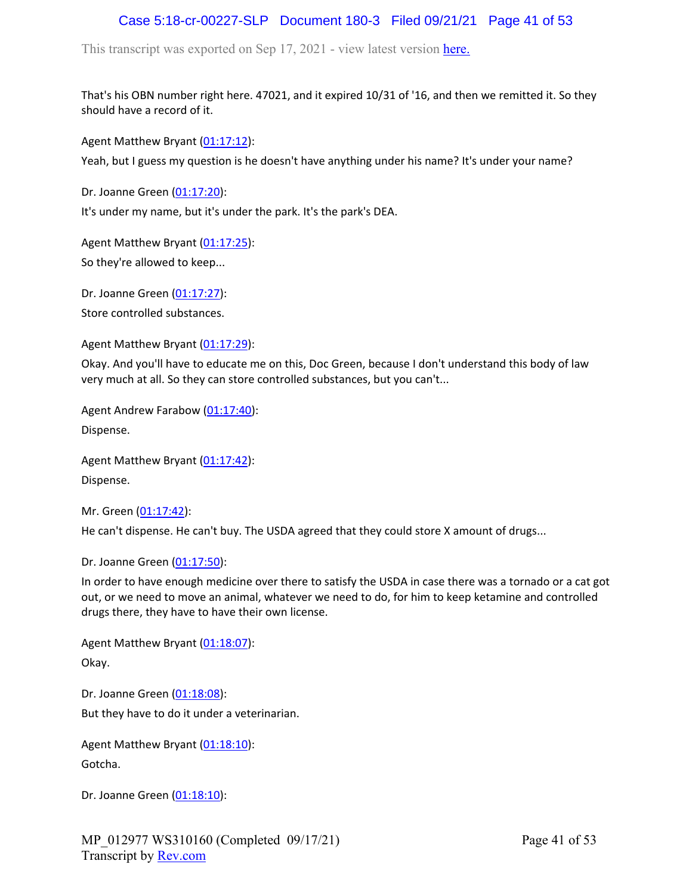# Case 5:18-cr-00227-SLP Document 180-3 Filed 09/21/21 Page 41 of 53

This transcript was exported on Sep 17, 2021 - view latest version [here.](https://www.rev.com/transcript-editor/Edit?token=I33MB_RoV1FwOoHBZ0vXCiw9XFf7Kdljsv8wmKDhXSlbDZV1-muO_uXdeLk3bhrqvxSEUBmRHZUHjbZyoStIj4NIjiQ&loadFrom=DocumentHeaderDeepLink)

That's his OBN number right here. 47021, and it expired 10/31 of '16, and then we remitted it. So they should have a record of it.

Agent Matthew Bryant ([01:17:12](https://www.rev.com/transcript-editor/Edit?token=CQ7x25j8ITNgKmVlyzf8SaT8kUou9svsUndb37QvNkhpHtTm4EjGROFkmswdZ7dMYhu_gFe3TPaZ0gQyBFESpG9om9I&loadFrom=DocumentDeeplink&ts=4632.7)):

Yeah, but I guess my question is he doesn't have anything under his name? It's under your name?

Dr. Joanne Green [\(01:17:20\)](https://www.rev.com/transcript-editor/Edit?token=Aq2cu3VPfY4kznJsEuv2D0nJvjU9Ysv_SqvediaORkz2aaoPXkU3r7ojV5F_6djgJtBFCmuDUX7v_I_np4zZLngL8nM&loadFrom=DocumentDeeplink&ts=4640.25):

It's under my name, but it's under the park. It's the park's DEA.

Agent Matthew Bryant ([01:17:25](https://www.rev.com/transcript-editor/Edit?token=01zhIQpBYTtwWzl2lqqqU01dbK4H1kj6RtQ49Yhks1T8AnhuePz2jZRErd_kUDeZDvDO1BH_TNdZtgPAl9mf3OKFWjA&loadFrom=DocumentDeeplink&ts=4645.26)): So they're allowed to keep...

Dr. Joanne Green [\(01:17:27\)](https://www.rev.com/transcript-editor/Edit?token=KQE5H4sDGYHTzdCIOMMiemVSNHqhlloqShonCxrFl5F5AmWDqInGiPb0wB7LJeujI3f0tIigX71V59Acdlhlqm21uNw&loadFrom=DocumentDeeplink&ts=4647.68): Store controlled substances.

Agent Matthew Bryant ([01:17:29](https://www.rev.com/transcript-editor/Edit?token=ICFuf2YZaTa1NyOjGnrq0GdiUMMIdxm07RME2lVxOFxwKuUBJxnXKu2yIvw_Pjigc6xWIA3pRTSu6X_T_OnP9588-XY&loadFrom=DocumentDeeplink&ts=4649.61)):

Okay. And you'll have to educate me on this, Doc Green, because I don't understand this body of law very much at all. So they can store controlled substances, but you can't...

Agent Andrew Farabow [\(01:17:40\)](https://www.rev.com/transcript-editor/Edit?token=owtuKasfatpM_0UhCBYpVNirPLyIZUMlMQBpOrjKgAHm6z-2heZoyDcpfcdbzs_60-AVV7RDnnfCSLqcyz2Mb4KRh24&loadFrom=DocumentDeeplink&ts=4660.79):

Dispense.

Agent Matthew Bryant ([01:17:42](https://www.rev.com/transcript-editor/Edit?token=_84XOufWWXIT4lBDcrmRE8C5cZS9y3Y8q0Zfx_aGVKKHQ7e44X4uTPa5dn5M82sKucvkl-lGiavtishjUdOy4BYuy2o&loadFrom=DocumentDeeplink&ts=4662.06)): Dispense.

Mr. Green ([01:17:42](https://www.rev.com/transcript-editor/Edit?token=YHrdZiro7M4jx4v6TKixnYoTMrihRIWBmJfsSviXDe7bEoVpOsnkQY5MnRTf7MYLt8riTqluq9WxSbkJ6Fs6g5BZHT4&loadFrom=DocumentDeeplink&ts=4662.17)): He can't dispense. He can't buy. The USDA agreed that they could store X amount of drugs...

Dr. Joanne Green [\(01:17:50\)](https://www.rev.com/transcript-editor/Edit?token=c4gOAzVPZLQQ9H36P_Muh-alZabstm3uOvKCxsW_LPov4eNnEBMcAeI8nBqP_F1CBwXHZRu9skey7cRG_8ND5iVzRfY&loadFrom=DocumentDeeplink&ts=4670.82):

In order to have enough medicine over there to satisfy the USDA in case there was a tornado or a cat got out, or we need to move an animal, whatever we need to do, for him to keep ketamine and controlled drugs there, they have to have their own license.

Agent Matthew Bryant ([01:18:07](https://www.rev.com/transcript-editor/Edit?token=14LowPJeyS3D9aNYIjl4or2ltTBHpkz9fHXQyelA-Gby002m9RQpQXH_mWhbZkoUt2E98sgILEuJ_8l2Rp3joWCDv9g&loadFrom=DocumentDeeplink&ts=4687.02)): Okay.

Dr. Joanne Green [\(01:18:08\)](https://www.rev.com/transcript-editor/Edit?token=7JgXNE7sHNJo6z0dW5qDyGYmYtjUkrHQY7yN4Ea8rqBLkaL6swz8UZRjye44ceTYeLEZH-OmZOhv1EUI9DeYTfgizPg&loadFrom=DocumentDeeplink&ts=4688.23): But they have to do it under a veterinarian.

Agent Matthew Bryant ([01:18:10](https://www.rev.com/transcript-editor/Edit?token=EDLaaEC27JPbaTWEz23Iwln3U0Z7nkryJ5-hsRBe-Q7j18sC1-DJ7j-gXPi1E1P_PzrWkwqDHkJ2li_DEkx8gHjfgAc&loadFrom=DocumentDeeplink&ts=4690.84)): Gotcha.

Dr. Joanne Green [\(01:18:10\)](https://www.rev.com/transcript-editor/Edit?token=Hb4fAbcAuZZmZ4vVUP7-YuFHdZbGwrUy3-JRcXl_34IeYPioMcBeK9FB7TuDC9Jkh-94Yoh1WKdxkeUa_NCCWpNGU3A&loadFrom=DocumentDeeplink&ts=4690.95):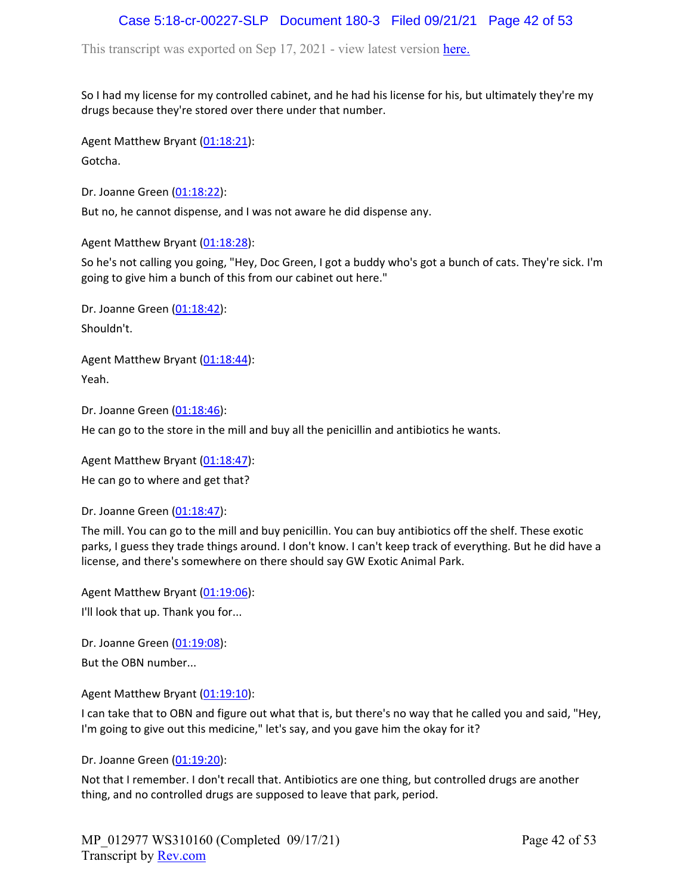# Case 5:18-cr-00227-SLP Document 180-3 Filed 09/21/21 Page 42 of 53

This transcript was exported on Sep 17, 2021 - view latest version [here.](https://www.rev.com/transcript-editor/Edit?token=I33MB_RoV1FwOoHBZ0vXCiw9XFf7Kdljsv8wmKDhXSlbDZV1-muO_uXdeLk3bhrqvxSEUBmRHZUHjbZyoStIj4NIjiQ&loadFrom=DocumentHeaderDeepLink)

So I had my license for my controlled cabinet, and he had his license for his, but ultimately they're my drugs because they're stored over there under that number.

Agent Matthew Bryant ([01:18:21](https://www.rev.com/transcript-editor/Edit?token=KsllJES2EDlmTCwK1J9puwRP2SJJVpfgrxo4bTXkJn64f6tgFghSEz7fAxEjoXV5ByijLA2iVRYPaoWBIzolSPgG63A&loadFrom=DocumentDeeplink&ts=4701.84)): Gotcha.

Dr. Joanne Green [\(01:18:22\)](https://www.rev.com/transcript-editor/Edit?token=fF3ruJicE7GVT98qTcdpUh4e3CpTRDZIJymXCJK4zKLbNsW8uSxShMdQ9gv5_wwhPK_UWM6RIAXx7yETbksDsG8r6Rs&loadFrom=DocumentDeeplink&ts=4702.96):

But no, he cannot dispense, and I was not aware he did dispense any.

Agent Matthew Bryant ([01:18:28](https://www.rev.com/transcript-editor/Edit?token=C-J6Psn7d7nKfaaj6oi_OzyUtYlnWYViTACJarjIID1jtSSYTLqEyqIR3UzBxVS4ucv_krLaX_INSupS4TnhPKdp96U&loadFrom=DocumentDeeplink&ts=4708.98)):

So he's not calling you going, "Hey, Doc Green, I got a buddy who's got a bunch of cats. They're sick. I'm going to give him a bunch of this from our cabinet out here."

Dr. Joanne Green [\(01:18:42\)](https://www.rev.com/transcript-editor/Edit?token=arOe7twS7aVOQ6Ls-RUVAWmbQGofGseoUWdFOCmBqxcdPZ8e22xdd3TUZce50fuLOJ6g2gjYHv2B9VyQTOYbhRZ76FY&loadFrom=DocumentDeeplink&ts=4722.12): Shouldn't.

Agent Matthew Bryant ([01:18:44](https://www.rev.com/transcript-editor/Edit?token=UU2FiAUTZHjvAEDF_Eu_cAq11w5gzi_eKtJn1sBBlQwpuHSc7hXPnSKJSH_jL6geHQSlAcziWJ4T58xK9cAVpxWqNY8&loadFrom=DocumentDeeplink&ts=4724.14)): Yeah.

Dr. Joanne Green [\(01:18:46\)](https://www.rev.com/transcript-editor/Edit?token=Ql37jwNcmqvvuqW6RPF9gGd7PI974r-xGqeelRmDzoA5PwgpNNB_xKQgRAeKvWwt8T6BhMcI0OlayRHvVtyVPJSavy8&loadFrom=DocumentDeeplink&ts=4726.47):

He can go to the store in the mill and buy all the penicillin and antibiotics he wants.

Agent Matthew Bryant ([01:18:47](https://www.rev.com/transcript-editor/Edit?token=0Ll5raksZQncovEqF94TByYvxDAkjqPhOufgCM4eUkaU3v-n3iNWK7pu_-OYJtpehFJMw-0v9C3b_c7V3HZfv-dDcPY&loadFrom=DocumentDeeplink&ts=4727.35)):

He can go to where and get that?

Dr. Joanne Green [\(01:18:47\)](https://www.rev.com/transcript-editor/Edit?token=mGz5_kMo4Dh-501OLQVDqam8eVACCEh25hLawR4SF4PeEpedosxxpPebIWbHKb7OWPn2B2gDOUmWe7p_eRlJ0q3HEcM&loadFrom=DocumentDeeplink&ts=4727.35):

The mill. You can go to the mill and buy penicillin. You can buy antibiotics off the shelf. These exotic parks, I guess they trade things around. I don't know. I can't keep track of everything. But he did have a license, and there's somewhere on there should say GW Exotic Animal Park.

Agent Matthew Bryant ([01:19:06](https://www.rev.com/transcript-editor/Edit?token=y9VN-AVsENs6hLRJhg58DQKpG0wQVhcDg1TEkiGVPJoi98iCYzcfPLxRq7QGG3gx17FaYqs7S1TXT_PLgjL2MgB4tlo&loadFrom=DocumentDeeplink&ts=4746.26)): I'll look that up. Thank you for...

Dr. Joanne Green [\(01:19:08\)](https://www.rev.com/transcript-editor/Edit?token=giBp3vLyxOOt_TNOjLW9mqbqbhAEEDWaOhCVFKIle38c0fOggdJ2JGieejjJkHakMFLZ6OZF4b_kwwLFZh38QXANpxY&loadFrom=DocumentDeeplink&ts=4748.74): But the OBN number...

Agent Matthew Bryant ([01:19:10](https://www.rev.com/transcript-editor/Edit?token=NROCDAW-KFJJFojc-hHXd_9kNVJelBRRiJlghU_Zb_zMlyiMiyA4iN43KL1p4PhbJ1aaVQHosMJIa1aqWbje2zh9KoQ&loadFrom=DocumentDeeplink&ts=4750.8)):

I can take that to OBN and figure out what that is, but there's no way that he called you and said, "Hey, I'm going to give out this medicine," let's say, and you gave him the okay for it?

Dr. Joanne Green [\(01:19:20\)](https://www.rev.com/transcript-editor/Edit?token=e2H4PmrNMgVHooFSto63aOFAReaffsTp6JnR8ncdl-6KDbDs4os0moUXUuI4SfgZ3cOhzUZ1J8K6ThAbNCq1bZNt0FI&loadFrom=DocumentDeeplink&ts=4760.76):

Not that I remember. I don't recall that. Antibiotics are one thing, but controlled drugs are another thing, and no controlled drugs are supposed to leave that park, period.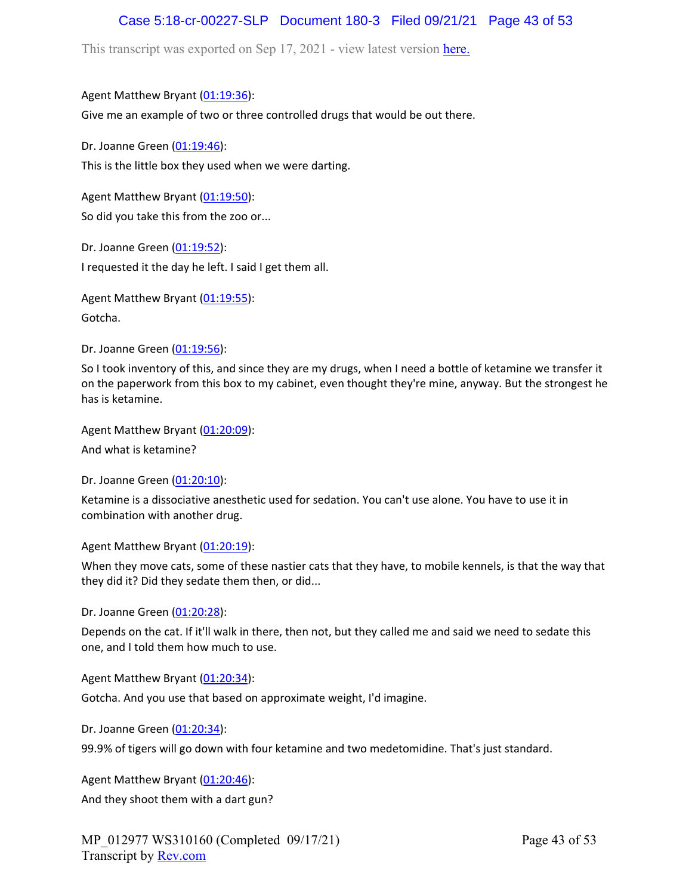# Case 5:18-cr-00227-SLP Document 180-3 Filed 09/21/21 Page 43 of 53

This transcript was exported on Sep 17, 2021 - view latest version [here.](https://www.rev.com/transcript-editor/Edit?token=I33MB_RoV1FwOoHBZ0vXCiw9XFf7Kdljsv8wmKDhXSlbDZV1-muO_uXdeLk3bhrqvxSEUBmRHZUHjbZyoStIj4NIjiQ&loadFrom=DocumentHeaderDeepLink)

### Agent Matthew Bryant ([01:19:36](https://www.rev.com/transcript-editor/Edit?token=BNLDIdmrXq4crcS4n2UJydn6QR7VD1iu3tu28lMKoyQqu-CKjuGuuKuwJoXBGlOjwCwX2XQgmTnVt9Yxjy61L91rDq0&loadFrom=DocumentDeeplink&ts=4776.91)):

Give me an example of two or three controlled drugs that would be out there.

Dr. Joanne Green [\(01:19:46\)](https://www.rev.com/transcript-editor/Edit?token=WNLzQmOo7pFCupmceMHQcN3jpMUDjjT42i13RoJqERCZrOtAqen0ajPLiKMmf6F6xc66Kl6B9VSN1gm8eykUJspIO_k&loadFrom=DocumentDeeplink&ts=4786.33): This is the little box they used when we were darting.

Agent Matthew Bryant ([01:19:50](https://www.rev.com/transcript-editor/Edit?token=I4NScJAOGlzGgUMcnGVhDr5uVszQ0fS77S66xMt7G0IZZxAAJl3RHz0QDgxPSrSaSLIeJLkcPonJYhbSiM6YTgJaMGU&loadFrom=DocumentDeeplink&ts=4790.35)): So did you take this from the zoo or...

Dr. Joanne Green [\(01:19:52\)](https://www.rev.com/transcript-editor/Edit?token=BEKkDl5nILuLg7u1Zu86NU-VlfXqryPfuc1QGGeIipIwTi6RtYgX8Eq8ugvPLJkLJqCHatodll_ujqUaGOvk_f_X_II&loadFrom=DocumentDeeplink&ts=4792.68): I requested it the day he left. I said I get them all.

Agent Matthew Bryant ([01:19:55](https://www.rev.com/transcript-editor/Edit?token=z_NpG_c8SbxvCOrTYoKJXqKE1cz-Up3Eg9QyYKdX0EdMHgaaTtYCSMKLBC5WkWwEj1mnnLFOyRY2I79cxl1FKj9whW4&loadFrom=DocumentDeeplink&ts=4795.94)):

Gotcha.

Dr. Joanne Green [\(01:19:56\)](https://www.rev.com/transcript-editor/Edit?token=2ty7vb9344_KpXAt7ua_wFnZUOKx5KV0lQn4cDH_9kI7naJKOf9SNDFHlIeXq1Dp40Xe3Lc02GGEfmlpMIH4G7ti2Qk&loadFrom=DocumentDeeplink&ts=4796.63):

So I took inventory of this, and since they are my drugs, when I need a bottle of ketamine we transfer it on the paperwork from this box to my cabinet, even thought they're mine, anyway. But the strongest he has is ketamine.

Agent Matthew Bryant ([01:20:09](https://www.rev.com/transcript-editor/Edit?token=qZ5t-fibTLT2DhhxnbvsgujYjuKJqXdwuw-VH-RTbJCkutheMzN7yfN-to7uYvIPJeixUU1YRhKCy4mXg9fvoCutcp0&loadFrom=DocumentDeeplink&ts=4809.23)):

And what is ketamine?

Dr. Joanne Green [\(01:20:10\)](https://www.rev.com/transcript-editor/Edit?token=wbi0lUTxNPIQzAttuDPyLMt12flrC7htmiL_-7Iz7_qx4GHvyslpfq_AkzfDM0oNpP_U3oC4cXlG-thSk5k2qBNygxQ&loadFrom=DocumentDeeplink&ts=4810.69):

Ketamine is a dissociative anesthetic used for sedation. You can't use alone. You have to use it in combination with another drug.

Agent Matthew Bryant ([01:20:19](https://www.rev.com/transcript-editor/Edit?token=r-gKOXbtlravyleXRHzBolan6hjh9qkES5U_314gVZlW-hidteg-tYfL3XoVf-5bNMqoPUK6AqrbIK9izAK3Uglew80&loadFrom=DocumentDeeplink&ts=4819.34)):

When they move cats, some of these nastier cats that they have, to mobile kennels, is that the way that they did it? Did they sedate them then, or did...

Dr. Joanne Green [\(01:20:28\)](https://www.rev.com/transcript-editor/Edit?token=xnf2yWhDkFz37pT_AIFddB517DxWZU3WuoMtsCrpOogZ6MvvDNIhrVZ6oupkbps9oH4Frt2t_yFhv432DfkypivrNOc&loadFrom=DocumentDeeplink&ts=4828.29):

Depends on the cat. If it'll walk in there, then not, but they called me and said we need to sedate this one, and I told them how much to use.

Agent Matthew Bryant ([01:20:34](https://www.rev.com/transcript-editor/Edit?token=IvS_6YcktAqv9RZnNhnSeQTOFIFEqyJAnk5ixotHzunfu_SfJXnWfHufCDDsptQqFh0j8jg6lphnV3iRT54W3eDA_co&loadFrom=DocumentDeeplink&ts=4834.42)):

Gotcha. And you use that based on approximate weight, I'd imagine.

Dr. Joanne Green [\(01:20:34\)](https://www.rev.com/transcript-editor/Edit?token=hOzAg0NVcJzcjg-nxX62H3QMK6ctQ79CzzmTAIjqyXiGu7_7J9DwezDeXRJCM8gQvgB4cG3f_TuAQRFK5yRtNtUDE5w&loadFrom=DocumentDeeplink&ts=4834.44):

99.9% of tigers will go down with four ketamine and two medetomidine. That's just standard.

Agent Matthew Bryant ([01:20:46](https://www.rev.com/transcript-editor/Edit?token=J_Y83nZm4J2EKwZyBgVPKyjkw_YAtt1rU_Ug01nnzqXTO02RVKLAAJIaXIw-PkHSY3bVcodIerJYrOcTbYZanPWZLMI&loadFrom=DocumentDeeplink&ts=4846.29)): And they shoot them with a dart gun?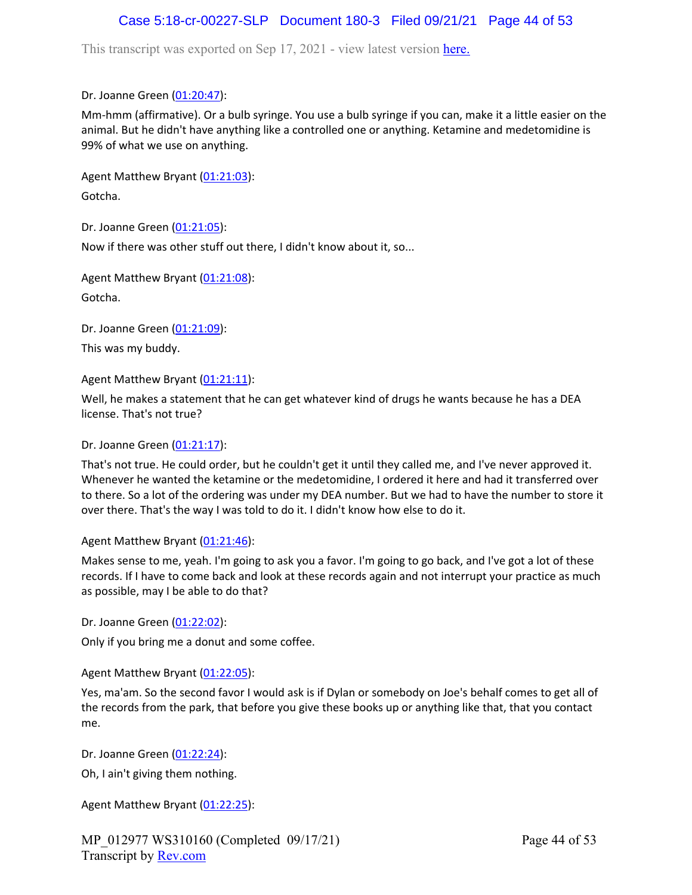# Case 5:18-cr-00227-SLP Document 180-3 Filed 09/21/21 Page 44 of 53

This transcript was exported on Sep 17, 2021 - view latest version [here.](https://www.rev.com/transcript-editor/Edit?token=I33MB_RoV1FwOoHBZ0vXCiw9XFf7Kdljsv8wmKDhXSlbDZV1-muO_uXdeLk3bhrqvxSEUBmRHZUHjbZyoStIj4NIjiQ&loadFrom=DocumentHeaderDeepLink)

Dr. Joanne Green [\(01:20:47\)](https://www.rev.com/transcript-editor/Edit?token=ns_jvriMOVdo_AtyV7kDPAD0ZvW7zHi-p3Dajc9G51NoLws9krETqksli91DmtDJnIhAAhYnwrnWhVhN-j1uz_tx8Zk&loadFrom=DocumentDeeplink&ts=4847.7):

Mm-hmm (affirmative). Or a bulb syringe. You use a bulb syringe if you can, make it a little easier on the animal. But he didn't have anything like a controlled one or anything. Ketamine and medetomidine is 99% of what we use on anything.

Agent Matthew Bryant ([01:21:03](https://www.rev.com/transcript-editor/Edit?token=wM81e1AotUkK6o9YI_j-0XSbvWsX22Tcvqd0Uaqvuy6oSwiYG0QXYzM5TGkrBM2K4WMo0FrzxxS9GYR_biFgSJcqF_M&loadFrom=DocumentDeeplink&ts=4863.66)): Gotcha.

Dr. Joanne Green [\(01:21:05\)](https://www.rev.com/transcript-editor/Edit?token=Q9mlDvgs__Is8QfCAqMqwjEip8NoJxds397E3USBoz8Wio8ratYPgrWINHjpwfflT9GwdoXFOCV_MKZC3R-FPpbhFUs&loadFrom=DocumentDeeplink&ts=4865.83): Now if there was other stuff out there, I didn't know about it, so...

Agent Matthew Bryant ([01:21:08](https://www.rev.com/transcript-editor/Edit?token=cq_nliO2SFsX0k1BFRYeR79q5dhIXuf4nfltw7Xw6TBay9Zgpya7Kox1K4wN0PleyK2zRHTYvI3cjPBSE6cfb0PD_Jk&loadFrom=DocumentDeeplink&ts=4868.76)): Gotcha.

Dr. Joanne Green [\(01:21:09\)](https://www.rev.com/transcript-editor/Edit?token=cTzy8i2EVgbTstxceOnIvcqEPxGu6_zKj28rbfCYUvzqAvn0iulD5tvyQqmfJybCvLTMZzgHWQte-NPqZ3rWB9wbxRk&loadFrom=DocumentDeeplink&ts=4869.6): This was my buddy.

Agent Matthew Bryant ([01:21:11](https://www.rev.com/transcript-editor/Edit?token=etmRNwJxhrLAEaAy2DnibSR_yqxE9OGA4GITSRkjv62_qKFfhZFDc3l0u-jcfN6Ud-GBkMvYvmmBKAdqX62GNIOA_1Y&loadFrom=DocumentDeeplink&ts=4871.43)):

Well, he makes a statement that he can get whatever kind of drugs he wants because he has a DEA license. That's not true?

### Dr. Joanne Green [\(01:21:17\)](https://www.rev.com/transcript-editor/Edit?token=y42foRn2ZcFv1u7JQMwHqtWWZcZdCmSRpt1Mw3OjXWMKggxayuQBN3FnR4KdWzvcFApmo3IpD9ZfhhiSzKWr2iJkduk&loadFrom=DocumentDeeplink&ts=4877.26):

That's not true. He could order, but he couldn't get it until they called me, and I've never approved it. Whenever he wanted the ketamine or the medetomidine, I ordered it here and had it transferred over to there. So a lot of the ordering was under my DEA number. But we had to have the number to store it over there. That's the way I was told to do it. I didn't know how else to do it.

#### Agent Matthew Bryant ([01:21:46](https://www.rev.com/transcript-editor/Edit?token=OZwlnvFrgLZNejLpln1vmH-fCiYPcdEORDwoOEotBy_gji9TjCHzBo9ajSb66ietHGyzKi9cHHn2Rj-43inspyC_0wQ&loadFrom=DocumentDeeplink&ts=4906.07)):

Makes sense to me, yeah. I'm going to ask you a favor. I'm going to go back, and I've got a lot of these records. If I have to come back and look at these records again and not interrupt your practice as much as possible, may I be able to do that?

Dr. Joanne Green [\(01:22:02\)](https://www.rev.com/transcript-editor/Edit?token=2cC-WgPnv43CtYIhDYbPYfxFH-WYE0UJxEjEw_2A8BaA0eS-H-demrcUCSl8bC9SaRksYK5jHR__-UKNkojqI3VIeyA&loadFrom=DocumentDeeplink&ts=4922.47):

Only if you bring me a donut and some coffee.

Agent Matthew Bryant ([01:22:05](https://www.rev.com/transcript-editor/Edit?token=xNytSwr5eRacI4MwBVoZIX2hYOS2sm_v6fEMT8qLnrw_6WxHXgJFYVWc8iIeRvTUYTzN-AdDYayu6zcQgTlyOiBBreU&loadFrom=DocumentDeeplink&ts=4925.42)):

Yes, ma'am. So the second favor I would ask is if Dylan or somebody on Joe's behalf comes to get all of the records from the park, that before you give these books up or anything like that, that you contact me.

Dr. Joanne Green [\(01:22:24\)](https://www.rev.com/transcript-editor/Edit?token=xojRdKKSIjjA1PYqERnREcEEHryc8-YnaOheyg1xhW4MBGBW847vs4DPmh7mrhPE3I7EA_rUvu9rkhPPmrKoHq_Tj00&loadFrom=DocumentDeeplink&ts=4944.61):

Oh, I ain't giving them nothing.

Agent Matthew Bryant ([01:22:25](https://www.rev.com/transcript-editor/Edit?token=bKP8yAV_1WqeZqMntn1MsgdMfCLU08A5mD2qZcvjeDI3Br8hdDJJIkFeu7BD3KxoY79-slg3-7GeGRLJD1cvMJr33yE&loadFrom=DocumentDeeplink&ts=4945.13)):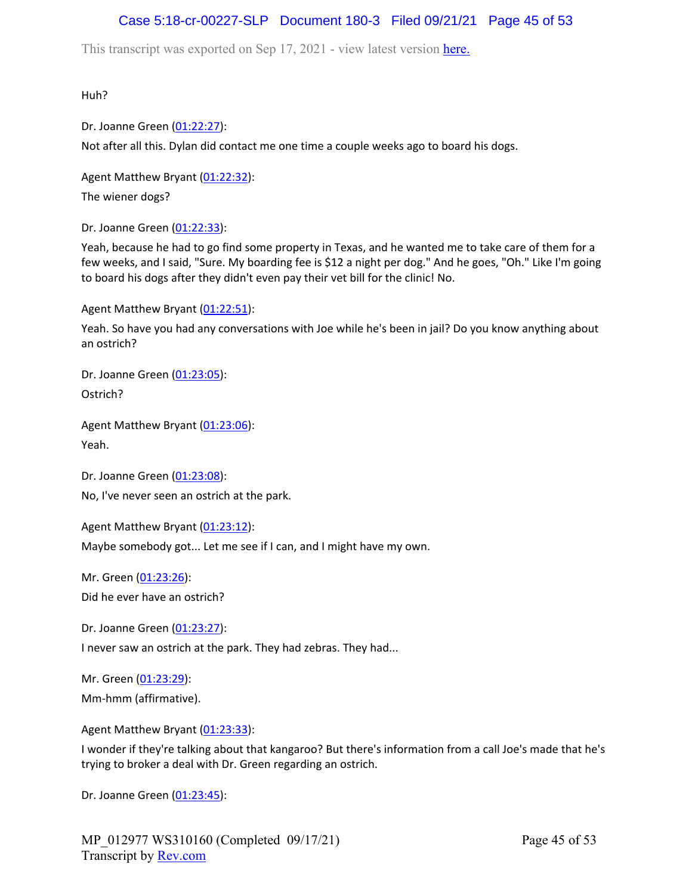# Case 5:18-cr-00227-SLP Document 180-3 Filed 09/21/21 Page 45 of 53

This transcript was exported on Sep 17, 2021 - view latest version [here.](https://www.rev.com/transcript-editor/Edit?token=I33MB_RoV1FwOoHBZ0vXCiw9XFf7Kdljsv8wmKDhXSlbDZV1-muO_uXdeLk3bhrqvxSEUBmRHZUHjbZyoStIj4NIjiQ&loadFrom=DocumentHeaderDeepLink)

Huh?

Dr. Joanne Green [\(01:22:27\)](https://www.rev.com/transcript-editor/Edit?token=5bp7pZqBT5JIEK_YVa0qDjZZE_DzO8C-HSHRJTe97F-shSOB-BNauAVjqxpGFyT1XU__3C6zwwma1rKwH9u7xSDsPIk&loadFrom=DocumentDeeplink&ts=4947.74):

Not after all this. Dylan did contact me one time a couple weeks ago to board his dogs.

Agent Matthew Bryant ([01:22:32](https://www.rev.com/transcript-editor/Edit?token=PisNvjo1y6AG1y3Vt0uoxSscgG1wAxICUkBY08qIT0fLo15-qjmOv2ATaoI5MD_MMd4iZ-YRo9dhg8H1L5QccsOmKdA&loadFrom=DocumentDeeplink&ts=4952.65)): The wiener dogs?

Dr. Joanne Green [\(01:22:33\)](https://www.rev.com/transcript-editor/Edit?token=ITxkjKuUehbKDb6QfDY-ThBvqzxzP1vypmJBWoD7GAAzwbsibAgNRRxatoYgsvvpKondatbzBHDt4PySJmCKzHN5D2s&loadFrom=DocumentDeeplink&ts=4953.94):

Yeah, because he had to go find some property in Texas, and he wanted me to take care of them for a few weeks, and I said, "Sure. My boarding fee is \$12 a night per dog." And he goes, "Oh." Like I'm going to board his dogs after they didn't even pay their vet bill for the clinic! No.

Agent Matthew Bryant ([01:22:51](https://www.rev.com/transcript-editor/Edit?token=iUc8qd7O_cC3oAE_uyrK8M5pErrBXry8EyfFrsUgxklOiH7PEJL9SWChib0Z7h5yNzgfRjEfTPzeenLNfdRzqoo2J_w&loadFrom=DocumentDeeplink&ts=4971.94)):

Yeah. So have you had any conversations with Joe while he's been in jail? Do you know anything about an ostrich?

Dr. Joanne Green [\(01:23:05\)](https://www.rev.com/transcript-editor/Edit?token=xssJmYpHhnlXaAMCSW5BbQN4sz0qiwI0sH8v_TogCAcUegJg-9WUvHD36DEEKW1Gy_1MCaiq_ik13ZNAxaAMbcgb_Xo&loadFrom=DocumentDeeplink&ts=4985.05): Ostrich?

Agent Matthew Bryant ([01:23:06](https://www.rev.com/transcript-editor/Edit?token=9ByLRhidxrW23toLIGs44WDMz1fUlTTjyY60VeJSGIw9Y5MFobr5grNDc7dj1b_eva9YkrwQFev95WYSVVxQKPfwnOQ&loadFrom=DocumentDeeplink&ts=4986.15)): Yeah.

Dr. Joanne Green [\(01:23:08\)](https://www.rev.com/transcript-editor/Edit?token=Q54-Pw2BF-zDwsaI4AW_T8QPexrSXEs-iyuMq3kW3kpifIkeW4cupk1i6hRWNOBfuIA8ggaXQjFL2gfKJFA2PtwMgWc&loadFrom=DocumentDeeplink&ts=4988.16):

No, I've never seen an ostrich at the park.

Agent Matthew Bryant ([01:23:12](https://www.rev.com/transcript-editor/Edit?token=HY-7At07CLlOXqBuXBZG-QQUmboasQqC_fwpzB584I7Cn3DuT1egtXP5mAcVQz0HU6v-N8uza_md7MW8J2ISDvv475M&loadFrom=DocumentDeeplink&ts=4992.06)):

Maybe somebody got... Let me see if I can, and I might have my own.

Mr. Green ([01:23:26](https://www.rev.com/transcript-editor/Edit?token=ZR1drV3O2R2dIroLI47zFPm8ys868VPDUYQhalII9dWbdsuzncf4wkjPJ7nkfqYx1sx2LcqSzlWXWKXq7siH77Asj3I&loadFrom=DocumentDeeplink&ts=5006.04)): Did he ever have an ostrich?

Dr. Joanne Green [\(01:23:27\)](https://www.rev.com/transcript-editor/Edit?token=n1gWciAIS61Ix4j-yNDad5zKJS7J_HMM55VBgAFWkgTKpOj_MrCxodTczS0B1aVHK17-553ldgqjblB8V7h8K33F7hU&loadFrom=DocumentDeeplink&ts=5007.21):

I never saw an ostrich at the park. They had zebras. They had...

Mr. Green ([01:23:29](https://www.rev.com/transcript-editor/Edit?token=J83ZmLmbdsiacw4A4XTaj_5KwvlrlBfLi21opn2wAkStAIPMy90eBV79VRP41iV9QhMKsWZpfE9YEN4Dl3hSEz9Q6Kc&loadFrom=DocumentDeeplink&ts=5009.84)): Mm-hmm (affirmative).

Agent Matthew Bryant ([01:23:33](https://www.rev.com/transcript-editor/Edit?token=-dxN8yBcRPwEs9fizz_wkRHHL7FCiL58z-jmsQTcIuJVNpjyXTy-q4G5OPprFEA7MwxwuVWz46KIIURlRlgcSUgwPsE&loadFrom=DocumentDeeplink&ts=5013.49)):

I wonder if they're talking about that kangaroo? But there's information from a call Joe's made that he's trying to broker a deal with Dr. Green regarding an ostrich.

Dr. Joanne Green [\(01:23:45\)](https://www.rev.com/transcript-editor/Edit?token=sDH1cKkH4ZYkIyThSL7fZNvKmmq11FrB7ihnhBNJ6G4zQGKP0AADS78enjBZiEK8NqdqITkQmbVJGxoUaPAQshYAa4U&loadFrom=DocumentDeeplink&ts=5025.34):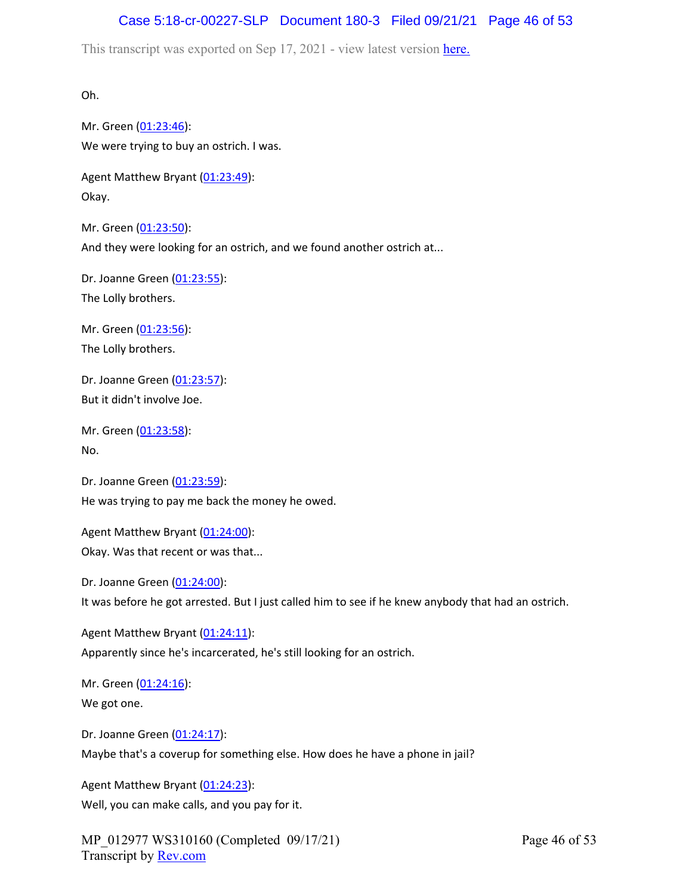# Case 5:18-cr-00227-SLP Document 180-3 Filed 09/21/21 Page 46 of 53

This transcript was exported on Sep 17, 2021 - view latest version [here.](https://www.rev.com/transcript-editor/Edit?token=I33MB_RoV1FwOoHBZ0vXCiw9XFf7Kdljsv8wmKDhXSlbDZV1-muO_uXdeLk3bhrqvxSEUBmRHZUHjbZyoStIj4NIjiQ&loadFrom=DocumentHeaderDeepLink)

Oh.

Mr. Green ([01:23:46](https://www.rev.com/transcript-editor/Edit?token=lhmDhQYwDVMGJx1n2v1w81xpvrLzln8yjfL1RVNwdS5IXzDE5pO7371l0MINnVPt4S8D2IOLawRCSWR3ZrlmSwZO5Yk&loadFrom=DocumentDeeplink&ts=5026.34)): We were trying to buy an ostrich. I was.

Agent Matthew Bryant ([01:23:49](https://www.rev.com/transcript-editor/Edit?token=cK7gqCdCKugsoKbY9VFK37r46Rlgmtgu1294fd2igFq4MSrwFjofG4shoA2iMZ4OJOhz6ZJXjoQcHk4JlTCYBjRPWKI&loadFrom=DocumentDeeplink&ts=5029.56)): Okay.

Mr. Green ([01:23:50](https://www.rev.com/transcript-editor/Edit?token=Q3Np8PnsY6RryvEQhOW0ApL0s6A5AGs0sUoM9ttuWHr7hck62lmiMlmh6Tlv-xz4qZnUZC1YgJElc5RFo3B9iHEbhQk&loadFrom=DocumentDeeplink&ts=5030.06)): And they were looking for an ostrich, and we found another ostrich at...

Dr. Joanne Green [\(01:23:55\)](https://www.rev.com/transcript-editor/Edit?token=IFIxi1jSL3nBcN5H5MnlDF1B7pTzrF9-waPQmo5bNqIENpomXeS-ooTyixl3ArTi-2tsdGHrRUyJ_rgJtWZXfunBXvg&loadFrom=DocumentDeeplink&ts=5035.66): The Lolly brothers.

Mr. Green ([01:23:56](https://www.rev.com/transcript-editor/Edit?token=G3ULHm1UL6NZCcnLfw2btxrO8sM_8tu-9x7sq__YX_K_u-bO7v_JsAHP2cYe3bUNoIIl3Yduu0uNT676yDJ2-09ZwH8&loadFrom=DocumentDeeplink&ts=5036.33)): The Lolly brothers.

Dr. Joanne Green [\(01:23:57\)](https://www.rev.com/transcript-editor/Edit?token=cyTzM0wF5_ULMAqfk-L9hm95VxbZO7pG1Y1MYRL1kWAzP6xkEscw-WZLOtEeGip9Jk9cktwQJkpS3SoEs_O6AJZ6L7s&loadFrom=DocumentDeeplink&ts=5037.66): But it didn't involve Joe.

Mr. Green ([01:23:58](https://www.rev.com/transcript-editor/Edit?token=pihS_rbSZQe-MT4R9WYnC9WcOUNI4YQVFK4eWUSlPa0OFqB1s5W0oWr0A1WVgDqBgAfQzdvkIbLUKZfbRjpeSzDdKa0&loadFrom=DocumentDeeplink&ts=5038.8)): No.

Dr. Joanne Green [\(01:23:59\)](https://www.rev.com/transcript-editor/Edit?token=uqLjcgjetCcRRYDAHB3IfTk7-ifHccLFYWzRkBEVQqFATxSzO7CUaMQ40j906XvspZjNCRJEYjtGL0xJ4d9E93w5xNs&loadFrom=DocumentDeeplink&ts=5039.43): He was trying to pay me back the money he owed.

Agent Matthew Bryant ([01:24:00](https://www.rev.com/transcript-editor/Edit?token=6dApIhQx4CH1Xxy-558MG2mlt022fe6_CSnsaeypvurUArzUTXmKqxZUU_6LHJSUCFPJLjnJO020rFXVxgG7TpFEF6Q&loadFrom=DocumentDeeplink&ts=5040.73)): Okay. Was that recent or was that...

Dr. Joanne Green [\(01:24:00\)](https://www.rev.com/transcript-editor/Edit?token=V480Lv3K-Ecu_Mn6hDp7-no4mQ1Du2ncIBxzJLNd4hMYKM624RlIm7iUwma1nG55EjMAxou5iRfezee_LSa5T_ZY6_E&loadFrom=DocumentDeeplink&ts=5040.73):

It was before he got arrested. But I just called him to see if he knew anybody that had an ostrich.

Agent Matthew Bryant ([01:24:11](https://www.rev.com/transcript-editor/Edit?token=9E3_MvF5nN6OEd8zXJxTl79DA9V5h6J5thPx649QOAXOqyg_y5bZI9QDuIc5QPLk1XZ7vuZoXLQtbBgB96V8vjMIyCs&loadFrom=DocumentDeeplink&ts=5051.75)): Apparently since he's incarcerated, he's still looking for an ostrich.

Mr. Green ([01:24:16](https://www.rev.com/transcript-editor/Edit?token=paKp0K3eFLWkqX6hs6sCijozNOoOcrFOrFH9GcMNWInoua7oHgv2gkSnxj1YFXpf8M4cY_832npES_iHv_ljB1wvsJo&loadFrom=DocumentDeeplink&ts=5056.58)): We got one.

Dr. Joanne Green [\(01:24:17\)](https://www.rev.com/transcript-editor/Edit?token=sBa9RSQYGXo3lSR_D-NM5HEfmzwG9Bi2sIYqbb2SLBBqmL5HYlvlj-PykiWzNnpd1R4BtkgBsb6JSzdY8oK19uaeptI&loadFrom=DocumentDeeplink&ts=5057.21): Maybe that's a coverup for something else. How does he have a phone in jail?

Agent Matthew Bryant ([01:24:23](https://www.rev.com/transcript-editor/Edit?token=0BBECbSMsFYm65Dfg91G8yYRTfUvMh9tj-MSLDlJyaw0eyO_-VaH7YbiKEU_A9HaqpokLMpLPe2NUClvwOyH2Sp5s5U&loadFrom=DocumentDeeplink&ts=5063.3)): Well, you can make calls, and you pay for it.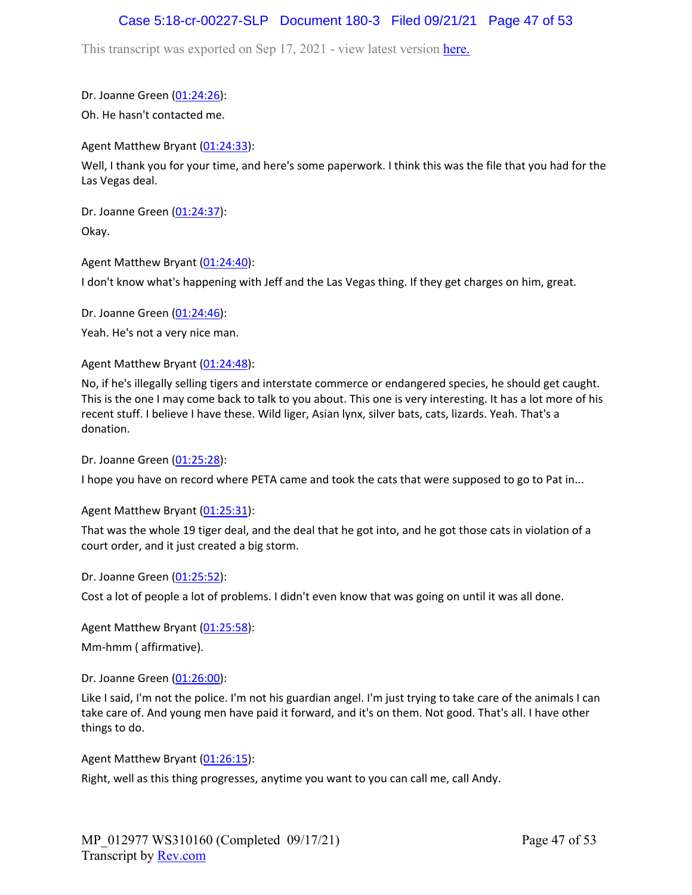## Case 5:18-cr-00227-SLP Document 180-3 Filed 09/21/21 Page 47 of 53

This transcript was exported on Sep 17, 2021 - view latest version [here.](https://www.rev.com/transcript-editor/Edit?token=I33MB_RoV1FwOoHBZ0vXCiw9XFf7Kdljsv8wmKDhXSlbDZV1-muO_uXdeLk3bhrqvxSEUBmRHZUHjbZyoStIj4NIjiQ&loadFrom=DocumentHeaderDeepLink)

Dr. Joanne Green [\(01:24:26\)](https://www.rev.com/transcript-editor/Edit?token=JmZv-wBqVJ7ss3yFCK5NuS3ESkBn3ZHaI-w5SbsVGQzcFPvd-fg8XA7SarP9VjK6yVGJ20XDImWS3vDGXsaX8JMsRrw&loadFrom=DocumentDeeplink&ts=5066.68): Oh. He hasn't contacted me.

Agent Matthew Bryant ([01:24:33](https://www.rev.com/transcript-editor/Edit?token=QqmKoZN6SRzfX91UZlYmYGyjZpDBkRYXM8d2bHqWIdv5zDXadEUS8wnbuHP1aliC0oWECQ5KQ0WF6XT7GbETIdcNNlo&loadFrom=DocumentDeeplink&ts=5073.17)):

Well, I thank you for your time, and here's some paperwork. I think this was the file that you had for the Las Vegas deal.

Dr. Joanne Green [\(01:24:37\)](https://www.rev.com/transcript-editor/Edit?token=R1QhyJ2BM5lheLtTJxk7ikvX4yzU2gk1n6FaxbmqVRUGG9HyfYig1xybybndoIO0WCmU9BndLwe2PLh_104QReUroxE&loadFrom=DocumentDeeplink&ts=5077.99): Okay.

Agent Matthew Bryant ([01:24:40](https://www.rev.com/transcript-editor/Edit?token=eL2VbCovxPvI0sRXeEk_c61P8cEuz21XR9NTmRGS9znAgYWAQI8wkqV7L3S-RwXY7I-bg0yMd4o0VgzmALRYiss_Xhs&loadFrom=DocumentDeeplink&ts=5080.26)):

I don't know what's happening with Jeff and the Las Vegas thing. If they get charges on him, great.

Dr. Joanne Green [\(01:24:46\)](https://www.rev.com/transcript-editor/Edit?token=jxqAO-6eb1q8kFeETcdTTLqYiZzpuMSDtcEeE40fCkq_PDRrcORnfgBw2HK57ok8Qp0cxg6A0PxndMp_hu_D0Ve__gY&loadFrom=DocumentDeeplink&ts=5086.93):

Yeah. He's not a very nice man.

Agent Matthew Bryant ([01:24:48](https://www.rev.com/transcript-editor/Edit?token=p0yvGHnKspuhtqBMMd8cda6m-VfJ39ItYUndOL604gPygM4NKbFohnyqaoHt1kUeSJeUto-wVPAYkrTtcTagOAvwLFs&loadFrom=DocumentDeeplink&ts=5088.88)):

No, if he's illegally selling tigers and interstate commerce or endangered species, he should get caught. This is the one I may come back to talk to you about. This one is very interesting. It has a lot more of his recent stuff. I believe I have these. Wild liger, Asian lynx, silver bats, cats, lizards. Yeah. That's a donation.

Dr. Joanne Green [\(01:25:28\)](https://www.rev.com/transcript-editor/Edit?token=TQENNWSn_rmSVv1zV6rLI1OWbvDjNJcfVe8Co7F6vrRC3yy30hKqNtcL0FP_vU1gen4mgZY9vjswWl_ErT6F8oFN_iY&loadFrom=DocumentDeeplink&ts=5128.26):

I hope you have on record where PETA came and took the cats that were supposed to go to Pat in...

Agent Matthew Bryant ([01:25:31](https://www.rev.com/transcript-editor/Edit?token=lv_WsJFuBwbR9Sfx-4ktBWpwjWZnZsmJS8zmf0yqvTWrT3IsGZvwC-c7DBVmdU9NoFw8dHMTzBycqngI70PTtDvo9XM&loadFrom=DocumentDeeplink&ts=5131.41)):

That was the whole 19 tiger deal, and the deal that he got into, and he got those cats in violation of a court order, and it just created a big storm.

Dr. Joanne Green [\(01:25:52\)](https://www.rev.com/transcript-editor/Edit?token=U4Um9zD3YF8_NIUWYt2SRccvGw0htgsWmJoVAaX6ETjH-Jd6myuJUCfhixenszIASRr68bTqjf6OQP056ikX8s2G3CY&loadFrom=DocumentDeeplink&ts=5152.26):

Cost a lot of people a lot of problems. I didn't even know that was going on until it was all done.

Agent Matthew Bryant ([01:25:58](https://www.rev.com/transcript-editor/Edit?token=zYNZAST-njZjNYSucXZ7kSCeIug3hiDMyvGRvAO4VpXZkbiEQ-CEsmGoV3LfDSrFRNIosn1dbMUjpPvxiGpUsM-4Nes&loadFrom=DocumentDeeplink&ts=5158.12)): Mm-hmm ( affirmative).

Dr. Joanne Green [\(01:26:00\)](https://www.rev.com/transcript-editor/Edit?token=Ra2KiWqsDb5VxsT9BjLzT-4f9HilCifLXG-ZMRvu2tHefQIxevHtw9I2HjOhUt_P0shRPWUGrRRjUH4747Jz-qKLN0U&loadFrom=DocumentDeeplink&ts=5160.57):

Like I said, I'm not the police. I'm not his guardian angel. I'm just trying to take care of the animals I can take care of. And young men have paid it forward, and it's on them. Not good. That's all. I have other things to do.

Agent Matthew Bryant ([01:26:15](https://www.rev.com/transcript-editor/Edit?token=XUMu2amPDlABTgOOkyE2WkYvv15cV6fbQ0z2FYuGxXvojtMjBSCIX6u0z4FWVX9laHWChtxW9Q9XvO4bZZ30FEwSY-0&loadFrom=DocumentDeeplink&ts=5175.17)):

Right, well as this thing progresses, anytime you want to you can call me, call Andy.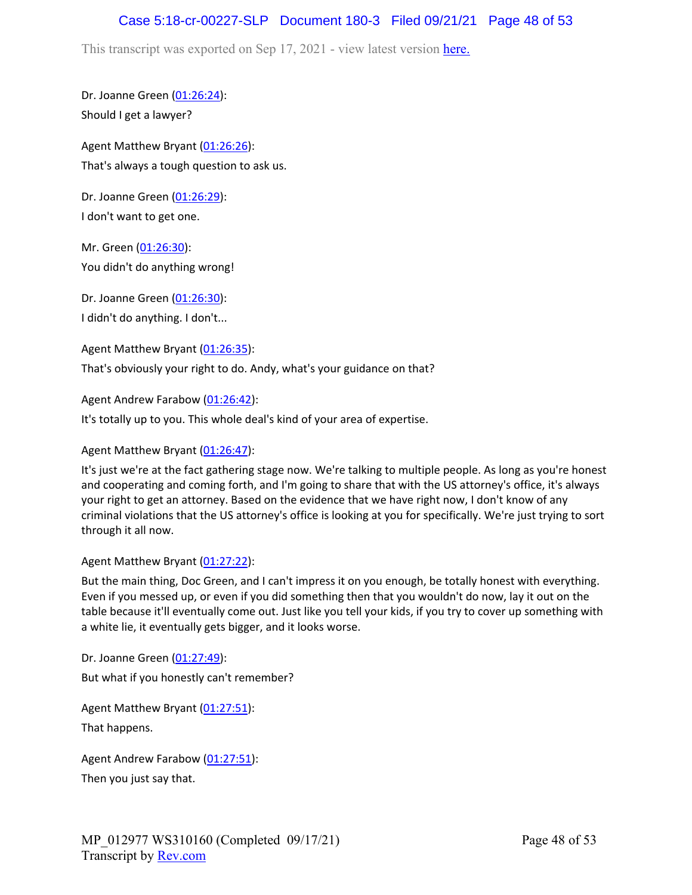## Case 5:18-cr-00227-SLP Document 180-3 Filed 09/21/21 Page 48 of 53

This transcript was exported on Sep 17, 2021 - view latest version [here.](https://www.rev.com/transcript-editor/Edit?token=I33MB_RoV1FwOoHBZ0vXCiw9XFf7Kdljsv8wmKDhXSlbDZV1-muO_uXdeLk3bhrqvxSEUBmRHZUHjbZyoStIj4NIjiQ&loadFrom=DocumentHeaderDeepLink)

Dr. Joanne Green [\(01:26:24\)](https://www.rev.com/transcript-editor/Edit?token=EhxS1YvZYWGpVR0ZX8ToqHVh_JLc9ivfyVZCWPwwr_DIRkzSkC1F0OG0qevRkU9j-Ga8nygzbcUyM5T_58p8AeFOWiA&loadFrom=DocumentDeeplink&ts=5184.32): Should I get a lawyer?

Agent Matthew Bryant ([01:26:26](https://www.rev.com/transcript-editor/Edit?token=AFspIMAIfhK_RdT5QpHEbfkOzbX_ZBa60Lt4v-wWgPoBUpaWtt_e753q4rxMsUqJ3FmpTbvv2NzavBPp9lCCZj90tyo&loadFrom=DocumentDeeplink&ts=5186.88)): That's always a tough question to ask us.

Dr. Joanne Green [\(01:26:29\)](https://www.rev.com/transcript-editor/Edit?token=txKBTNkDYYC3QjRov1NRUiMmqpUZ8CxustZJgdOdmwbtTdbXqs8ZGQysSga-0xcRgHBRK22v9wHAd8Vr60MgVekTA9c&loadFrom=DocumentDeeplink&ts=5189.35): I don't want to get one.

Mr. Green ([01:26:30](https://www.rev.com/transcript-editor/Edit?token=Pis3-5Snevjp3zg--MVRq8B8xEhZHJPTzyo1BGB3frRH6SCvWjPp98NX7DgC8_VxBsYWbnSX3GwSAtN_07YUNRz4c_s&loadFrom=DocumentDeeplink&ts=5190.48)): You didn't do anything wrong!

Dr. Joanne Green [\(01:26:30\)](https://www.rev.com/transcript-editor/Edit?token=PPN0YccNzA8U9SyRnDKdzKaFh8Mr17q_iyr-9IGQSauZ2RzkNiibiy1T0iOFf6aahogDTMHRgbPnA_32MXqXmZYjLqQ&loadFrom=DocumentDeeplink&ts=5190.52): I didn't do anything. I don't...

Agent Matthew Bryant ([01:26:35](https://www.rev.com/transcript-editor/Edit?token=fVUV4VRHzkv6KCRMURgafkXHqPJDqkQogHzpde9Ewz6ehpsHa8WisEylcs0UG1o043j9-BqEKFDbbqytFHcdWBj4vhM&loadFrom=DocumentDeeplink&ts=5195.58)):

That's obviously your right to do. Andy, what's your guidance on that?

Agent Andrew Farabow [\(01:26:42\)](https://www.rev.com/transcript-editor/Edit?token=BB_RP-6xIHGv_HnKPY7pFWiZ43BTaxWuv3rYnT132BXqhM2xD6Az0IXK7E0s2adkkfuJsPmg31MpWfAM7oLMg-w_vkQ&loadFrom=DocumentDeeplink&ts=5202.13):

It's totally up to you. This whole deal's kind of your area of expertise.

### Agent Matthew Bryant ([01:26:47](https://www.rev.com/transcript-editor/Edit?token=NCe6SC-VAhhI9UZ3zI2MB1n-ux2Ihz5nZcYT-E880jm2SuSN3fyXp4Okrtva9NOB1Dc_i_FXN6r_b791YiGERvEXMhs&loadFrom=DocumentDeeplink&ts=5207.56)):

It's just we're at the fact gathering stage now. We're talking to multiple people. As long as you're honest and cooperating and coming forth, and I'm going to share that with the US attorney's office, it's always your right to get an attorney. Based on the evidence that we have right now, I don't know of any criminal violations that the US attorney's office is looking at you for specifically. We're just trying to sort through it all now.

### Agent Matthew Bryant ([01:27:22](https://www.rev.com/transcript-editor/Edit?token=kLX2qFyoZETdVCbwa_GDPL5NIK40_Pe7Sc7fV1QgjEB8VlrWajnfr34jrXS27cYlIixpMp4HUOoZfZCaUSTtEuxPtrI&loadFrom=DocumentDeeplink&ts=5242.67)):

But the main thing, Doc Green, and I can't impress it on you enough, be totally honest with everything. Even if you messed up, or even if you did something then that you wouldn't do now, lay it out on the table because it'll eventually come out. Just like you tell your kids, if you try to cover up something with a white lie, it eventually gets bigger, and it looks worse.

Dr. Joanne Green [\(01:27:49\)](https://www.rev.com/transcript-editor/Edit?token=EKlp5QZ9JJkfIoLOrxZpcrdAvHjQjmgbBkYubZjxgCRdiYpLE5bv60YvexGrO_6mfbUmmJip-jfYDXn3L9ejPNCS6Qk&loadFrom=DocumentDeeplink&ts=5269.3): But what if you honestly can't remember?

Agent Matthew Bryant ([01:27:51](https://www.rev.com/transcript-editor/Edit?token=J0KAZ2aGZlkGyg-p_vcLyun87huMPx4L0PRz9ZDCOV_dY43NMlQcWh739dJ97CIiCuywTqE0SwBOlDOrRTmb_DHSrck&loadFrom=DocumentDeeplink&ts=5271.64)): That happens.

Agent Andrew Farabow [\(01:27:51\)](https://www.rev.com/transcript-editor/Edit?token=_J4hY1NaTkDU9vn0rXbn4PjOO7P49JWAF0fd4xACHIhTzEAw1W1t7aF-iVE6Zgp6JjAmmCzRMvDaghtIPdMAzCiC8Ak&loadFrom=DocumentDeeplink&ts=5271.79): Then you just say that.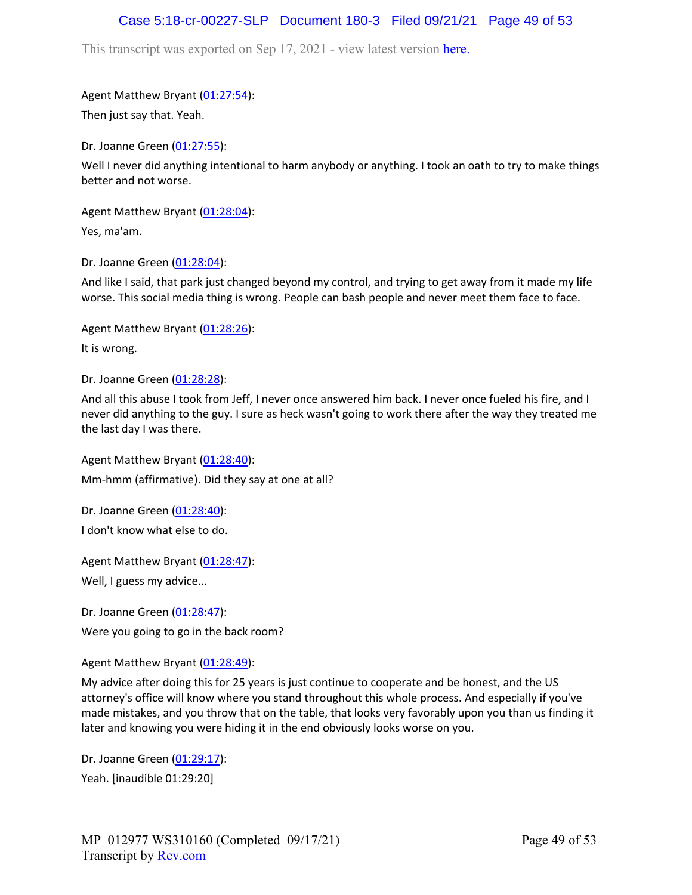### Case 5:18-cr-00227-SLP Document 180-3 Filed 09/21/21 Page 49 of 53

This transcript was exported on Sep 17, 2021 - view latest version [here.](https://www.rev.com/transcript-editor/Edit?token=I33MB_RoV1FwOoHBZ0vXCiw9XFf7Kdljsv8wmKDhXSlbDZV1-muO_uXdeLk3bhrqvxSEUBmRHZUHjbZyoStIj4NIjiQ&loadFrom=DocumentHeaderDeepLink)

Agent Matthew Bryant ([01:27:54](https://www.rev.com/transcript-editor/Edit?token=PL6LdQZ_H5n8dgfOfQixvySUkB3R3mXiBwMIyYHxPnEoW-hKipm3_Hjcy6B--7LA_ECut8SEq6gRB1R8UyMNRUnNdEM&loadFrom=DocumentDeeplink&ts=5274.3)):

Then just say that. Yeah.

Dr. Joanne Green [\(01:27:55\)](https://www.rev.com/transcript-editor/Edit?token=aantJlvw9BtXubAGy5LkYWrIZzqvKa07CQ6gMAgoo7jDjcS8IwdOdk9vqafV28HrqDZ0oQrW4t8uIBpEwKoA3EYAlsE&loadFrom=DocumentDeeplink&ts=5275.54):

Well I never did anything intentional to harm anybody or anything. I took an oath to try to make things better and not worse.

Agent Matthew Bryant ([01:28:04](https://www.rev.com/transcript-editor/Edit?token=a5jZa9F1vVD9x8zISHmvQjrBdVeGRwFT1acKHobjHspe5rqJ2WoOI54TS2nTw8eXuoVwGeuRY03sEY5c-rjn5Re5rqk&loadFrom=DocumentDeeplink&ts=5284.21)):

Yes, ma'am.

Dr. Joanne Green [\(01:28:04\)](https://www.rev.com/transcript-editor/Edit?token=6dFBynpXorTPvUgEFbIOHRY2-8a8i2uQQI8KoExiqxFr0B6FeHSOUbaWj-M5H2zL4UO-jiQB9_22TGHkp5jCZ4URQCU&loadFrom=DocumentDeeplink&ts=5284.24):

And like I said, that park just changed beyond my control, and trying to get away from it made my life worse. This social media thing is wrong. People can bash people and never meet them face to face.

Agent Matthew Bryant ([01:28:26](https://www.rev.com/transcript-editor/Edit?token=qzPL4zs5Tc0ZInS21u635DDSZg1A0sBZL0OcuudoIrJO3pXi_2WIruPkPLc6bmDFc1-46GUYLTpbypgfF88moQ9Y3QQ&loadFrom=DocumentDeeplink&ts=5306.77)): It is wrong.

Dr. Joanne Green [\(01:28:28\)](https://www.rev.com/transcript-editor/Edit?token=ynaHCuWw-sjF7186DMuneR1BNdTtv3EI0VXcYubrEzipDvfm1vr4dbDJ4UaHxH-I7W9ykyAAjc3nYfTKJurjoPSedbY&loadFrom=DocumentDeeplink&ts=5308.43):

And all this abuse I took from Jeff, I never once answered him back. I never once fueled his fire, and I never did anything to the guy. I sure as heck wasn't going to work there after the way they treated me the last day I was there.

Agent Matthew Bryant ([01:28:40](https://www.rev.com/transcript-editor/Edit?token=9TXQL962MDiAcQvbN1WTTilti0PPst0Cpjek0SI7bEGK25PfZ9gLQL-zdgiKAlZD5EiosPJmabkVqFpQJj9jk3l8pIw&loadFrom=DocumentDeeplink&ts=5320.38)): Mm-hmm (affirmative). Did they say at one at all?

Dr. Joanne Green [\(01:28:40\)](https://www.rev.com/transcript-editor/Edit?token=yIkCrvJhN2kfGQGFDzvZ_17_vG2zWeuSWmnq8-U7Mlajf_CqqrNL7XpkFeaWQcGU84ExYBDG03G3uQN2Q4xx1jNGA2o&loadFrom=DocumentDeeplink&ts=5320.66): I don't know what else to do.

Agent Matthew Bryant ([01:28:47](https://www.rev.com/transcript-editor/Edit?token=n1aMIQIUv7isWOVX45hEKF1W0SwzVNQLRaevtsCXGV9haiYF-4q25Ofs1QUIYwtw3Egvnh-SY6r6NVE0Q9gsEr0xZ4M&loadFrom=DocumentDeeplink&ts=5327.02)): Well, I guess my advice...

Dr. Joanne Green [\(01:28:47\)](https://www.rev.com/transcript-editor/Edit?token=Sc_fqaJkR3cVaNEtqrsO08oKiPTKoq2r3Asa6Dk52X0nWYH-NZuUX0TD9grlO9ZXlJzaU1HynSXmIQFO1n_XAS-vjhU&loadFrom=DocumentDeeplink&ts=5327.71): Were you going to go in the back room?

Agent Matthew Bryant ([01:28:49](https://www.rev.com/transcript-editor/Edit?token=QCjCD9dnIN4Jf1o0AdeFW_Vvq0v6ogcVD534gQYNRXspHBHSByOsTdgLcGjRzTjVXBOsoKKEAi9Pk1PhA1fNw_iB8ew&loadFrom=DocumentDeeplink&ts=5329.46)):

My advice after doing this for 25 years is just continue to cooperate and be honest, and the US attorney's office will know where you stand throughout this whole process. And especially if you've made mistakes, and you throw that on the table, that looks very favorably upon you than us finding it later and knowing you were hiding it in the end obviously looks worse on you.

Dr. Joanne Green [\(01:29:17\)](https://www.rev.com/transcript-editor/Edit?token=Gj5c8BT3Ry0CkbWd82bGvNuHtSA7ll-mCRP42ZoqKBdWal1hJuiFZNmmd1q4MPlQR5LSf-7FycESxw1CSuVmnqPMXTE&loadFrom=DocumentDeeplink&ts=5357.12): Yeah. [inaudible 01:29:20]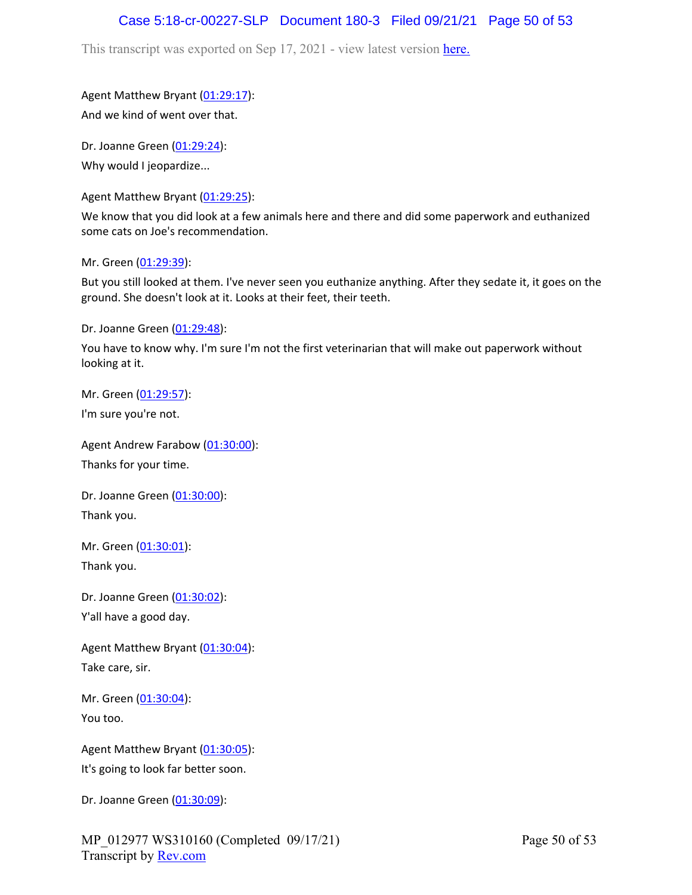## Case 5:18-cr-00227-SLP Document 180-3 Filed 09/21/21 Page 50 of 53

This transcript was exported on Sep 17, 2021 - view latest version [here.](https://www.rev.com/transcript-editor/Edit?token=I33MB_RoV1FwOoHBZ0vXCiw9XFf7Kdljsv8wmKDhXSlbDZV1-muO_uXdeLk3bhrqvxSEUBmRHZUHjbZyoStIj4NIjiQ&loadFrom=DocumentHeaderDeepLink)

Agent Matthew Bryant ([01:29:17](https://www.rev.com/transcript-editor/Edit?token=gWe4bQlZpervvu5pCkRZ9J9grKZl9TPJ5j7DMpRtzwwcic7be2VsER_olBA7VyQ2ZjYpL41b4MLcBg6ZTWEqRjhQ3q4&loadFrom=DocumentDeeplink&ts=5357.14)): And we kind of went over that.

Dr. Joanne Green [\(01:29:24\)](https://www.rev.com/transcript-editor/Edit?token=dQYGJfo3An-onCipwowPvYjvktyuY69w5V89-6jJYT829ld7DNpz-D-redd1bILtBNcaInfUpRrb_gEhZl6WTUumOkY&loadFrom=DocumentDeeplink&ts=5364.56): Why would I jeopardize...

Agent Matthew Bryant ([01:29:25](https://www.rev.com/transcript-editor/Edit?token=2vcL2WO0wxd9ljOrDkeJQskAf7vgkWhi6k4B6CMWM7Mivt9mFaUN56oJuYkZwz1wzYTj4uo6j8nWGPGv27KM2_5rE1Q&loadFrom=DocumentDeeplink&ts=5365.45)):

We know that you did look at a few animals here and there and did some paperwork and euthanized some cats on Joe's recommendation.

Mr. Green ([01:29:39](https://www.rev.com/transcript-editor/Edit?token=q5RTOl3bPZGJWczAmHICT9tBt-fYEdC8PxwfLrBVxTKf3Kr9leOPZnGz5KfN42QsUIo2ejfvrLHrMroDfyEovueLzaM&loadFrom=DocumentDeeplink&ts=5379.06)):

But you still looked at them. I've never seen you euthanize anything. After they sedate it, it goes on the ground. She doesn't look at it. Looks at their feet, their teeth.

Dr. Joanne Green [\(01:29:48\)](https://www.rev.com/transcript-editor/Edit?token=dsHtpOn2g3Hr9ZlcwQIM6jlGOwJWmJDPHCZ2FN9qwd1jmSzwBbGlnWYe933UGdeusYXzh9lszKSnnE2OPySIySkmP_E&loadFrom=DocumentDeeplink&ts=5388.81):

You have to know why. I'm sure I'm not the first veterinarian that will make out paperwork without looking at it.

Mr. Green ([01:29:57](https://www.rev.com/transcript-editor/Edit?token=mArJCHO_J6WJNqww3fnMwh6Tm3Iy2s5K0DhyPYshlWwdGQbHdyaAgVlq0bQg6HzXX1j3YDQ-LUCPu4ucqoAmmVk-crU&loadFrom=DocumentDeeplink&ts=5397.11)):

I'm sure you're not.

Agent Andrew Farabow [\(01:30:00\)](https://www.rev.com/transcript-editor/Edit?token=UNnyaqgH9UaMzUQBTphwVbPWUHyZ_sRlyHTMQrNMuALCffdeoZoNR6UyWmWrFhTIKRqTc3Ccc0MyAayJmMkAhKZiapY&loadFrom=DocumentDeeplink&ts=5400.59): Thanks for your time.

Dr. Joanne Green [\(01:30:00\)](https://www.rev.com/transcript-editor/Edit?token=REIxR0UaeUQT1rAgJbLv5N63xyGfOfZeX8X8_-1o8ypo1UpPxvpys2yQhO4n3bGIYxeBLnqoVxRmBiGYGAe93xbUnf8&loadFrom=DocumentDeeplink&ts=5400.79): Thank you.

Mr. Green ([01:30:01](https://www.rev.com/transcript-editor/Edit?token=FUXnMHoE2kUvZaWIUKmlRoH_Cr2-sS_U91_mRuAR4yCDqZB3_Ml-ykYsESH3LvqjriGnGuBQQxKMuybjs0F5-018WPw&loadFrom=DocumentDeeplink&ts=5401.49)): Thank you.

Dr. Joanne Green [\(01:30:02\)](https://www.rev.com/transcript-editor/Edit?token=vss1G3x_tNNz5oBb9W2tWdboLsreLed0pmIQ6UXEkfdzXKHKLOdxJH6mVTuPdWCi-M8xwPktTtQ1Twzhb5sTUXs6x9c&loadFrom=DocumentDeeplink&ts=5402.5): Y'all have a good day.

Agent Matthew Bryant ([01:30:04](https://www.rev.com/transcript-editor/Edit?token=vMUChYcoCvGXAGD8LwTCESrVFpZfYu9gkM4Hq7RTUSw1oBiSlhFxgrv28v8K6awgQKwQlZoIK8OurIJkhpixKvT7dQs&loadFrom=DocumentDeeplink&ts=5404.06)): Take care, sir.

Mr. Green ([01:30:04](https://www.rev.com/transcript-editor/Edit?token=OMU-6upkEa2tdegUN-_TPlEHCPkj4i81hBK2na_qJUKO0ipM_vw3oKo6FA4ti-3_P0n93rMw5bDdFZEHyOQ-i9cUb6U&loadFrom=DocumentDeeplink&ts=5404.84)): You too.

Agent Matthew Bryant ([01:30:05](https://www.rev.com/transcript-editor/Edit?token=3KFfooyb6RWW_ralG4E5eOb_hZmwIMUUqU7icy_dlHjHWl_STncArgzeiG_b5SvwofP9oN9f0JBOESDvju0PBp7W5HQ&loadFrom=DocumentDeeplink&ts=5405.66)): It's going to look far better soon.

Dr. Joanne Green [\(01:30:09\)](https://www.rev.com/transcript-editor/Edit?token=IgTP_3wNSWjgOoSIEZHLOtIzmeR79k_Y10ly6zG_EyP2DU_tjvw4KzmTF1-fsqr18VtH_gY0036V6W5FmH3rFTUaCeo&loadFrom=DocumentDeeplink&ts=5409.34):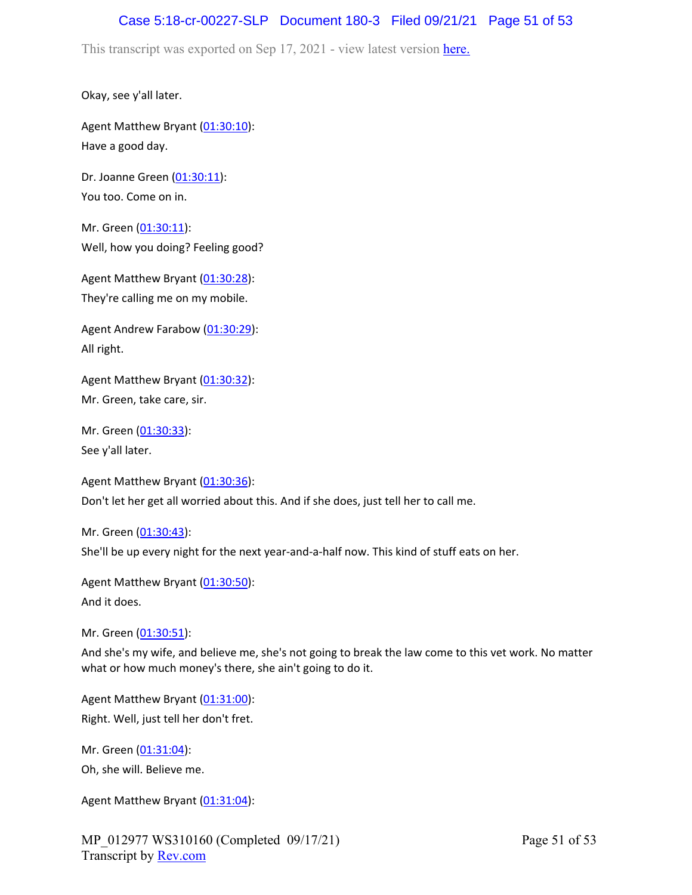## Case 5:18-cr-00227-SLP Document 180-3 Filed 09/21/21 Page 51 of 53

This transcript was exported on Sep 17, 2021 - view latest version [here.](https://www.rev.com/transcript-editor/Edit?token=I33MB_RoV1FwOoHBZ0vXCiw9XFf7Kdljsv8wmKDhXSlbDZV1-muO_uXdeLk3bhrqvxSEUBmRHZUHjbZyoStIj4NIjiQ&loadFrom=DocumentHeaderDeepLink)

Okay, see y'all later.

Agent Matthew Bryant ([01:30:10](https://www.rev.com/transcript-editor/Edit?token=9SeDyAUvhqRP0pLcCjQqUio1vNiddnwj4JV-4S-261kUn-lAmm2NXKl1tsJrpjcFFnb8wtIWWiw8VQSglHTp3640t1Q&loadFrom=DocumentDeeplink&ts=5410.77)): Have a good day.

Dr. Joanne Green [\(01:30:11\)](https://www.rev.com/transcript-editor/Edit?token=MYnLEgNGpcZMvnxrKQi8VDRRIPFHvIkduXY9C6hN2YJwBgbzVjaB73czGOBDhjIeWlUj3_SEgKVMzEXw63ak35Zkneo&loadFrom=DocumentDeeplink&ts=5411.24): You too. Come on in.

Mr. Green ([01:30:11](https://www.rev.com/transcript-editor/Edit?token=yFtxK8HqbEaGfOxEy5yOvDYgdH6Rx3ClYpJS5u5l1kWRLinDsVFqj0jqOiw7MruJzwnPv2RhMLMTsYnvV6cwN4uawf8&loadFrom=DocumentDeeplink&ts=5411.38)): Well, how you doing? Feeling good?

Agent Matthew Bryant ([01:30:28](https://www.rev.com/transcript-editor/Edit?token=flZdTmOyn5O9PFtNgOSJxQRyPMKPLNRKL017cRvtbOusKue0zmf3iQdTXWZykYiSDBofvfs6yz8sPhIGTFt7w6u5Gq0&loadFrom=DocumentDeeplink&ts=5428.96)): They're calling me on my mobile.

Agent Andrew Farabow [\(01:30:29\)](https://www.rev.com/transcript-editor/Edit?token=XNJrpZjg6nPoxdBBG4bOtbNFRf0WITX-6rCouevcWWLJZincadp4J7tOnLnNKiW0_ELmlWN-5ESMP15iE54RNshosX4&loadFrom=DocumentDeeplink&ts=5429.15): All right.

Agent Matthew Bryant ([01:30:32](https://www.rev.com/transcript-editor/Edit?token=Gccl7XZluhV0Givu5wDCEE_7Sbms3-HbWHg2B0KfDyfjtFuAXp71WtV6w5hoBY5cAKbmABv0nY10ch5tvSqDUfLVWhI&loadFrom=DocumentDeeplink&ts=5432.63)): Mr. Green, take care, sir.

Mr. Green ([01:30:33](https://www.rev.com/transcript-editor/Edit?token=uGueR8ixIHupJCBSEh3IKO2pCkH6mNdxyZt-gtcarnDqUopMisavbcdJ0S1XUNegt0hgD6zfNXph2Dw-RCFeEEFyUcw&loadFrom=DocumentDeeplink&ts=5433.78)): See y'all later.

Agent Matthew Bryant ([01:30:36](https://www.rev.com/transcript-editor/Edit?token=2eiYYAPepGz8M9beZSp31B5IczkLDNoPtRWMLPbViD201T6V7L0ypSbTk8ztLZ59iroh-_Uj2Kh65inH_bZdHwpZE3A&loadFrom=DocumentDeeplink&ts=5436.92)): Don't let her get all worried about this. And if she does, just tell her to call me.

Mr. Green ([01:30:43](https://www.rev.com/transcript-editor/Edit?token=nTrUlguSUxNDytHiSGC_d1iYk262_JLeZRuHyUMA-AqVQXIIWQPaT4DvItAYqYwaCiWsXvWm4reAp6UrO6Jay3IrR7w&loadFrom=DocumentDeeplink&ts=5443.38)): She'll be up every night for the next year-and-a-half now. This kind of stuff eats on her.

Agent Matthew Bryant ([01:30:50](https://www.rev.com/transcript-editor/Edit?token=PBXv1ulXJI3vK2o_RFkc_6oFT--PYNREob6ZkRu582NVJfvZjy1cSqXtPQJxOSJOzD5MWIIRqS7l9eYY17QOhSpx260&loadFrom=DocumentDeeplink&ts=5450.95)): And it does.

Mr. Green ([01:30:51](https://www.rev.com/transcript-editor/Edit?token=lP6NWcFqa5fmImr4S3LI_3oNG12QiVt9yAw8-N2joQn_NAyfEVKW5_iu2_8epmlWY3llO-NB6F5nqajYazLsLamh808&loadFrom=DocumentDeeplink&ts=5451.38)):

And she's my wife, and believe me, she's not going to break the law come to this vet work. No matter what or how much money's there, she ain't going to do it.

Agent Matthew Bryant ([01:31:00](https://www.rev.com/transcript-editor/Edit?token=TvObxYR5Id4CyJgJQZelzyGq7bzisNqd-1s2UVraIZoBTj6lPb4L4Jy_IGzWfpDtZykdUk3KwgkUVIyq7U__97lAP1A&loadFrom=DocumentDeeplink&ts=5460.5)): Right. Well, just tell her don't fret.

Mr. Green ([01:31:04](https://www.rev.com/transcript-editor/Edit?token=m0bgOLntxDqweXwuc4nemCYC78SLbJl23w-SV4oQpUGBXqzXGK1Lax_H6wuOVH4xoVkzjLAL74JLKOjfTakZhl63xMo&loadFrom=DocumentDeeplink&ts=5464.06)): Oh, she will. Believe me.

Agent Matthew Bryant ([01:31:04](https://www.rev.com/transcript-editor/Edit?token=YjSAXiocqvYPqPLmzRjoIeRZlLel4ZXBv8FktqVWDUV0XL8X7rHo0BfJIa4USa-LWnI9y_mH33iOicPnriTN1vzBotQ&loadFrom=DocumentDeeplink&ts=5464.72)):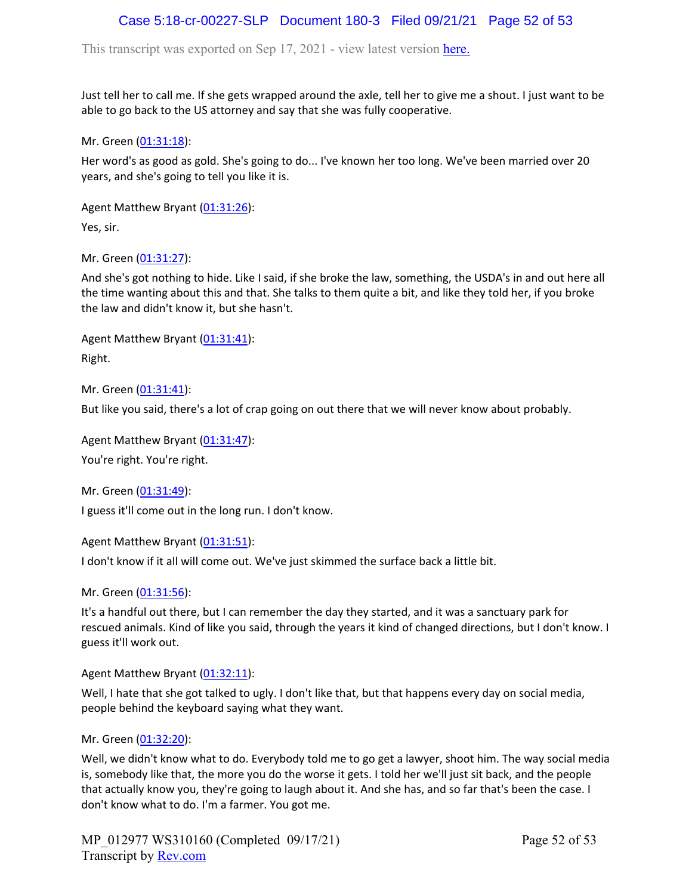# Case 5:18-cr-00227-SLP Document 180-3 Filed 09/21/21 Page 52 of 53

This transcript was exported on Sep 17, 2021 - view latest version [here.](https://www.rev.com/transcript-editor/Edit?token=I33MB_RoV1FwOoHBZ0vXCiw9XFf7Kdljsv8wmKDhXSlbDZV1-muO_uXdeLk3bhrqvxSEUBmRHZUHjbZyoStIj4NIjiQ&loadFrom=DocumentHeaderDeepLink)

Just tell her to call me. If she gets wrapped around the axle, tell her to give me a shout. I just want to be able to go back to the US attorney and say that she was fully cooperative.

Mr. Green ([01:31:18](https://www.rev.com/transcript-editor/Edit?token=BeptFv3zxQLhfkwdg_7Dzs-1j91ySW2AULsxsxi0eImhz7KQ0IY81mxr1C28ZM4FBTLgUsoxUwLavcP8bN3Oett7EGA&loadFrom=DocumentDeeplink&ts=5478.8)):

Her word's as good as gold. She's going to do... I've known her too long. We've been married over 20 years, and she's going to tell you like it is.

Agent Matthew Bryant ([01:31:26](https://www.rev.com/transcript-editor/Edit?token=U6rkq1cj5EItnQDoMPg42gsw114BTzTJLkcHNUtaRScJLKPpyBfMU-lQ1hlL2lAbFPb1h9Yc3cYMCPPwNzJaLVRMkCw&loadFrom=DocumentDeeplink&ts=5486.3)):

Yes, sir.

Mr. Green ([01:31:27](https://www.rev.com/transcript-editor/Edit?token=JlNQryjZEH0vm7xW01bjGY51vqG-MzDsh2liAFYuJp3xiqHNbzs5PjqF3nkX8ZAGDqpWxRbmM8WU8jIBNDYO_cQWoyc&loadFrom=DocumentDeeplink&ts=5487.46)):

And she's got nothing to hide. Like I said, if she broke the law, something, the USDA's in and out here all the time wanting about this and that. She talks to them quite a bit, and like they told her, if you broke the law and didn't know it, but she hasn't.

Agent Matthew Bryant ([01:31:41](https://www.rev.com/transcript-editor/Edit?token=KckfSwW-B9Flwjn_boqMAkF4qEq79Q22OAmFgqSyVeECt0ICuP6KRaCt10vtGvnuJUREouGSw8sRtWdx50MH4A3Vaps&loadFrom=DocumentDeeplink&ts=5501.5)): Right.

Mr. Green ([01:31:41](https://www.rev.com/transcript-editor/Edit?token=prnAayB-A6GlopAEvmwoR11lP3NLv8XApKSBPpsqP1TLRF9nDNTZntXgxCZh9JjBqS2A_PK9UxpfGjCBZj_FvbVG7us&loadFrom=DocumentDeeplink&ts=5501.9)):

But like you said, there's a lot of crap going on out there that we will never know about probably.

Agent Matthew Bryant ([01:31:47](https://www.rev.com/transcript-editor/Edit?token=Q2Fj1sLCh2zWinPjz-ESCgihtaclou-CWONopNKIqInVcuxag8TW7Mb0Sv4S6B3_9778_EjsZfl6poPIrQtxSr9jJKE&loadFrom=DocumentDeeplink&ts=5507.73)):

You're right. You're right.

Mr. Green ([01:31:49](https://www.rev.com/transcript-editor/Edit?token=qXZ5_JuZ4_VvjdLQdl7sWfXoIQWZWUfXUnLGPxBUUJSGkcjg1YzWnkN5536o3a8NEsaaYfdoqXFwbQn2A5zD7s1hsaY&loadFrom=DocumentDeeplink&ts=5509.78)): I guess it'll come out in the long run. I don't know.

Agent Matthew Bryant ([01:31:51](https://www.rev.com/transcript-editor/Edit?token=DfOgh3l-YbbMQnTCL_NMhdlj5iQe3-gkSaY-rC3PcWR2wlxKyykqCvByhs-2g9eaz0dRWByDHEyCGpcFQ-u8gzM7kco&loadFrom=DocumentDeeplink&ts=5511.37)):

I don't know if it all will come out. We've just skimmed the surface back a little bit.

Mr. Green ([01:31:56](https://www.rev.com/transcript-editor/Edit?token=kGZR8CoEMCMv_5u1EhHEKdkQOnwNQ_ymly7eeIjudhbDk0IVJjTM_DJlw3M2_2g28U-w0Pzr5MMQfcKMMTu-DcuKq2M&loadFrom=DocumentDeeplink&ts=5516.91)):

It's a handful out there, but I can remember the day they started, and it was a sanctuary park for rescued animals. Kind of like you said, through the years it kind of changed directions, but I don't know. I guess it'll work out.

Agent Matthew Bryant ([01:32:11](https://www.rev.com/transcript-editor/Edit?token=pCHQfd3ucFjcFS8ERZY07PXJ7xIvzMMhB1xhqZG-xuz8_BFh_auH1f51rXcohj4S4zCniUrzsIv3Qv5rBXN8j_OGcE8&loadFrom=DocumentDeeplink&ts=5531.97)):

Well, I hate that she got talked to ugly. I don't like that, but that happens every day on social media, people behind the keyboard saying what they want.

#### Mr. Green ([01:32:20](https://www.rev.com/transcript-editor/Edit?token=NKv-AUWtAyEd5EWlkF6crL1KgmgYAuf499YDMbpZU_uvjyb_tUu8M7aqi5blYKpI-eumwlmCHyI_uBL1tP4oUtpoGS4&loadFrom=DocumentDeeplink&ts=5540.11)):

Well, we didn't know what to do. Everybody told me to go get a lawyer, shoot him. The way social media is, somebody like that, the more you do the worse it gets. I told her we'll just sit back, and the people that actually know you, they're going to laugh about it. And she has, and so far that's been the case. I don't know what to do. I'm a farmer. You got me.